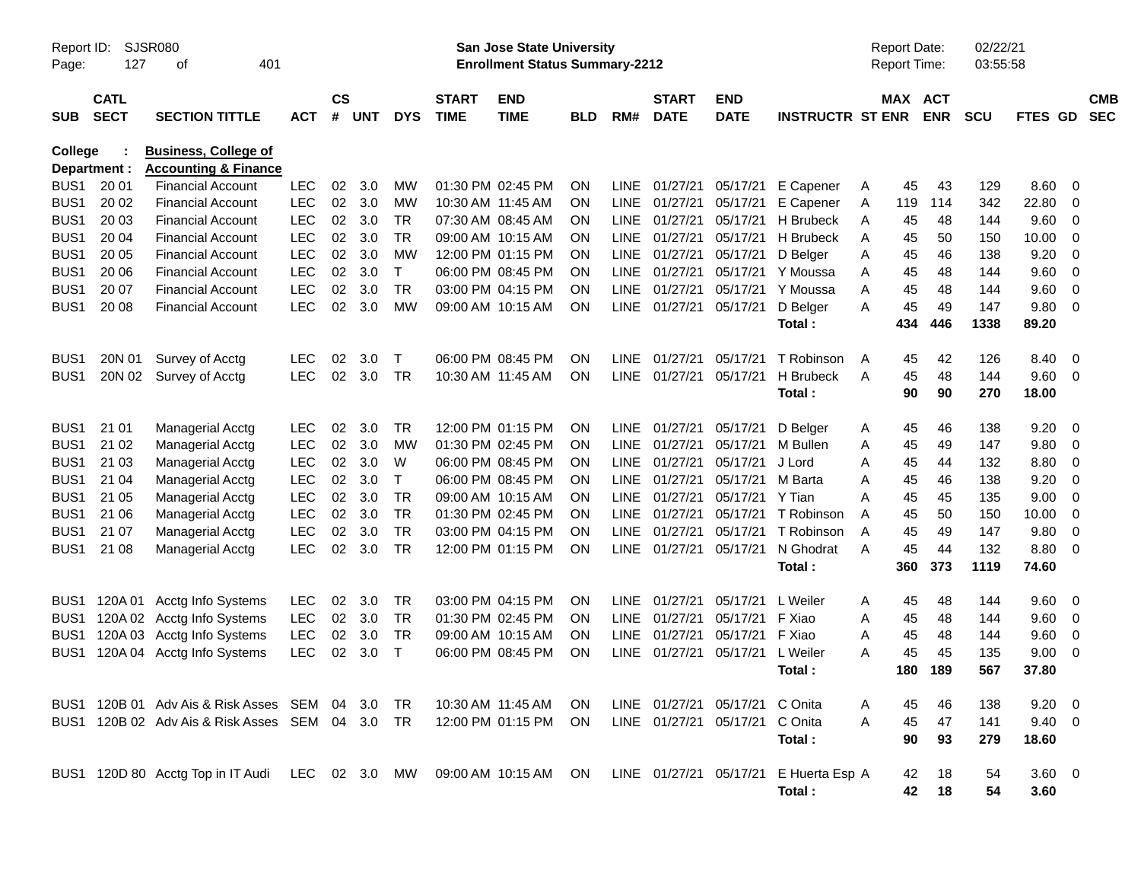| Report ID:<br>Page: | SJSR080<br>127<br>401<br>οf |                                                                |            |                    |            |              |                             | <b>San Jose State University</b><br><b>Enrollment Status Summary-2212</b> |            |             |                             |                                |                                                 |   | <b>Report Date:</b><br><b>Report Time:</b> |                          | 02/22/21<br>03:55:58 |                        |                |                          |
|---------------------|-----------------------------|----------------------------------------------------------------|------------|--------------------|------------|--------------|-----------------------------|---------------------------------------------------------------------------|------------|-------------|-----------------------------|--------------------------------|-------------------------------------------------|---|--------------------------------------------|--------------------------|----------------------|------------------------|----------------|--------------------------|
| <b>SUB</b>          | <b>CATL</b><br><b>SECT</b>  | <b>SECTION TITTLE</b>                                          | <b>ACT</b> | $\mathsf{cs}$<br># | <b>UNT</b> | <b>DYS</b>   | <b>START</b><br><b>TIME</b> | <b>END</b><br><b>TIME</b>                                                 | <b>BLD</b> | RM#         | <b>START</b><br><b>DATE</b> | <b>END</b><br><b>DATE</b>      | <b>INSTRUCTR ST ENR</b>                         |   | MAX                                        | <b>ACT</b><br><b>ENR</b> | <b>SCU</b>           | FTES GD                |                | <b>CMB</b><br><b>SEC</b> |
| College             | Department :                | <b>Business, College of</b><br><b>Accounting &amp; Finance</b> |            |                    |            |              |                             |                                                                           |            |             |                             |                                |                                                 |   |                                            |                          |                      |                        |                |                          |
| BUS <sub>1</sub>    | 20 01                       | <b>Financial Account</b>                                       | <b>LEC</b> | 02                 | 3.0        | МW           |                             | 01:30 PM 02:45 PM                                                         | ON         | <b>LINE</b> | 01/27/21                    | 05/17/21                       | E Capener                                       | A | 45                                         | 43                       | 129                  | 8.60                   | 0              |                          |
| BUS <sub>1</sub>    | 20 02                       | <b>Financial Account</b>                                       | <b>LEC</b> | 02                 | 3.0        | МW           |                             | 10:30 AM 11:45 AM                                                         | <b>ON</b>  | <b>LINE</b> | 01/27/21                    | 05/17/21                       | E Capener                                       | Α | 119                                        | 114                      | 342                  | 22.80                  | 0              |                          |
| BUS <sub>1</sub>    | 20 03                       | <b>Financial Account</b>                                       | <b>LEC</b> | 02                 | 3.0        | TR           |                             | 07:30 AM 08:45 AM                                                         | <b>ON</b>  | <b>LINE</b> | 01/27/21                    | 05/17/21                       | H Brubeck                                       | A | 45                                         | 48                       | 144                  | 9.60                   | 0              |                          |
| BUS <sub>1</sub>    | 20 04                       | <b>Financial Account</b>                                       | <b>LEC</b> | 02                 | 3.0        | <b>TR</b>    |                             | 09:00 AM 10:15 AM                                                         | <b>ON</b>  | <b>LINE</b> | 01/27/21                    | 05/17/21                       | H Brubeck                                       | A | 45                                         | 50                       | 150                  | 10.00                  | 0              |                          |
| BUS <sub>1</sub>    | 20 05                       | <b>Financial Account</b>                                       | <b>LEC</b> | 02                 | 3.0        | <b>MW</b>    |                             | 12:00 PM 01:15 PM                                                         | <b>ON</b>  | <b>LINE</b> | 01/27/21                    | 05/17/21                       | D Belger                                        | A | 45                                         | 46                       | 138                  | 9.20                   | 0              |                          |
| BUS <sub>1</sub>    | 20 06                       | <b>Financial Account</b>                                       | <b>LEC</b> | 02                 | 3.0        | $\mathsf{T}$ |                             | 06:00 PM 08:45 PM                                                         | <b>ON</b>  | <b>LINE</b> | 01/27/21                    | 05/17/21                       | Y Moussa                                        | A | 45                                         | 48                       | 144                  | 9.60                   | 0              |                          |
| BUS <sub>1</sub>    | 20 07                       | <b>Financial Account</b>                                       | <b>LEC</b> | 02                 | 3.0        | TR           |                             | 03:00 PM 04:15 PM                                                         | <b>ON</b>  | <b>LINE</b> | 01/27/21                    | 05/17/21                       | Y Moussa                                        | A | 45                                         | 48                       | 144                  | 9.60                   | 0              |                          |
| BUS <sub>1</sub>    | 20 08                       | <b>Financial Account</b>                                       | <b>LEC</b> | 02                 | 3.0        | MW           |                             | 09:00 AM 10:15 AM                                                         | ON         |             | LINE 01/27/21               | 05/17/21                       | D Belger                                        | A | 45                                         | 49                       | 147                  | 9.80                   | - 0            |                          |
|                     |                             |                                                                |            |                    |            |              |                             |                                                                           |            |             |                             |                                | Total:                                          |   | 434                                        | 446                      | 1338                 | 89.20                  |                |                          |
| BUS <sub>1</sub>    | 20N 01                      | Survey of Acctg                                                | <b>LEC</b> | 02                 | 3.0        | $\mathsf{T}$ |                             | 06:00 PM 08:45 PM                                                         | <b>ON</b>  | <b>LINE</b> | 01/27/21                    | 05/17/21                       | T Robinson                                      | A | 45                                         | 42                       | 126                  | 8.40                   | 0              |                          |
| BUS <sub>1</sub>    | 20N 02                      | Survey of Acctg                                                | <b>LEC</b> | 02                 | 3.0        | TR           |                             | 10:30 AM 11:45 AM                                                         | <b>ON</b>  |             | LINE 01/27/21               | 05/17/21                       | H Brubeck                                       | A | 45                                         | 48                       | 144                  | 9.60                   | $\overline{0}$ |                          |
|                     |                             |                                                                |            |                    |            |              |                             |                                                                           |            |             |                             |                                | Total:                                          |   | 90                                         | 90                       | 270                  | 18.00                  |                |                          |
| BUS <sub>1</sub>    | 21 01                       | <b>Managerial Acctg</b>                                        | <b>LEC</b> | 02                 | 3.0        | TR           |                             | 12:00 PM 01:15 PM                                                         | ON         |             | LINE 01/27/21               | 05/17/21                       | D Belger                                        | A | 45                                         | 46                       | 138                  | 9.20                   | 0              |                          |
| BUS <sub>1</sub>    | 21 02                       | <b>Managerial Acctg</b>                                        | <b>LEC</b> | 02                 | 3.0        | <b>MW</b>    |                             | 01:30 PM 02:45 PM                                                         | <b>ON</b>  | <b>LINE</b> | 01/27/21                    | 05/17/21                       | M Bullen                                        | A | 45                                         | 49                       | 147                  | 9.80                   | 0              |                          |
| BUS <sub>1</sub>    | 21 03                       | <b>Managerial Acctg</b>                                        | LEC        | 02                 | 3.0        | W            |                             | 06:00 PM 08:45 PM                                                         | <b>ON</b>  | <b>LINE</b> | 01/27/21                    | 05/17/21                       | J Lord                                          | A | 45                                         | 44                       | 132                  | 8.80                   | 0              |                          |
| BUS <sub>1</sub>    | 21 04                       | <b>Managerial Acctg</b>                                        | <b>LEC</b> | 02                 | 3.0        | Т            |                             | 06:00 PM 08:45 PM                                                         | <b>ON</b>  | <b>LINE</b> | 01/27/21                    | 05/17/21                       | M Barta                                         | A | 45                                         | 46                       | 138                  | 9.20                   | 0              |                          |
| BUS <sub>1</sub>    | 21 05                       | <b>Managerial Acctg</b>                                        | LEC        | 02                 | 3.0        | TR           |                             | 09:00 AM 10:15 AM                                                         | <b>ON</b>  | <b>LINE</b> | 01/27/21                    | 05/17/21                       | Y Tian                                          | A | 45                                         | 45                       | 135                  | 9.00                   | 0              |                          |
| BUS <sub>1</sub>    | 21 06                       | <b>Managerial Acctg</b>                                        | LEC        | 02                 | 3.0        | <b>TR</b>    |                             | 01:30 PM 02:45 PM                                                         | <b>ON</b>  | <b>LINE</b> | 01/27/21                    | 05/17/21                       | T Robinson                                      | A | 45                                         | 50                       | 150                  | 10.00                  | 0              |                          |
| BUS <sub>1</sub>    | 21 07                       | <b>Managerial Acctg</b>                                        | <b>LEC</b> | 02                 | 3.0        | <b>TR</b>    |                             | 03:00 PM 04:15 PM                                                         | <b>ON</b>  | <b>LINE</b> | 01/27/21                    | 05/17/21                       | T Robinson                                      | A | 45                                         | 49                       | 147                  | 9.80                   | 0              |                          |
| BUS <sub>1</sub>    | 21 08                       | <b>Managerial Acctg</b>                                        | <b>LEC</b> | 02                 | 3.0        | TR           |                             | 12:00 PM 01:15 PM                                                         | ON         |             | LINE 01/27/21               | 05/17/21                       | N Ghodrat                                       | A | 45                                         | 44                       | 132                  | 8.80                   | 0              |                          |
|                     |                             |                                                                |            |                    |            |              |                             |                                                                           |            |             |                             |                                | Total:                                          |   | 360                                        | 373                      | 1119                 | 74.60                  |                |                          |
| BUS <sub>1</sub>    | 120A 01                     | Acctg Info Systems                                             | <b>LEC</b> | 02                 | 3.0        | TR           |                             | 03:00 PM 04:15 PM                                                         | <b>ON</b>  | LINE.       | 01/27/21                    | 05/17/21                       | L Weiler                                        | A | 45                                         | 48                       | 144                  | 9.60                   | - 0            |                          |
| BUS <sub>1</sub>    | 120A 02                     | Acctg Info Systems                                             | <b>LEC</b> | 02                 | 3.0        | TR           |                             | 01:30 PM 02:45 PM                                                         | <b>ON</b>  | <b>LINE</b> | 01/27/21                    | 05/17/21                       | F Xiao                                          | A | 45                                         | 48                       | 144                  | 9.60                   | 0              |                          |
| BUS1                | 120A 03                     | Acctg Info Systems                                             | LEC        | 02                 | 3.0        | TR           |                             | 09:00 AM 10:15 AM                                                         | <b>ON</b>  | <b>LINE</b> | 01/27/21                    | 05/17/21                       | F Xiao                                          | A | 45                                         | 48                       | 144                  | 9.60                   | 0              |                          |
| BUS1                | 120A 04                     | Acctg Info Systems                                             | LEC        | 02                 | 3.0        | Т            |                             | 06:00 PM 08:45 PM                                                         | ON         |             | LINE 01/27/21               | 05/17/21                       | L Weiler                                        | A | 45                                         | 45                       | 135                  | 9.00                   | 0              |                          |
|                     |                             |                                                                |            |                    |            |              |                             |                                                                           |            |             |                             |                                | Total:                                          |   | 180                                        | 189                      | 567                  | 37.80                  |                |                          |
|                     |                             | BUS1 120B 01 Adv Ais & Risk Asses SEM 04 3.0                   |            |                    |            | TR.          |                             | 10:30 AM 11:45 AM                                                         | ON.        |             |                             | LINE 01/27/21 05/17/21 C Onita |                                                 | A | 45                                         | 46                       | 138                  | $9.20 \ 0$             |                |                          |
|                     |                             | BUS1 120B 02 Adv Ais & Risk Asses SEM 04 3.0                   |            |                    |            | TR.          |                             | 12:00 PM 01:15 PM                                                         | ON.        |             |                             | LINE 01/27/21 05/17/21         | C Onita                                         | Α | 45                                         | 47                       | 141                  | $9.40 \quad 0$         |                |                          |
|                     |                             |                                                                |            |                    |            |              |                             |                                                                           |            |             |                             |                                | Total:                                          |   | 90                                         | 93                       | 279                  | 18.60                  |                |                          |
|                     |                             | BUS1 120D 80 Acctg Top in IT Audi LEC 02 3.0 MW                |            |                    |            |              |                             | 09:00 AM 10:15 AM ON                                                      |            |             |                             |                                | LINE 01/27/21 05/17/21 E Huerta Esp A<br>Total: |   | 42<br>42                                   | 18<br>18                 | 54<br>54             | $3.60 \quad 0$<br>3.60 |                |                          |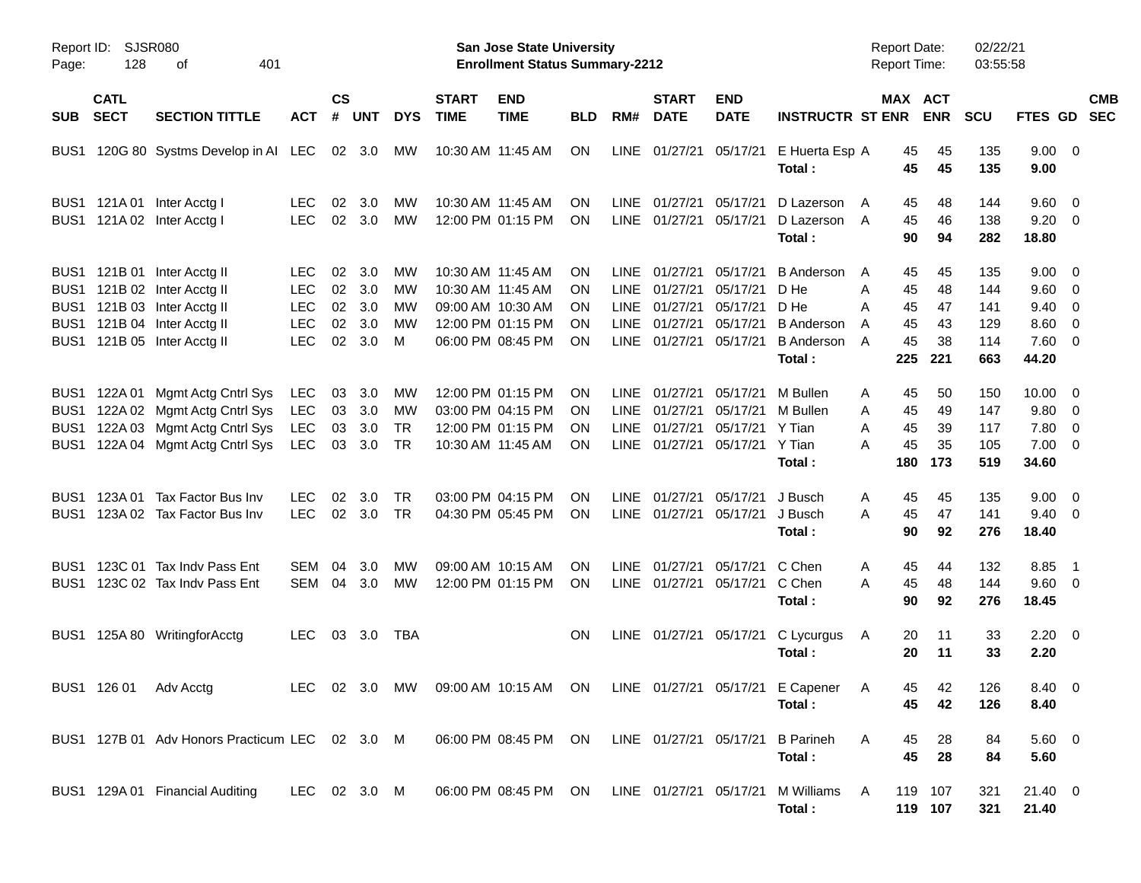| Page: | Report ID: SJSR080<br>128<br>401<br>оf |                                                                                                                                                         |                                                                    |                            |                                 |                                    |                             | San Jose State University<br><b>Enrollment Status Summary-2212</b>                                    |                            |                                                                  |                                                          |                                                          |                                                                                       | <b>Report Date:</b><br><b>Report Time:</b>                 |                                   | 02/22/21<br>03:55:58                   |                                                                                           |                          |                          |
|-------|----------------------------------------|---------------------------------------------------------------------------------------------------------------------------------------------------------|--------------------------------------------------------------------|----------------------------|---------------------------------|------------------------------------|-----------------------------|-------------------------------------------------------------------------------------------------------|----------------------------|------------------------------------------------------------------|----------------------------------------------------------|----------------------------------------------------------|---------------------------------------------------------------------------------------|------------------------------------------------------------|-----------------------------------|----------------------------------------|-------------------------------------------------------------------------------------------|--------------------------|--------------------------|
| SUB   | <b>CATL</b><br><b>SECT</b>             | <b>SECTION TITTLE</b>                                                                                                                                   | <b>ACT</b>                                                         | $\mathsf{cs}$<br>#         | <b>UNT</b>                      | <b>DYS</b>                         | <b>START</b><br><b>TIME</b> | <b>END</b><br><b>TIME</b>                                                                             | <b>BLD</b>                 | RM#                                                              | <b>START</b><br><b>DATE</b>                              | <b>END</b><br><b>DATE</b>                                | <b>INSTRUCTR ST ENR</b>                                                               |                                                            | MAX ACT<br><b>ENR</b>             | <b>SCU</b>                             | FTES GD                                                                                   |                          | <b>CMB</b><br><b>SEC</b> |
| BUS1  |                                        | 120G 80 Systms Develop in AI LEC 02 3.0                                                                                                                 |                                                                    |                            |                                 | МW                                 |                             | 10:30 AM 11:45 AM                                                                                     | ON                         |                                                                  | LINE 01/27/21                                            | 05/17/21                                                 | E Huerta Esp A<br>Total :                                                             | 45<br>45                                                   | 45<br>45                          | 135<br>135                             | $9.00 \t 0$<br>9.00                                                                       |                          |                          |
|       |                                        | BUS1 121A 01 Inter Acctg I<br>BUS1 121A 02 Inter Acctg I                                                                                                | <b>LEC</b><br><b>LEC</b>                                           | 02                         | 3.0<br>02 3.0                   | MW<br>MW                           |                             | 10:30 AM 11:45 AM<br>12:00 PM 01:15 PM                                                                | ΟN<br><b>ON</b>            | LINE                                                             | 01/27/21<br>LINE 01/27/21                                | 05/17/21<br>05/17/21                                     | D Lazerson<br>D Lazerson A<br>Total:                                                  | 45<br>A<br>45<br>90                                        | 48<br>46<br>94                    | 144<br>138<br>282                      | $9.60 \quad 0$<br>$9.20 \ 0$<br>18.80                                                     |                          |                          |
|       |                                        | BUS1 121B 01 Inter Acctg II<br>BUS1 121B 02 Inter Acctg II<br>BUS1 121B 03 Inter Acctg II<br>BUS1 121B 04 Inter Acctg II<br>BUS1 121B 05 Inter Acctg II | <b>LEC</b><br><b>LEC</b><br><b>LEC</b><br><b>LEC</b><br><b>LEC</b> | 02<br>02<br>02<br>02<br>02 | 3.0<br>3.0<br>3.0<br>3.0<br>3.0 | MW<br>MW<br>MW<br>MW<br>м          |                             | 10:30 AM 11:45 AM<br>10:30 AM 11:45 AM<br>09:00 AM 10:30 AM<br>12:00 PM 01:15 PM<br>06:00 PM 08:45 PM | ON<br>ON<br>ON<br>ON<br>ON | LINE<br><b>LINE</b><br><b>LINE</b><br><b>LINE</b><br><b>LINE</b> | 01/27/21<br>01/27/21<br>01/27/21<br>01/27/21<br>01/27/21 | 05/17/21<br>05/17/21<br>05/17/21<br>05/17/21<br>05/17/21 | <b>B</b> Anderson<br>D He<br>D He<br><b>B</b> Anderson<br><b>B</b> Anderson<br>Total: | 45<br>A<br>Α<br>45<br>Α<br>45<br>45<br>A<br>45<br>A<br>225 | 45<br>48<br>47<br>43<br>38<br>221 | 135<br>144<br>141<br>129<br>114<br>663 | $9.00 \quad 0$<br>$9.60 \quad 0$<br>$9.40 \quad 0$<br>$8.60 \quad 0$<br>$7.60$ 0<br>44.20 |                          |                          |
|       |                                        | BUS1 122A 01 Mgmt Actg Cntrl Sys<br>BUS1 122A 02 Mgmt Actg Cntrl Sys<br>BUS1 122A 03 Mgmt Actg Cntrl Sys<br>BUS1 122A 04 Mgmt Actg Cntrl Sys            | <b>LEC</b><br><b>LEC</b><br>LEC<br><b>LEC</b>                      | 03<br>03<br>03             | 3.0<br>3.0<br>3.0<br>03 3.0     | МW<br>МW<br><b>TR</b><br><b>TR</b> |                             | 12:00 PM 01:15 PM<br>03:00 PM 04:15 PM<br>12:00 PM 01:15 PM<br>10:30 AM 11:45 AM                      | ON<br>ON<br>ON<br>ON       | LINE<br><b>LINE</b><br><b>LINE</b>                               | 01/27/21<br>01/27/21<br>01/27/21<br>LINE 01/27/21        | 05/17/21<br>05/17/21<br>05/17/21<br>05/17/21             | M Bullen<br>M Bullen<br>Y Tian<br>Y Tian<br>Total:                                    | Α<br>45<br>45<br>Α<br>Α<br>45<br>45<br>А<br>180            | 50<br>49<br>39<br>35<br>173       | 150<br>147<br>117<br>105<br>519        | $10.00 \t 0$<br>9.80 0<br>$7.80\ 0$<br>$7.00 \t 0$<br>34.60                               |                          |                          |
|       |                                        | BUS1 123A 01 Tax Factor Bus Inv<br>BUS1 123A 02 Tax Factor Bus Inv                                                                                      | <b>LEC</b><br><b>LEC</b>                                           | 02                         | 3.0<br>02 3.0                   | <b>TR</b><br><b>TR</b>             |                             | 03:00 PM 04:15 PM<br>04:30 PM 05:45 PM                                                                | ON<br>ON                   | LINE                                                             | 01/27/21                                                 | 05/17/21<br>LINE 01/27/21 05/17/21                       | J Busch<br>J Busch<br>Total:                                                          | Α<br>45<br>45<br>Α<br>90                                   | 45<br>47<br>92                    | 135<br>141<br>276                      | $9.00 \quad 0$<br>$9.40 \quad 0$<br>18.40                                                 |                          |                          |
|       |                                        | BUS1 123C 01 Tax Indv Pass Ent<br>BUS1 123C 02 Tax Indv Pass Ent                                                                                        | SEM<br>SEM                                                         | 04                         | 3.0<br>04 3.0                   | МW<br>MW                           |                             | 09:00 AM 10:15 AM<br>12:00 PM 01:15 PM                                                                | ON<br><b>ON</b>            | <b>LINE</b>                                                      | 01/27/21                                                 | 05/17/21<br>LINE 01/27/21 05/17/21 C Chen                | C Chen<br>Total:                                                                      | A<br>45<br>45<br>A<br>90                                   | 44<br>48<br>92                    | 132<br>144<br>276                      | 8.85<br>$9.60 \quad 0$<br>18.45                                                           | $\overline{\phantom{1}}$ |                          |
|       |                                        | BUS1 125A 80 WritingforAcctg                                                                                                                            | <b>LEC</b>                                                         |                            | 03 3.0 TBA                      |                                    |                             |                                                                                                       | <b>ON</b>                  |                                                                  |                                                          |                                                          | LINE 01/27/21 05/17/21 C Lycurgus<br>Total:                                           | A<br>20<br>20                                              | 11<br>11                          | 33<br>33                               | $2.20 \t 0$<br>2.20                                                                       |                          |                          |
|       |                                        | BUS1 126 01 Adv Acctg                                                                                                                                   |                                                                    |                            |                                 |                                    |                             |                                                                                                       |                            |                                                                  |                                                          |                                                          | LEC 02 3.0 MW 09:00 AM 10:15 AM ON LINE 01/27/21 05/17/21 E Capener A<br>Total:       | 45                                                         | 45 42<br>42                       | 126<br>126                             | 8.40 0<br>8.40                                                                            |                          |                          |
|       |                                        | BUS1 127B 01 Adv Honors Practicum LEC 02 3.0 M 06:00 PM 08:45 PM ON LINE 01/27/21 05/17/21 B Parineh                                                    |                                                                    |                            |                                 |                                    |                             |                                                                                                       |                            |                                                                  |                                                          |                                                          | Total:                                                                                | A<br>45<br>45                                              | 28<br>28                          | 84<br>84                               | $5.60$ 0<br>5.60                                                                          |                          |                          |
|       |                                        | BUS1 129A 01 Financial Auditing                                                                                                                         | LEC 02 3.0 M                                                       |                            |                                 |                                    |                             |                                                                                                       |                            |                                                                  |                                                          |                                                          | Total:                                                                                | A                                                          | 119 107<br>119 107                | 321<br>321                             | 21.40 0<br>21.40                                                                          |                          |                          |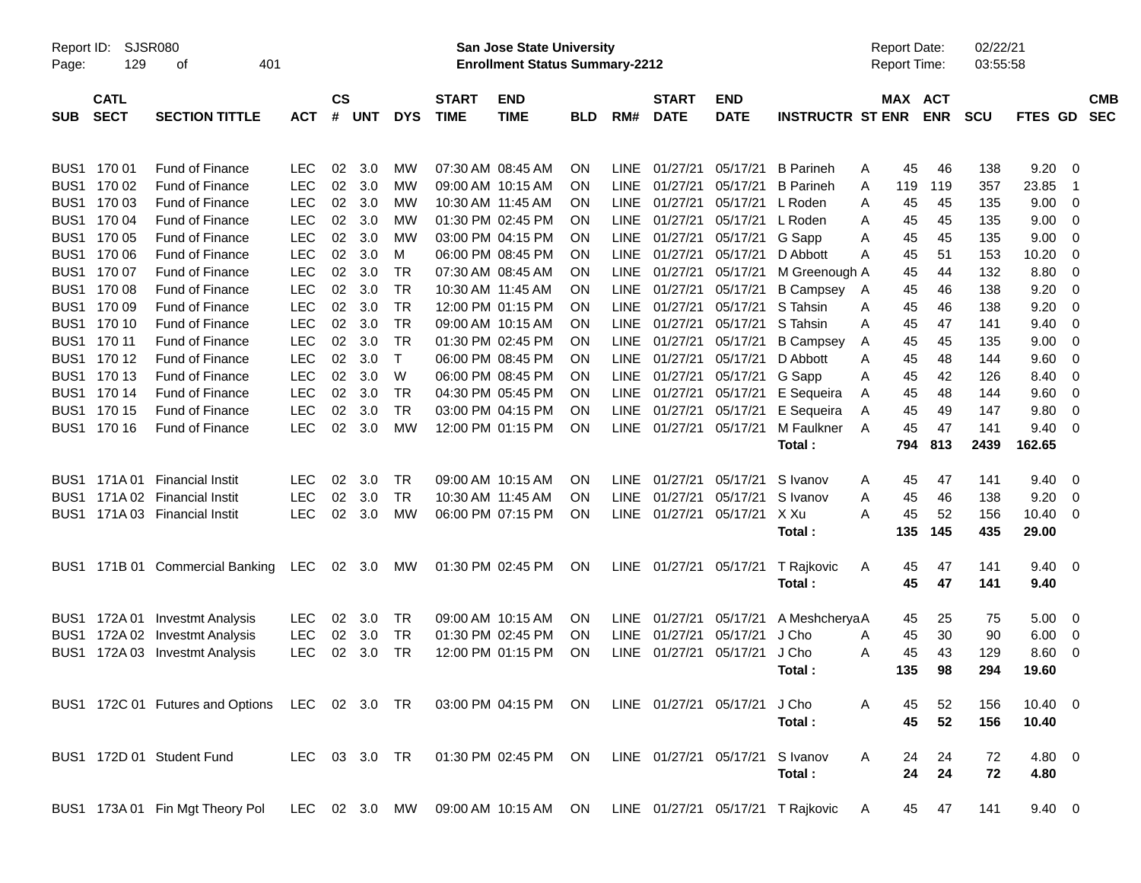| Report ID:<br>Page: | <b>SJSR080</b><br>129      |                                                                                            |            |                    |        |               | <b>San Jose State University</b><br><b>Enrollment Status Summary-2212</b> |                                                      |            |             |                             |                           |                                                                        | <b>Report Date:</b><br><b>Report Time:</b> |         | 02/22/21<br>03:55:58 |            |                |                         |                          |
|---------------------|----------------------------|--------------------------------------------------------------------------------------------|------------|--------------------|--------|---------------|---------------------------------------------------------------------------|------------------------------------------------------|------------|-------------|-----------------------------|---------------------------|------------------------------------------------------------------------|--------------------------------------------|---------|----------------------|------------|----------------|-------------------------|--------------------------|
| <b>SUB</b>          | <b>CATL</b><br><b>SECT</b> | <b>SECTION TITTLE</b>                                                                      | <b>ACT</b> | $\mathsf{cs}$<br># | UNT    | <b>DYS</b>    | <b>START</b><br><b>TIME</b>                                               | <b>END</b><br><b>TIME</b>                            | <b>BLD</b> | RM#         | <b>START</b><br><b>DATE</b> | <b>END</b><br><b>DATE</b> | <b>INSTRUCTR ST ENR</b>                                                |                                            | MAX ACT | <b>ENR</b>           | <b>SCU</b> | FTES GD        |                         | <b>CMB</b><br><b>SEC</b> |
| BUS1                | 170 01                     | Fund of Finance                                                                            | <b>LEC</b> | 02                 | 3.0    | МW            |                                                                           | 07:30 AM 08:45 AM                                    | <b>ON</b>  | LINE        | 01/27/21                    | 05/17/21                  | <b>B</b> Parineh                                                       | A                                          | 45      | 46                   | 138        | 9.20           | - 0                     |                          |
| BUS1                | 170 02                     | Fund of Finance                                                                            | <b>LEC</b> | 02                 | 3.0    | МW            |                                                                           | 09:00 AM 10:15 AM                                    | <b>ON</b>  | LINE.       | 01/27/21                    | 05/17/21                  | <b>B</b> Parineh                                                       | A                                          | 119     | 119                  | 357        | 23.85          | - 1                     |                          |
| BUS1                | 170 03                     | Fund of Finance                                                                            | <b>LEC</b> | 02                 | 3.0    | МW            |                                                                           | 10:30 AM 11:45 AM                                    | <b>ON</b>  | LINE        | 01/27/21                    | 05/17/21                  | L Roden                                                                | A                                          | 45      | 45                   | 135        | 9.00           | 0                       |                          |
| BUS1                | 170 04                     | Fund of Finance                                                                            | <b>LEC</b> | 02                 | 3.0    | МW            |                                                                           | 01:30 PM 02:45 PM                                    | <b>ON</b>  | LINE        | 01/27/21                    | 05/17/21                  | L Roden                                                                | A                                          | 45      | 45                   | 135        | 9.00           | 0                       |                          |
|                     | BUS1 170 05                | <b>Fund of Finance</b>                                                                     | <b>LEC</b> | 02                 | 3.0    | МW            |                                                                           | 03:00 PM 04:15 PM                                    | <b>ON</b>  | LINE        | 01/27/21                    | 05/17/21                  | G Sapp                                                                 | A                                          | 45      | 45                   | 135        | 9.00           | 0                       |                          |
| BUS1                | 170 06                     | Fund of Finance                                                                            | <b>LEC</b> | 02                 | 3.0    | М             |                                                                           | 06:00 PM 08:45 PM                                    | <b>ON</b>  | LINE        | 01/27/21                    | 05/17/21                  | D Abbott                                                               | A                                          | 45      | 51                   | 153        | 10.20          | 0                       |                          |
|                     | BUS1 170 07                | Fund of Finance                                                                            | <b>LEC</b> | 02                 | 3.0    | TR            |                                                                           | 07:30 AM 08:45 AM                                    | <b>ON</b>  | LINE        | 01/27/21                    | 05/17/21                  | M Greenough A                                                          |                                            | 45      | 44                   | 132        | 8.80           | 0                       |                          |
|                     | BUS1 170 08                | <b>Fund of Finance</b>                                                                     | <b>LEC</b> | 02                 | 3.0    | <b>TR</b>     |                                                                           | 10:30 AM 11:45 AM                                    | <b>ON</b>  | LINE        | 01/27/21                    | 05/17/21                  | <b>B</b> Campsey                                                       | A                                          | 45      | 46                   | 138        | 9.20           | 0                       |                          |
|                     | BUS1 170 09                | Fund of Finance                                                                            | <b>LEC</b> | 02                 | 3.0    | <b>TR</b>     |                                                                           | 12:00 PM 01:15 PM                                    | <b>ON</b>  | LINE        | 01/27/21                    | 05/17/21                  | S Tahsin                                                               | A                                          | 45      | 46                   | 138        | 9.20           | 0                       |                          |
|                     | BUS1 170 10                | <b>Fund of Finance</b>                                                                     | <b>LEC</b> | 02                 | 3.0    | <b>TR</b>     |                                                                           | 09:00 AM 10:15 AM                                    | <b>ON</b>  | LINE        | 01/27/21                    | 05/17/21                  | S Tahsin                                                               | A                                          | 45      | 47                   | 141        | 9.40           | 0                       |                          |
|                     | BUS1 170 11                | <b>Fund of Finance</b>                                                                     | <b>LEC</b> | 02                 | 3.0    | <b>TR</b>     |                                                                           | 01:30 PM 02:45 PM                                    | <b>ON</b>  | <b>LINE</b> | 01/27/21                    | 05/17/21                  | <b>B</b> Campsey                                                       | A                                          | 45      | 45                   | 135        | 9.00           | 0                       |                          |
|                     | BUS1 170 12                | Fund of Finance                                                                            | <b>LEC</b> | 02                 | 3.0    | $\mathsf{T}$  |                                                                           | 06:00 PM 08:45 PM                                    | <b>ON</b>  | LINE        | 01/27/21                    | 05/17/21                  | D Abbott                                                               | A                                          | 45      | 48                   | 144        | 9.60           | 0                       |                          |
|                     | BUS1 170 13                | Fund of Finance                                                                            | <b>LEC</b> | 02                 | 3.0    | W             |                                                                           | 06:00 PM 08:45 PM                                    | <b>ON</b>  | LINE        | 01/27/21                    | 05/17/21                  | G Sapp                                                                 | Α                                          | 45      | 42                   | 126        | 8.40           | 0                       |                          |
|                     | BUS1 170 14                | <b>Fund of Finance</b>                                                                     | <b>LEC</b> | 02                 | 3.0    | <b>TR</b>     |                                                                           | 04:30 PM 05:45 PM                                    | <b>ON</b>  | LINE        | 01/27/21                    | 05/17/21                  | E Sequeira                                                             | A                                          | 45      | 48                   | 144        | 9.60           | 0                       |                          |
|                     | BUS1 170 15                | <b>Fund of Finance</b>                                                                     | <b>LEC</b> | 02                 | 3.0    | <b>TR</b>     |                                                                           | 03:00 PM 04:15 PM                                    | <b>ON</b>  | LINE        | 01/27/21                    | 05/17/21                  | E Sequeira                                                             | Α                                          | 45      | 49                   | 147        | 9.80           | 0                       |                          |
|                     | BUS1 170 16                | Fund of Finance                                                                            | <b>LEC</b> | 02                 | 3.0    | МW            |                                                                           | 12:00 PM 01:15 PM                                    | ON         |             | LINE 01/27/21               | 05/17/21                  | M Faulkner                                                             | A                                          | 45      | 47                   | 141        | 9.40           | - 0                     |                          |
|                     |                            |                                                                                            |            |                    |        |               |                                                                           |                                                      |            |             |                             |                           | Total:                                                                 |                                            | 794     | 813                  | 2439       | 162.65         |                         |                          |
| BUS1                | 171A 01                    | <b>Financial Instit</b>                                                                    | LEC        | 02                 | 3.0    | TR            |                                                                           | 09:00 AM 10:15 AM                                    | <b>ON</b>  |             | LINE 01/27/21               | 05/17/21                  | S Ivanov                                                               | A                                          | 45      | 47                   | 141        | 9.40           | $\overline{\mathbf{0}}$ |                          |
| BUS1                |                            | 171A 02 Financial Instit                                                                   | <b>LEC</b> | 02                 | 3.0    | <b>TR</b>     |                                                                           | 10:30 AM 11:45 AM                                    | <b>ON</b>  | LINE        | 01/27/21                    | 05/17/21                  | S Ivanov                                                               | A                                          | 45      | 46                   | 138        | 9.20           | - 0                     |                          |
|                     |                            | BUS1 171A 03 Financial Instit                                                              | <b>LEC</b> | 02                 | 3.0    | MW            |                                                                           | 06:00 PM 07:15 PM                                    | ON         |             | LINE 01/27/21               | 05/17/21                  | X Xu                                                                   | A                                          | 45      | 52                   | 156        | 10.40          | 0                       |                          |
|                     |                            |                                                                                            |            |                    |        |               |                                                                           |                                                      |            |             |                             |                           | Total :                                                                |                                            | 135     | 145                  | 435        | 29.00          |                         |                          |
| BUS <sub>1</sub>    |                            | 171B 01 Commercial Banking                                                                 | <b>LEC</b> |                    | 02 3.0 | МW            |                                                                           | 01:30 PM 02:45 PM                                    | <b>ON</b>  |             | LINE 01/27/21               | 05/17/21                  | T Rajkovic                                                             | A                                          | 45      | 47                   | 141        | $9.40 \quad 0$ |                         |                          |
|                     |                            |                                                                                            |            |                    |        |               |                                                                           |                                                      |            |             |                             |                           | Total:                                                                 |                                            | 45      | 47                   | 141        | 9.40           |                         |                          |
| BUS1                | 172A 01                    | <b>Investmt Analysis</b>                                                                   | <b>LEC</b> | 02                 | 3.0    | TR            |                                                                           | 09:00 AM 10:15 AM                                    | <b>ON</b>  |             | LINE 01/27/21               | 05/17/21                  | A MeshcheryaA                                                          |                                            | 45      | 25                   | 75         | 5.00           | $\overline{\mathbf{0}}$ |                          |
| BUS1                | 172A 02                    | Investmt Analysis                                                                          | <b>LEC</b> | 02                 | 3.0    | <b>TR</b>     |                                                                           | 01:30 PM 02:45 PM                                    | <b>ON</b>  | LINE        | 01/27/21                    | 05/17/21                  | J Cho                                                                  | A                                          | 45      | 30                   | 90         | 6.00           | 0                       |                          |
| BUS1                | 172A 03                    | <b>Investmt Analysis</b>                                                                   | <b>LEC</b> | 02                 | 3.0    | TR            |                                                                           | 12:00 PM 01:15 PM                                    | ON         |             | LINE 01/27/21               | 05/17/21                  | J Cho                                                                  | A                                          | 45      | 43                   | 129        | 8.60           | - 0                     |                          |
|                     |                            |                                                                                            |            |                    |        |               |                                                                           |                                                      |            |             |                             |                           | Total :                                                                |                                            | 135     | 98                   | 294        | 19.60          |                         |                          |
|                     |                            | BUS1 172C 01 Futures and Options LEC 02 3.0 TR 03:00 PM 04:15 PM ON LINE 01/27/21 05/17/21 |            |                    |        |               |                                                                           |                                                      |            |             |                             |                           | J Cho                                                                  | A                                          | 45      | 52                   | 156        | $10.40 \t 0$   |                         |                          |
|                     |                            |                                                                                            |            |                    |        |               |                                                                           |                                                      |            |             |                             |                           | Total:                                                                 |                                            | 45      | 52                   | 156        | 10.40          |                         |                          |
|                     |                            | BUS1 172D 01 Student Fund                                                                  |            |                    |        | LEC 03 3.0 TR |                                                                           | 01:30 PM 02:45 PM ON LINE 01/27/21 05/17/21 S Ivanov |            |             |                             |                           |                                                                        | A                                          | 24      | 24                   | 72         | 4.80 0         |                         |                          |
|                     |                            |                                                                                            |            |                    |        |               |                                                                           |                                                      |            |             |                             |                           | Total:                                                                 |                                            | 24      | 24                   | 72         | 4.80           |                         |                          |
|                     |                            | BUS1 173A 01 Fin Mgt Theory Pol                                                            |            |                    |        |               |                                                                           |                                                      |            |             |                             |                           | LEC 02 3.0 MW 09:00 AM 10:15 AM ON LINE 01/27/21 05/17/21 T Rajkovic A |                                            | 45      | 47                   | 141        | $9.40 \quad 0$ |                         |                          |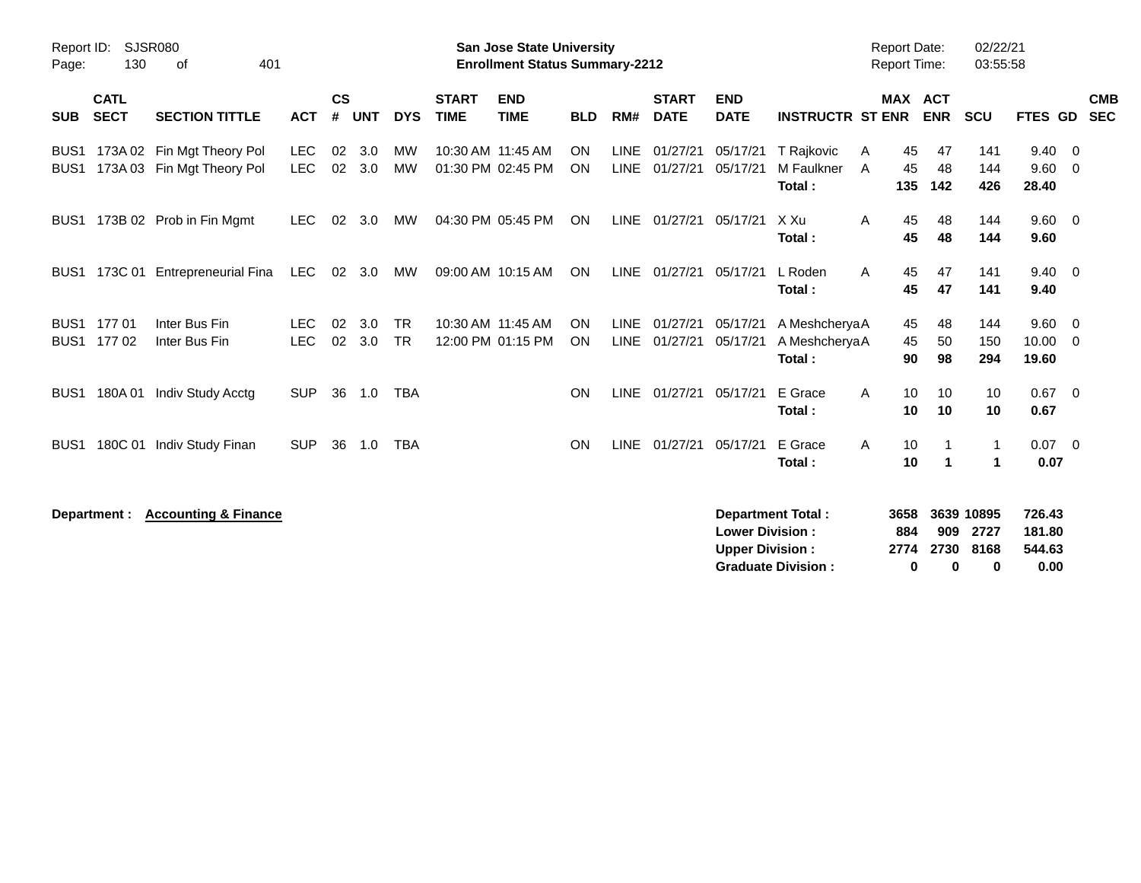| Report ID:<br>Page:                  | 130                        | <b>SJSR080</b><br>401<br>οf                              |                          |                    |            |                 |                             | <b>San Jose State University</b><br><b>Enrollment Status Summary-2212</b> |            |     |                                |                                                  |                                                       |        | <b>Report Date:</b><br><b>Report Time:</b> |                            | 02/22/21<br>03:55:58            |                                    |                                 |                          |
|--------------------------------------|----------------------------|----------------------------------------------------------|--------------------------|--------------------|------------|-----------------|-----------------------------|---------------------------------------------------------------------------|------------|-----|--------------------------------|--------------------------------------------------|-------------------------------------------------------|--------|--------------------------------------------|----------------------------|---------------------------------|------------------------------------|---------------------------------|--------------------------|
| <b>SUB</b>                           | <b>CATL</b><br><b>SECT</b> | <b>SECTION TITTLE</b>                                    | <b>ACT</b>               | $\mathsf{cs}$<br># | <b>UNT</b> | <b>DYS</b>      | <b>START</b><br><b>TIME</b> | <b>END</b><br><b>TIME</b>                                                 | <b>BLD</b> | RM# | <b>START</b><br><b>DATE</b>    | <b>END</b><br><b>DATE</b>                        | <b>INSTRUCTR ST ENR</b>                               |        | <b>MAX ACT</b>                             | <b>ENR</b>                 | <b>SCU</b>                      | FTES GD                            |                                 | <b>CMB</b><br><b>SEC</b> |
| BUS <sub>1</sub><br>BUS <sub>1</sub> |                            | 173A 02 Fin Mgt Theory Pol<br>173A 03 Fin Mgt Theory Pol | <b>LEC</b><br><b>LEC</b> | 02<br>02           | 3.0<br>3.0 | MW<br>MW        | 10:30 AM 11:45 AM           | 01:30 PM 02:45 PM                                                         | ON<br>ON   |     | LINE 01/27/21<br>LINE 01/27/21 | 05/17/21<br>05/17/21                             | T Rajkovic<br>M Faulkner<br>Total:                    | A<br>A | 45<br>45<br>135                            | 47<br>48<br>142            | 141<br>144<br>426               | 9.40<br>9.60<br>28.40              | - 0<br>- 0                      |                          |
| BUS <sub>1</sub>                     |                            | 173B 02 Prob in Fin Mgmt                                 | <b>LEC</b>               | 02                 | 3.0        | MW              |                             | 04:30 PM 05:45 PM                                                         | ON         |     | LINE 01/27/21                  | 05/17/21                                         | X Xu<br>Total:                                        | A      | 45<br>45                                   | 48<br>48                   | 144<br>144                      | 9.60 0<br>9.60                     |                                 |                          |
| BUS <sub>1</sub>                     |                            | 173C 01 Entrepreneurial Fina                             | LEC                      |                    | 02 3.0     | MW              |                             | 09:00 AM 10:15 AM                                                         | ON         |     | LINE 01/27/21                  | 05/17/21                                         | L Roden<br>Total:                                     | A      | 45<br>45                                   | 47<br>47                   | 141<br>141                      | $9.40 \quad 0$<br>9.40             |                                 |                          |
| BUS <sub>1</sub><br>BUS <sub>1</sub> | 17701<br>17702             | Inter Bus Fin<br>Inter Bus Fin                           | <b>LEC</b><br><b>LEC</b> | 02<br>02           | 3.0<br>3.0 | TR<br><b>TR</b> |                             | 10:30 AM 11:45 AM<br>12:00 PM 01:15 PM                                    | ON<br>ON   |     | LINE 01/27/21<br>LINE 01/27/21 | 05/17/21<br>05/17/21                             | A MeshcheryaA<br>A MeshcheryaA<br>Total:              |        | 45<br>45<br>90                             | 48<br>50<br>98             | 144<br>150<br>294               | 9.60<br>10.00<br>19.60             | $\overline{\phantom{0}}$<br>- 0 |                          |
| BUS <sub>1</sub>                     | 180A 01                    | Indiv Study Acctg                                        | <b>SUP</b>               | 36                 | 1.0        | <b>TBA</b>      |                             |                                                                           | ON         |     | LINE 01/27/21                  | 05/17/21                                         | E Grace<br>Total:                                     | A      | 10<br>10                                   | 10<br>10                   | 10<br>10                        | $0.67$ 0<br>0.67                   |                                 |                          |
| BUS <sub>1</sub>                     |                            | 180C 01 Indiv Study Finan                                | <b>SUP</b>               | 36                 | 1.0        | <b>TBA</b>      |                             |                                                                           | ON         |     | LINE 01/27/21                  | 05/17/21                                         | E Grace<br>Total:                                     | A      | 10<br>10                                   | -1<br>$\blacktriangleleft$ | 1<br>$\mathbf 1$                | $0.07 \quad 0$<br>0.07             |                                 |                          |
|                                      | Department :               | <b>Accounting &amp; Finance</b>                          |                          |                    |            |                 |                             |                                                                           |            |     |                                | <b>Lower Division:</b><br><b>Upper Division:</b> | <b>Department Total:</b><br><b>Graduate Division:</b> |        | 3658<br>884<br>2774<br>0                   | 909<br>2730<br>0           | 3639 10895<br>2727<br>8168<br>0 | 726.43<br>181.80<br>544.63<br>0.00 |                                 |                          |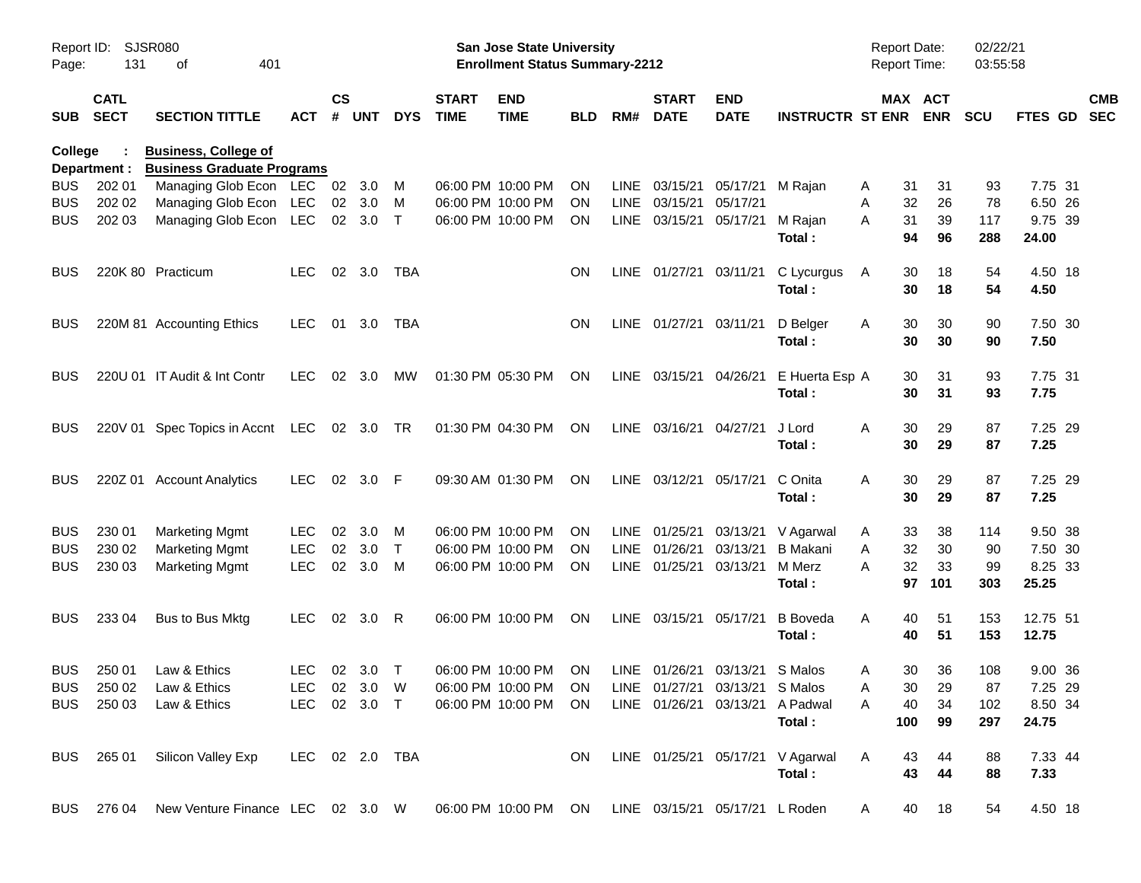| Report ID:<br>Page: | 131                        | SJSR080<br>401<br>оf                                             |                |                    |                |              |                             | <b>San Jose State University</b><br><b>Enrollment Status Summary-2212</b> |            |             |                             |                                |                                  | <b>Report Date:</b><br>Report Time: |                       | 02/22/21<br>03:55:58 |                   |                           |
|---------------------|----------------------------|------------------------------------------------------------------|----------------|--------------------|----------------|--------------|-----------------------------|---------------------------------------------------------------------------|------------|-------------|-----------------------------|--------------------------------|----------------------------------|-------------------------------------|-----------------------|----------------------|-------------------|---------------------------|
| <b>SUB</b>          | <b>CATL</b><br><b>SECT</b> | <b>SECTION TITTLE</b>                                            | <b>ACT</b>     | $\mathsf{cs}$<br># | <b>UNT</b>     | <b>DYS</b>   | <b>START</b><br><b>TIME</b> | <b>END</b><br><b>TIME</b>                                                 | <b>BLD</b> | RM#         | <b>START</b><br><b>DATE</b> | <b>END</b><br><b>DATE</b>      | <b>INSTRUCTR ST ENR</b>          |                                     | MAX ACT<br><b>ENR</b> | <b>SCU</b>           |                   | <b>CMB</b><br>FTES GD SEC |
| College             | Department :               | <b>Business, College of</b><br><b>Business Graduate Programs</b> |                |                    |                |              |                             |                                                                           |            |             |                             |                                |                                  |                                     |                       |                      |                   |                           |
| <b>BUS</b>          | 202 01                     | Managing Glob Econ LEC                                           |                | 02                 | 3.0            | м            |                             | 06:00 PM 10:00 PM                                                         | <b>ON</b>  | LINE        | 03/15/21                    | 05/17/21                       | M Rajan                          | 31<br>Α                             | 31                    | 93                   | 7.75 31           |                           |
| <b>BUS</b>          | 202 02                     | Managing Glob Econ LEC                                           |                | 02                 | 3.0            | M            |                             | 06:00 PM 10:00 PM                                                         | <b>ON</b>  |             | LINE 03/15/21               | 05/17/21                       |                                  | 32<br>A                             | 26                    | 78                   | 6.50 26           |                           |
| <b>BUS</b>          | 202 03                     | Managing Glob Econ LEC                                           |                |                    | 02 3.0         | $\top$       |                             | 06:00 PM 10:00 PM                                                         | <b>ON</b>  |             | LINE 03/15/21               | 05/17/21                       | M Rajan                          | 31<br>A                             | 39                    | 117                  | 9.75 39           |                           |
|                     |                            |                                                                  |                |                    |                |              |                             |                                                                           |            |             |                             |                                | Total:                           | 94                                  | 96                    | 288                  | 24.00             |                           |
| <b>BUS</b>          |                            | 220K 80 Practicum                                                | LEC.           |                    | 02 3.0         | TBA          |                             |                                                                           | <b>ON</b>  |             | LINE 01/27/21 03/11/21      |                                | C Lycurgus                       | A<br>30                             | 18                    | 54                   | 4.50 18           |                           |
|                     |                            |                                                                  |                |                    |                |              |                             |                                                                           |            |             |                             |                                | Total:                           | 30                                  | 18                    | 54                   | 4.50              |                           |
| <b>BUS</b>          |                            | 220M 81 Accounting Ethics                                        | LEC.           | 01                 | 3.0            | TBA          |                             |                                                                           | ON         |             | LINE 01/27/21 03/11/21      |                                | D Belger                         | A<br>30                             | 30                    | 90                   | 7.50 30           |                           |
|                     |                            |                                                                  |                |                    |                |              |                             |                                                                           |            |             |                             |                                | Total:                           | 30                                  | 30                    | 90                   | 7.50              |                           |
| <b>BUS</b>          |                            | 220U 01 IT Audit & Int Contr                                     | LEC.           |                    | $02 \quad 3.0$ | МW           |                             | 01:30 PM 05:30 PM                                                         | ON         |             | LINE 03/15/21 04/26/21      |                                | E Huerta Esp A                   | 30                                  | 31                    | 93                   | 7.75 31           |                           |
|                     |                            |                                                                  |                |                    |                |              |                             |                                                                           |            |             |                             |                                | Total:                           | 30                                  | 31                    | 93                   | 7.75              |                           |
| <b>BUS</b>          |                            | 220V 01 Spec Topics in Accnt LEC 02 3.0 TR                       |                |                    |                |              |                             | 01:30 PM 04:30 PM                                                         | ON         |             | LINE 03/16/21               | 04/27/21                       | J Lord                           | 30<br>A                             | 29                    | 87                   | 7.25 29           |                           |
|                     |                            |                                                                  |                |                    |                |              |                             |                                                                           |            |             |                             |                                | Total:                           | 30                                  | 29                    | 87                   | 7.25              |                           |
| <b>BUS</b>          |                            | 220Z 01 Account Analytics                                        | LEC.           |                    | 02 3.0 F       |              |                             | 09:30 AM 01:30 PM                                                         | <b>ON</b>  |             | LINE 03/12/21               | 05/17/21                       | C Onita                          | A<br>30                             | 29                    | 87                   | 7.25 29           |                           |
|                     |                            |                                                                  |                |                    |                |              |                             |                                                                           |            |             |                             |                                | Total:                           | 30                                  | 29                    | 87                   | 7.25              |                           |
| <b>BUS</b>          | 230 01                     | <b>Marketing Mgmt</b>                                            | <b>LEC</b>     | 02                 | 3.0            | M            |                             | 06:00 PM 10:00 PM                                                         | <b>ON</b>  |             | LINE 01/25/21               | 03/13/21                       | V Agarwal                        | 33<br>A                             | 38                    | 114                  | 9.50 38           |                           |
| <b>BUS</b>          | 230 02                     | <b>Marketing Mgmt</b>                                            | <b>LEC</b>     | 02                 | 3.0            | $\top$       |                             | 06:00 PM 10:00 PM                                                         | <b>ON</b>  | <b>LINE</b> | 01/26/21                    | 03/13/21                       | <b>B</b> Makani                  | 32<br>A                             | 30                    | 90                   | 7.50 30           |                           |
| <b>BUS</b>          | 230 03                     | <b>Marketing Mgmt</b>                                            | <b>LEC</b>     | 02                 | 3.0            | M            |                             | 06:00 PM 10:00 PM                                                         | ON         |             | LINE 01/25/21               | 03/13/21                       | M Merz<br>Total:                 | 32<br>А<br>97                       | 33<br>101             | 99<br>303            | 8.25 33<br>25.25  |                           |
|                     |                            |                                                                  |                |                    |                |              |                             |                                                                           |            |             |                             |                                |                                  |                                     |                       |                      |                   |                           |
| <b>BUS</b>          | 233 04                     | Bus to Bus Mktg                                                  | LEC.           |                    | 02 3.0         | -R           |                             | 06:00 PM 10:00 PM                                                         | ON         |             | LINE 03/15/21               | 05/17/21                       | <b>B</b> Boveda<br>Total:        | 40<br>A<br>40                       | 51<br>51              | 153<br>153           | 12.75 51<br>12.75 |                           |
|                     |                            |                                                                  |                |                    |                |              |                             |                                                                           |            |             |                             |                                |                                  |                                     |                       |                      |                   |                           |
| <b>BUS</b>          | 250 01                     | Law & Ethics                                                     | LEC.           |                    | $02 \quad 3.0$ | $\top$       |                             | 06:00 PM 10:00 PM                                                         | <b>ON</b>  |             |                             | LINE 01/26/21 03/13/21 S Malos |                                  | 30<br>A                             | 36                    | 108                  | 9.00 36           |                           |
|                     |                            | BUS 250 02 Law & Ethics                                          |                |                    |                |              |                             | LEC 02 3.0 W  06:00 PM 10:00 PM  ON  LINE  01/27/21  03/13/21  SMalos     |            |             |                             |                                |                                  | A                                   | 30 <sub>o</sub><br>29 | 87                   | 7.25 29           |                           |
|                     |                            | BUS 250 03 Law & Ethics                                          |                |                    |                | LEC 02 3.0 T |                             | 06:00 PM 10:00 PM ON LINE 01/26/21 03/13/21 A Padwal                      |            |             |                             |                                | Total:                           | 40<br>A<br>100                      | 34<br>99              | 102<br>297           | 8.50 34<br>24.75  |                           |
|                     |                            | BUS 265 01 Silicon Valley Exp                                    | LEC 02 2.0 TBA |                    |                |              |                             |                                                                           | ON.        |             |                             |                                | LINE 01/25/21 05/17/21 V Agarwal | A<br>43                             | 44                    | 88                   | 7.33 44           |                           |
|                     |                            |                                                                  |                |                    |                |              |                             |                                                                           |            |             |                             |                                | Total:                           | 43                                  | 44                    | 88                   | 7.33              |                           |
|                     |                            | BUS 276 04 New Venture Finance LEC 02 3.0 W                      |                |                    |                |              |                             | 06:00 PM 10:00 PM ON LINE 03/15/21 05/17/21 L Roden                       |            |             |                             |                                |                                  | A                                   | 40 18                 | 54                   | 4.50 18           |                           |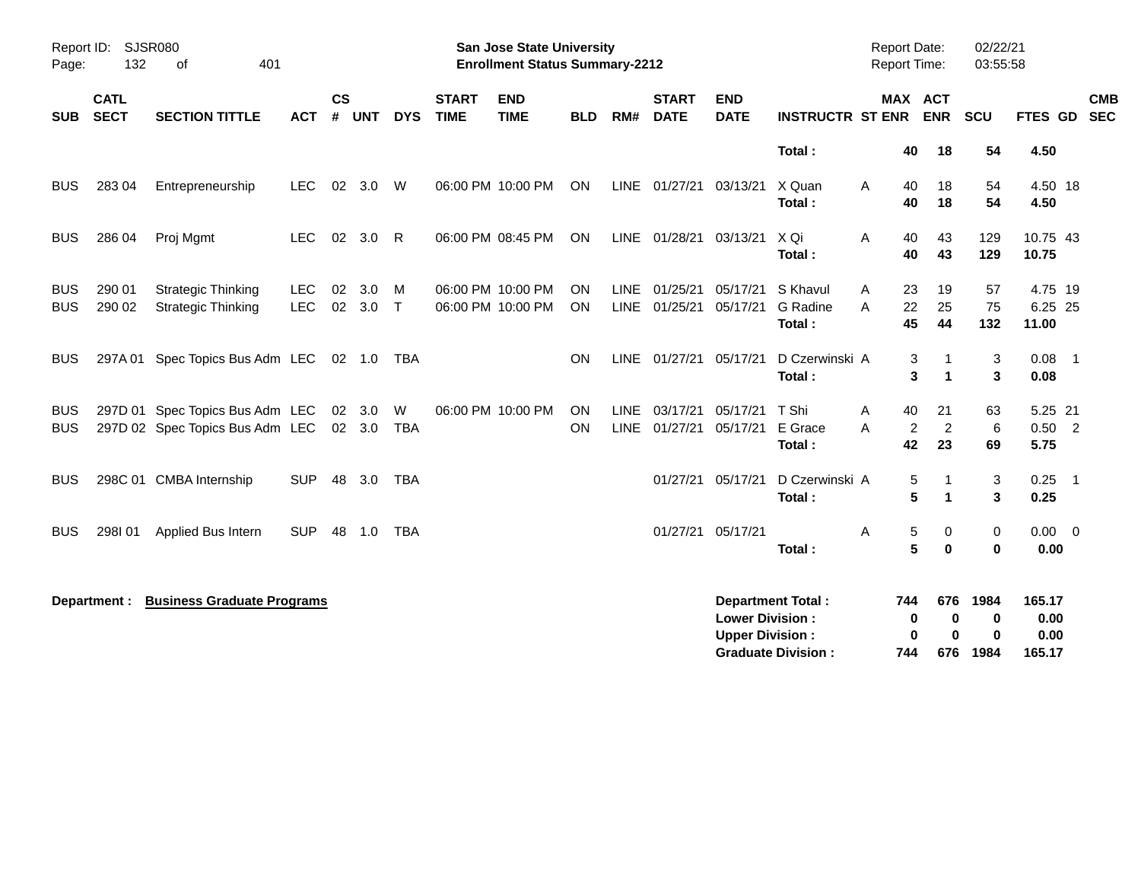| Page:                    | Report ID:<br><b>SJSR080</b><br>132<br>401<br>of |                                                                    |                          |                |                  |                 |                             | <b>San Jose State University</b><br><b>Enrollment Status Summary-2212</b> |                        |                            |                             |                                                  |                                                       |        | <b>Report Date:</b><br><b>Report Time:</b> |                            | 02/22/21<br>03:55:58          |                                  |                          |  |
|--------------------------|--------------------------------------------------|--------------------------------------------------------------------|--------------------------|----------------|------------------|-----------------|-----------------------------|---------------------------------------------------------------------------|------------------------|----------------------------|-----------------------------|--------------------------------------------------|-------------------------------------------------------|--------|--------------------------------------------|----------------------------|-------------------------------|----------------------------------|--------------------------|--|
| SUB                      | <b>CATL</b><br><b>SECT</b>                       | <b>SECTION TITTLE</b>                                              | <b>ACT</b>               | <b>CS</b><br># | <b>UNT</b>       | <b>DYS</b>      | <b>START</b><br><b>TIME</b> | <b>END</b><br><b>TIME</b>                                                 | <b>BLD</b>             | RM#                        | <b>START</b><br><b>DATE</b> | <b>END</b><br><b>DATE</b>                        | <b>INSTRUCTR ST ENR</b>                               |        |                                            | MAX ACT<br><b>ENR</b>      | <b>SCU</b>                    | <b>FTES GD</b>                   | <b>CMB</b><br><b>SEC</b> |  |
|                          |                                                  |                                                                    |                          |                |                  |                 |                             |                                                                           |                        |                            |                             |                                                  | Total:                                                |        | 40                                         | 18                         | 54                            | 4.50                             |                          |  |
| <b>BUS</b>               | 283 04                                           | Entrepreneurship                                                   | <b>LEC</b>               |                | 02 3.0           | W               |                             | 06:00 PM 10:00 PM                                                         | ON                     |                            | LINE 01/27/21               | 03/13/21                                         | X Quan<br>Total:                                      | A      | 40<br>40                                   | 18<br>18                   | 54<br>54                      | 4.50 18<br>4.50                  |                          |  |
| <b>BUS</b>               | 286 04                                           | Proj Mgmt                                                          | <b>LEC</b>               | 02             | 3.0              | $\mathsf{R}$    |                             | 06:00 PM 08:45 PM                                                         | ON                     |                            | LINE 01/28/21               | 03/13/21                                         | X Qi<br>Total:                                        | A      | 40<br>40                                   | 43<br>43                   | 129<br>129                    | 10.75 43<br>10.75                |                          |  |
| <b>BUS</b><br><b>BUS</b> | 290 01<br>290 02                                 | <b>Strategic Thinking</b><br><b>Strategic Thinking</b>             | <b>LEC</b><br><b>LEC</b> | 02             | 3.0<br>02 3.0    | M<br>$\top$     |                             | 06:00 PM 10:00 PM<br>06:00 PM 10:00 PM                                    | <b>ON</b><br><b>ON</b> | <b>LINE</b>                | 01/25/21<br>LINE 01/25/21   | 05/17/21<br>05/17/21                             | S Khavul<br>G Radine<br>Total:                        | A<br>A | 23<br>22<br>45                             | 19<br>25<br>44             | 57<br>75<br>132               | 4.75 19<br>6.25 25<br>11.00      |                          |  |
| <b>BUS</b>               | 297A 01                                          | Spec Topics Bus Adm LEC                                            |                          |                | 02  1.0  TBA     |                 |                             |                                                                           | ON                     |                            | LINE 01/27/21               | 05/17/21                                         | D Czerwinski A<br>Total:                              |        | 3<br>3                                     | -1<br>$\overline{1}$       | 3<br>3                        | $0.08$ 1<br>0.08                 |                          |  |
| <b>BUS</b><br><b>BUS</b> |                                                  | 297D 01 Spec Topics Bus Adm LEC<br>297D 02 Spec Topics Bus Adm LEC |                          |                | 02 3.0<br>02 3.0 | W<br><b>TBA</b> |                             | 06:00 PM 10:00 PM                                                         | ON<br>ON               | <b>LINE</b><br><b>LINE</b> | 03/17/21<br>01/27/21        | 05/17/21<br>05/17/21                             | T Shi<br>E Grace<br>Total:                            | Α<br>A | 40<br>2<br>42                              | 21<br>$\overline{2}$<br>23 | 63<br>6<br>69                 | 5.25 21<br>$0.50$ 2<br>5.75      |                          |  |
| <b>BUS</b>               |                                                  | 298C 01 CMBA Internship                                            | <b>SUP</b>               | 48             | 3.0              | <b>TBA</b>      |                             |                                                                           |                        |                            | 01/27/21                    | 05/17/21                                         | D Czerwinski A<br>Total:                              |        | 5<br>5                                     | -1<br>$\mathbf{1}$         | 3<br>3                        | 0.25<br>0.25                     | $\overline{\phantom{0}}$ |  |
| BUS                      | 298I01                                           | Applied Bus Intern                                                 | <b>SUP</b>               | 48             | 1.0              | TBA             |                             |                                                                           |                        |                            | 01/27/21                    | 05/17/21                                         | Total:                                                | Α      | 5<br>5                                     | 0<br>$\bf{0}$              | 0<br>$\bf{0}$                 | $0.00 \quad 0$<br>0.00           |                          |  |
|                          | Department :                                     | <b>Business Graduate Programs</b>                                  |                          |                |                  |                 |                             |                                                                           |                        |                            |                             | <b>Lower Division:</b><br><b>Upper Division:</b> | <b>Department Total:</b><br><b>Graduate Division:</b> |        | 744<br>0<br>0<br>744                       | 676<br>0<br>0<br>676       | 1984<br>0<br>$\bf{0}$<br>1984 | 165.17<br>0.00<br>0.00<br>165.17 |                          |  |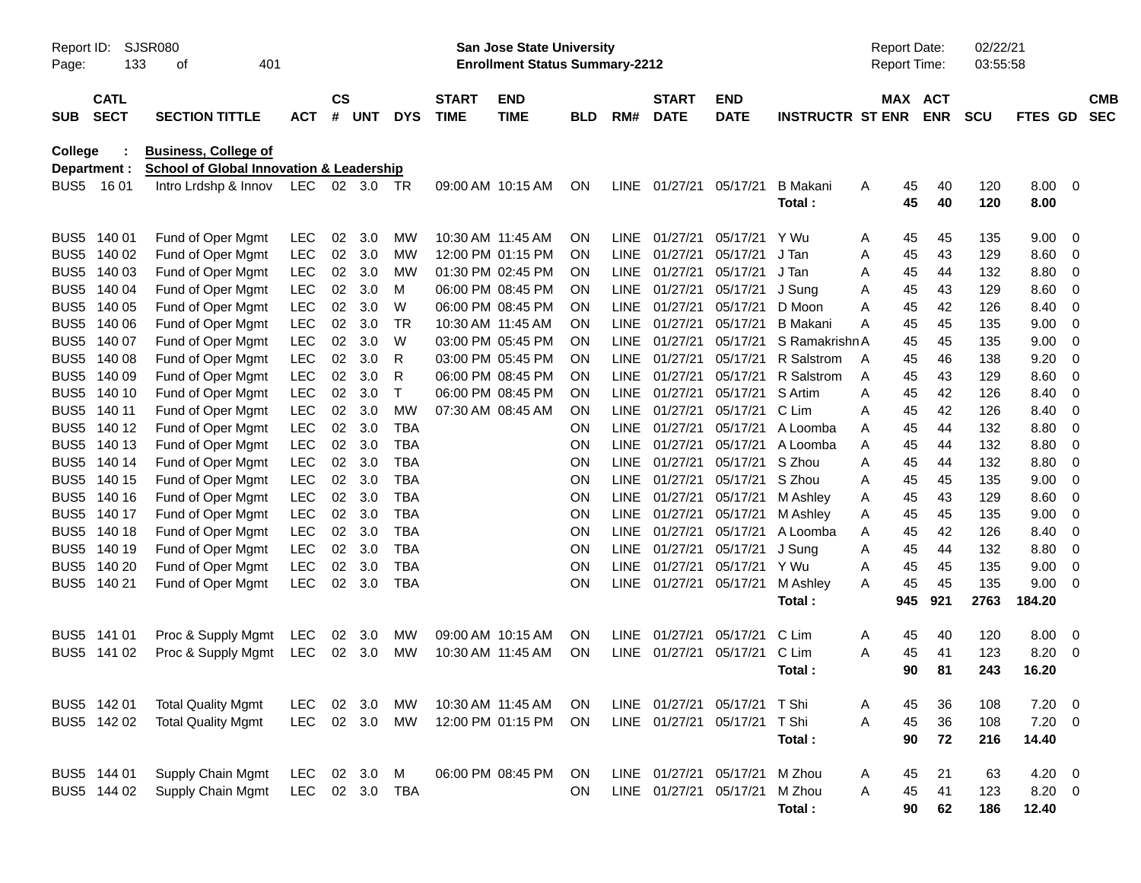| Report ID:<br>Page: | <b>SJSR080</b><br>133      |                                                                             |                |                |     |            | <b>San Jose State University</b><br><b>Enrollment Status Summary-2212</b> |                           |            |             |                             |                               |                         | <b>Report Date:</b><br>Report Time: | 02/22/21<br>03:55:58     |            |                |                          |
|---------------------|----------------------------|-----------------------------------------------------------------------------|----------------|----------------|-----|------------|---------------------------------------------------------------------------|---------------------------|------------|-------------|-----------------------------|-------------------------------|-------------------------|-------------------------------------|--------------------------|------------|----------------|--------------------------|
| <b>SUB</b>          | <b>CATL</b><br><b>SECT</b> | <b>SECTION TITTLE</b>                                                       | <b>ACT</b>     | <b>CS</b><br># | UNT | <b>DYS</b> | <b>START</b><br><b>TIME</b>                                               | <b>END</b><br><b>TIME</b> | <b>BLD</b> | RM#         | <b>START</b><br><b>DATE</b> | <b>END</b><br><b>DATE</b>     | <b>INSTRUCTR ST ENR</b> | MAX                                 | <b>ACT</b><br><b>ENR</b> | <b>SCU</b> | <b>FTES GD</b> | <b>CMB</b><br><b>SEC</b> |
| <b>College</b>      |                            | <b>Business, College of</b>                                                 |                |                |     |            |                                                                           |                           |            |             |                             |                               |                         |                                     |                          |            |                |                          |
|                     | Department :<br>BUS5 16 01 | <b>School of Global Innovation &amp; Leadership</b><br>Intro Lrdshp & Innov | LEC 02 3.0 TR  |                |     |            |                                                                           | 09:00 AM 10:15 AM         | ON         | LINE        | 01/27/21                    | 05/17/21                      | <b>B</b> Makani         | Α                                   | 45<br>40                 | 120        | 8.00           | 0                        |
|                     |                            |                                                                             |                |                |     |            |                                                                           |                           |            |             |                             |                               | Total:                  |                                     | 45<br>40                 | 120        | 8.00           |                          |
| BUS <sub>5</sub>    | 140 01                     | Fund of Oper Mgmt                                                           | LEC            | 02             | 3.0 | <b>MW</b>  | 10:30 AM 11:45 AM                                                         |                           | ON         | <b>LINE</b> | 01/27/21                    | 05/17/21                      | Y Wu                    | A                                   | 45<br>45                 | 135        | 9.00           | 0                        |
| BUS <sub>5</sub>    | 140 02                     | Fund of Oper Mgmt                                                           | <b>LEC</b>     | 02             | 3.0 | <b>MW</b>  |                                                                           | 12:00 PM 01:15 PM         | ON         | <b>LINE</b> | 01/27/21                    | 05/17/21                      | J Tan                   | Α                                   | 45<br>43                 | 129        | 8.60           | 0                        |
| BUS <sub>5</sub>    | 140 03                     | Fund of Oper Mgmt                                                           | <b>LEC</b>     | 02             | 3.0 | <b>MW</b>  |                                                                           | 01:30 PM 02:45 PM         | 0N         | <b>LINE</b> | 01/27/21                    | 05/17/21                      | J Tan                   | Α                                   | 44<br>45                 | 132        | 8.80           | 0                        |
| BUS <sub>5</sub>    | 140 04                     | Fund of Oper Mgmt                                                           | <b>LEC</b>     | 02             | 3.0 | M          |                                                                           | 06:00 PM 08:45 PM         | 0N         | <b>LINE</b> | 01/27/21                    | 05/17/21                      | J Sung                  | Α                                   | 43<br>45                 | 129        | 8.60           | 0                        |
| BUS <sub>5</sub>    | 140 05                     | Fund of Oper Mgmt                                                           | <b>LEC</b>     | 02             | 3.0 | W          |                                                                           | 06:00 PM 08:45 PM         | 0N         | <b>LINE</b> | 01/27/21                    | 05/17/21                      | D Moon                  | Α                                   | 42<br>45                 | 126        | 8.40           | 0                        |
| BUS <sub>5</sub>    | 140 06                     | Fund of Oper Mgmt                                                           | <b>LEC</b>     | 02             | 3.0 | TR         | 10:30 AM 11:45 AM                                                         |                           | ΟN         | <b>LINE</b> | 01/27/21                    | 05/17/21                      | <b>B</b> Makani         | Α                                   | 45<br>45                 | 135        | 9.00           | 0                        |
| BUS <sub>5</sub>    | 140 07                     | Fund of Oper Mgmt                                                           | <b>LEC</b>     | 02             | 3.0 | W          |                                                                           | 03:00 PM 05:45 PM         | 0N         | <b>LINE</b> | 01/27/21                    | 05/17/21                      | S Ramakrishn A          |                                     | 45<br>45                 | 135        | 9.00           | 0                        |
| BUS <sub>5</sub>    | 140 08                     | Fund of Oper Mgmt                                                           | <b>LEC</b>     | 02             | 3.0 | R          |                                                                           | 03:00 PM 05:45 PM         | 0N         | <b>LINE</b> | 01/27/21                    | 05/17/21                      | R Salstrom              | A                                   | 45<br>46                 | 138        | 9.20           | 0                        |
| BUS <sub>5</sub>    | 140 09                     | Fund of Oper Mgmt                                                           | <b>LEC</b>     | 02             | 3.0 | R          |                                                                           | 06:00 PM 08:45 PM         | ΟN         | <b>LINE</b> | 01/27/21                    | 05/17/21                      | R Salstrom              | Α                                   | 45<br>43                 | 129        | 8.60           | 0                        |
| BUS <sub>5</sub>    | 140 10                     | Fund of Oper Mgmt                                                           | <b>LEC</b>     | 02             | 3.0 | Т          |                                                                           | 06:00 PM 08:45 PM         | ΟN         | <b>LINE</b> | 01/27/21                    | 05/17/21                      | S Artim                 | Α                                   | 42<br>45                 | 126        | 8.40           | 0                        |
| BUS <sub>5</sub>    | 140 11                     | Fund of Oper Mgmt                                                           | <b>LEC</b>     | 02             | 3.0 | <b>MW</b>  |                                                                           | 07:30 AM 08:45 AM         | ON         | <b>LINE</b> | 01/27/21                    | 05/17/21                      | C Lim                   | Α                                   | 42<br>45                 | 126        | 8.40           | 0                        |
| BUS <sub>5</sub>    | 140 12                     | Fund of Oper Mgmt                                                           | <b>LEC</b>     | 02             | 3.0 | <b>TBA</b> |                                                                           |                           | ON         | <b>LINE</b> | 01/27/21                    | 05/17/21                      | A Loomba                | Α                                   | 44<br>45                 | 132        | 8.80           | 0                        |
| BUS <sub>5</sub>    | 140 13                     | Fund of Oper Mgmt                                                           | <b>LEC</b>     | 02             | 3.0 | <b>TBA</b> |                                                                           |                           | ON         | <b>LINE</b> | 01/27/21                    | 05/17/21                      | A Loomba                | Α                                   | 44<br>45                 | 132        | 8.80           | 0                        |
| BUS <sub>5</sub>    | 140 14                     | Fund of Oper Mgmt                                                           | <b>LEC</b>     | 02             | 3.0 | <b>TBA</b> |                                                                           |                           | ON         | <b>LINE</b> | 01/27/21                    | 05/17/21                      | S Zhou                  | A                                   | 44<br>45                 | 132        | 8.80           | 0                        |
| BUS <sub>5</sub>    | 140 15                     | Fund of Oper Mgmt                                                           | <b>LEC</b>     | 02             | 3.0 | <b>TBA</b> |                                                                           |                           | ON         | <b>LINE</b> | 01/27/21                    | 05/17/21                      | S Zhou                  | Α                                   | 45<br>45                 | 135        | 9.00           | 0                        |
| BUS <sub>5</sub>    | 140 16                     | Fund of Oper Mgmt                                                           | <b>LEC</b>     | 02             | 3.0 | <b>TBA</b> |                                                                           |                           | ON         | <b>LINE</b> | 01/27/21                    | 05/17/21                      | M Ashley                | Α                                   | 43<br>45                 | 129        | 8.60           | 0                        |
| BUS <sub>5</sub>    | 140 17                     | Fund of Oper Mgmt                                                           | <b>LEC</b>     | 02             | 3.0 | <b>TBA</b> |                                                                           |                           | ON         | <b>LINE</b> | 01/27/21                    | 05/17/21                      | M Ashley                | Α                                   | 45<br>45                 | 135        | 9.00           | 0                        |
| BUS <sub>5</sub>    | 140 18                     | Fund of Oper Mgmt                                                           | <b>LEC</b>     | 02             | 3.0 | <b>TBA</b> |                                                                           |                           | ON         | <b>LINE</b> | 01/27/21                    | 05/17/21                      | A Loomba                | Α                                   | 42<br>45                 | 126        | 8.40           | 0                        |
| BUS <sub>5</sub>    | 140 19                     | Fund of Oper Mgmt                                                           | <b>LEC</b>     | 02             | 3.0 | <b>TBA</b> |                                                                           |                           | ON         | <b>LINE</b> | 01/27/21                    | 05/17/21                      | J Sung                  | Α                                   | 44<br>45                 | 132        | 8.80           | 0                        |
| BUS <sub>5</sub>    | 140 20                     | Fund of Oper Mgmt                                                           | <b>LEC</b>     | 02             | 3.0 | <b>TBA</b> |                                                                           |                           | ON         | <b>LINE</b> | 01/27/21                    | 05/17/21                      | Y Wu                    | Α                                   | 45<br>45                 | 135        | 9.00           | 0                        |
|                     | BUS5 140 21                | Fund of Oper Mgmt                                                           | <b>LEC</b>     | 02             | 3.0 | TBA        |                                                                           |                           | ON         | LINE        | 01/27/21                    | 05/17/21                      | M Ashley                | Α                                   | 45<br>45                 | 135        | 9.00           | 0                        |
|                     |                            |                                                                             |                |                |     |            |                                                                           |                           |            |             |                             |                               | Total:                  |                                     | 945<br>921               | 2763       | 184.20         |                          |
| BUS <sub>5</sub>    | 141 01                     | Proc & Supply Mgmt                                                          | LEC            | 02             | 3.0 | МW         | 09:00 AM 10:15 AM                                                         |                           | 0N         | <b>LINE</b> | 01/27/21                    | 05/17/21                      | C Lim                   | A                                   | 40<br>45                 | 120        | 8.00           | 0                        |
|                     | BUS5 141 02                | Proc & Supply Mgmt                                                          | LEC            | 02             | 3.0 | <b>MW</b>  | 10:30 AM 11:45 AM                                                         |                           | ON         | LINE        | 01/27/21                    | 05/17/21                      | C Lim                   | A                                   | 45<br>41                 | 123        | 8.20           | 0                        |
|                     |                            |                                                                             |                |                |     |            |                                                                           |                           |            |             |                             |                               | Total:                  |                                     | 90<br>81                 | 243        | 16.20          |                          |
|                     | BUS5 142 01                | <b>Total Quality Mgmt</b>                                                   | LEC 02 3.0     |                |     | МW         | 10:30 AM 11:45 AM                                                         |                           | ON         |             |                             | LINE 01/27/21 05/17/21 T Shi  |                         | A                                   | 45<br>36                 | 108        | 7.20           | 0                        |
|                     | BUS5 142 02                | <b>Total Quality Mgmt</b>                                                   | LEC 02 3.0     |                |     | MW         |                                                                           | 12:00 PM 01:15 PM         | ON         |             |                             | LINE 01/27/21 05/17/21 T Shi  |                         | Α                                   | 45<br>36                 | 108        | 7.20           | 0                        |
|                     |                            |                                                                             |                |                |     |            |                                                                           |                           |            |             |                             |                               | Total:                  |                                     | 72<br>90                 | 216        | 14.40          |                          |
|                     | BUS5 144 01                | Supply Chain Mgmt                                                           | LEC 02 3.0     |                |     | M          |                                                                           | 06:00 PM 08:45 PM         | ON         |             |                             | LINE 01/27/21 05/17/21 M Zhou |                         | A                                   | 45<br>21                 | 63         | 4.20           | 0                        |
|                     | BUS5 144 02                | Supply Chain Mgmt                                                           | LEC 02 3.0 TBA |                |     |            |                                                                           |                           | <b>ON</b>  |             |                             | LINE 01/27/21 05/17/21 M Zhou |                         | Α                                   | 41<br>45                 | 123        | 8.20           | 0                        |
|                     |                            |                                                                             |                |                |     |            |                                                                           |                           |            |             |                             |                               | Total:                  |                                     | 62<br>90                 | 186        | 12.40          |                          |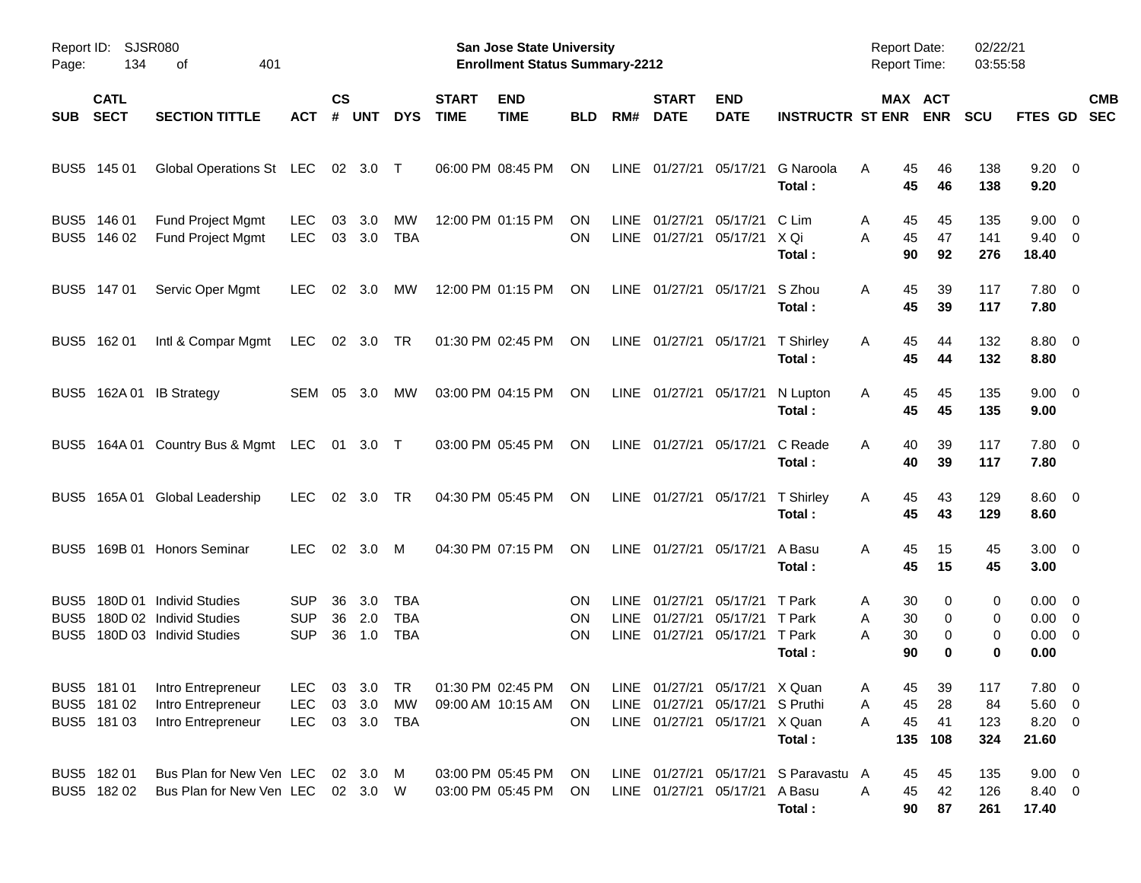| Page:                            | Report ID: SJSR080<br>134  |                                                                               |                                        |                    |                   |                                        | <b>San Jose State University</b><br><b>Enrollment Status Summary-2212</b> |                                              |                              |                     |                                       |                                                                                                   | <b>Report Date:</b><br><b>Report Time:</b>     |                                      | 02/22/21<br>03:55:58  |                         |                                                         |                          |                          |
|----------------------------------|----------------------------|-------------------------------------------------------------------------------|----------------------------------------|--------------------|-------------------|----------------------------------------|---------------------------------------------------------------------------|----------------------------------------------|------------------------------|---------------------|---------------------------------------|---------------------------------------------------------------------------------------------------|------------------------------------------------|--------------------------------------|-----------------------|-------------------------|---------------------------------------------------------|--------------------------|--------------------------|
| <b>SUB</b>                       | <b>CATL</b><br><b>SECT</b> | <b>SECTION TITTLE</b>                                                         | АСТ                                    | $\mathsf{cs}$<br># | <b>UNT</b>        | <b>DYS</b>                             | <b>START</b><br><b>TIME</b>                                               | <b>END</b><br><b>TIME</b>                    | <b>BLD</b>                   | RM#                 | <b>START</b><br><b>DATE</b>           | <b>END</b><br><b>DATE</b>                                                                         | <b>INSTRUCTR ST ENR</b>                        |                                      | MAX ACT<br><b>ENR</b> | <b>SCU</b>              | FTES GD                                                 |                          | <b>CMB</b><br><b>SEC</b> |
|                                  | BUS5 145 01                | Global Operations St LEC                                                      |                                        |                    | 02 3.0 T          |                                        |                                                                           | 06:00 PM 08:45 PM                            | ON                           |                     | LINE 01/27/21                         | 05/17/21                                                                                          | G Naroola<br>Total:                            | A<br>45<br>45                        | 46<br>46              | 138<br>138              | $9.20 \ 0$<br>9.20                                      |                          |                          |
| BUS <sub>5</sub>                 | 146 01<br>BUS5 146 02      | Fund Project Mgmt<br><b>Fund Project Mgmt</b>                                 | <b>LEC</b><br><b>LEC</b>               | 03                 | 3.0<br>03 3.0     | МW<br><b>TBA</b>                       |                                                                           | 12:00 PM 01:15 PM                            | ΟN<br>ON                     | <b>LINE</b>         | 01/27/21<br>LINE 01/27/21             | 05/17/21<br>05/17/21                                                                              | C Lim<br>X Qi<br>Total:                        | Α<br>45<br>45<br>Α<br>90             | 45<br>47<br>92        | 135<br>141<br>276       | 9.00<br>$9.40 \quad 0$<br>18.40                         | $\overline{\phantom{0}}$ |                          |
|                                  | BUS5 147 01                | Servic Oper Mgmt                                                              | LEC                                    | 02                 | 3.0               | МW                                     |                                                                           | 12:00 PM 01:15 PM                            | <b>ON</b>                    |                     |                                       | LINE 01/27/21 05/17/21                                                                            | S Zhou<br>Total:                               | 45<br>A<br>45                        | 39<br>39              | 117<br>117              | $7.80\quad 0$<br>7.80                                   |                          |                          |
|                                  | BUS5 162 01                | Intl & Compar Mgmt                                                            | LEC.                                   |                    | 02 3.0 TR         |                                        |                                                                           | 01:30 PM 02:45 PM                            | ON                           |                     |                                       | LINE 01/27/21 05/17/21                                                                            | T Shirley<br>Total:                            | 45<br>A<br>45                        | 44<br>44              | 132<br>132              | $8.80\quad 0$<br>8.80                                   |                          |                          |
|                                  |                            | BUS5 162A 01 IB Strategy                                                      | SEM 05                                 |                    | 3.0               | МW                                     |                                                                           | 03:00 PM 04:15 PM                            | ON                           |                     |                                       | LINE 01/27/21 05/17/21                                                                            | N Lupton<br>Total:                             | A<br>45<br>45                        | 45<br>45              | 135<br>135              | $9.00 \quad 0$<br>9.00                                  |                          |                          |
|                                  |                            | BUS5 164A 01 Country Bus & Mgmt LEC 01 3.0 T                                  |                                        |                    |                   |                                        |                                                                           | 03:00 PM 05:45 PM                            | ON                           |                     | LINE 01/27/21 05/17/21                |                                                                                                   | C Reade<br>Total:                              | A<br>40<br>40                        | 39<br>39              | 117<br>117              | $7.80 \quad 0$<br>7.80                                  |                          |                          |
|                                  |                            | BUS5 165A 01 Global Leadership                                                | <b>LEC</b>                             | 02                 | 3.0               | TR                                     |                                                                           | 04:30 PM 05:45 PM                            | ON                           |                     |                                       | LINE 01/27/21 05/17/21                                                                            | T Shirley<br>Total:                            | A<br>45<br>45                        | 43<br>43              | 129<br>129              | $8.60 \quad 0$<br>8.60                                  |                          |                          |
|                                  |                            | BUS5 169B 01 Honors Seminar                                                   | <b>LEC</b>                             | 02                 | 3.0 M             |                                        |                                                                           | 04:30 PM 07:15 PM                            | ON                           |                     | LINE 01/27/21 05/17/21                |                                                                                                   | A Basu<br>Total:                               | A<br>45<br>45                        | 15<br>15              | 45<br>45                | $3.00 \ 0$<br>3.00                                      |                          |                          |
| BUS5<br>BUS <sub>5</sub><br>BUS5 |                            | 180D 01 Individ Studies<br>180D 02 Individ Studies<br>180D 03 Individ Studies | <b>SUP</b><br><b>SUP</b><br><b>SUP</b> | 36<br>36<br>36     | 3.0<br>2.0<br>1.0 | <b>TBA</b><br><b>TBA</b><br><b>TBA</b> |                                                                           |                                              | ΟN<br><b>ON</b><br><b>ON</b> | LINE<br><b>LINE</b> | 01/27/21<br>01/27/21<br>LINE 01/27/21 | 05/17/21<br>05/17/21<br>05/17/21 T Park                                                           | T Park<br>T Park<br>Total:                     | 30<br>Α<br>30<br>Α<br>Α<br>30<br>90  | 0<br>0<br>0<br>0      | 0<br>0<br>0<br>0        | $0.00 \quad 0$<br>$0.00 \quad 0$<br>$0.00 \t 0$<br>0.00 |                          |                          |
|                                  | BUS5 181 02<br>BUS5 181 03 | BUS5 181 01 Intro Entrepreneur<br>Intro Entrepreneur<br>Intro Entrepreneur    | LEC 03 3.0 TR<br><b>LEC</b><br>LEC     |                    | 03 3.0 MW         | 03 3.0 TBA                             |                                                                           | 01:30 PM 02:45 PM ON<br>09:00 AM 10:15 AM ON | ON.                          |                     |                                       | LINE 01/27/21 05/17/21 X Quan<br>LINE 01/27/21 05/17/21 S Pruthi<br>LINE 01/27/21 05/17/21 X Quan | Total:                                         | 45<br>A<br>45<br>A<br>45<br>A<br>135 | 39<br>28<br>41<br>108 | 117<br>84<br>123<br>324 | $7.80\ 0$<br>$5.60 \t 0$<br>8.20 0<br>21.60             |                          |                          |
|                                  | BUS5 182 01<br>BUS5 182 02 | Bus Plan for New Ven LEC 02 3.0 M<br>Bus Plan for New Ven LEC 02 3.0 W        |                                        |                    |                   |                                        |                                                                           | 03:00 PM 05:45 PM<br>03:00 PM 05:45 PM       | ON.<br>ON.                   |                     |                                       | LINE 01/27/21 05/17/21 A Basu                                                                     | LINE 01/27/21 05/17/21 S Paravastu A<br>Total: | 45<br>A<br>45<br>90                  | 45<br>42<br>87        | 135<br>126<br>261       | $9.00 \t 0$<br>8.40 0<br>17.40                          |                          |                          |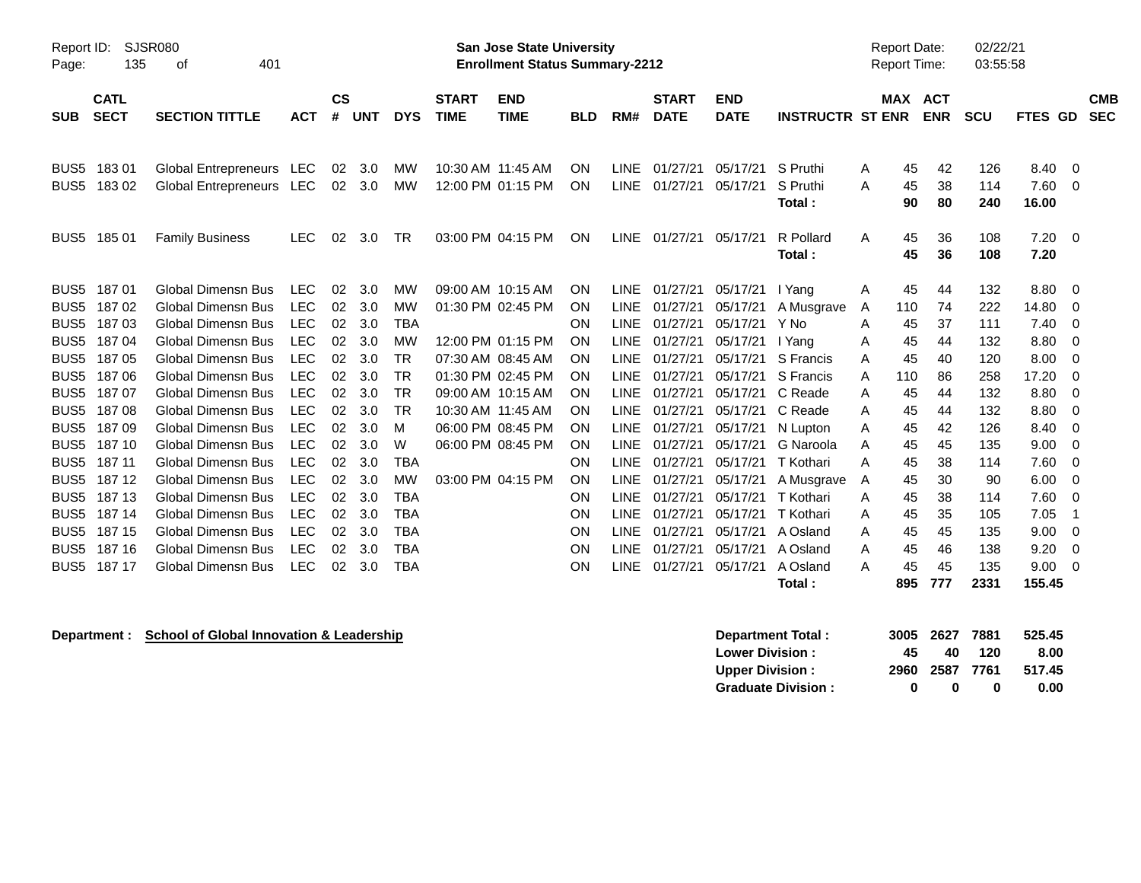| Page:            | <b>SJSR080</b><br>Report ID:<br>135<br>401<br>οf |                             |            |                    |            |            |                             | <b>San Jose State University</b><br><b>Enrollment Status Summary-2212</b> |            |             |                             |                           |                         |   | <b>Report Date:</b><br>Report Time: |            | 02/22/21<br>03:55:58 |             |                                |
|------------------|--------------------------------------------------|-----------------------------|------------|--------------------|------------|------------|-----------------------------|---------------------------------------------------------------------------|------------|-------------|-----------------------------|---------------------------|-------------------------|---|-------------------------------------|------------|----------------------|-------------|--------------------------------|
| <b>SUB</b>       | <b>CATL</b><br><b>SECT</b>                       | <b>SECTION TITTLE</b>       | <b>ACT</b> | $\mathsf{cs}$<br># | <b>UNT</b> | <b>DYS</b> | <b>START</b><br><b>TIME</b> | <b>END</b><br><b>TIME</b>                                                 | <b>BLD</b> | RM#         | <b>START</b><br><b>DATE</b> | <b>END</b><br><b>DATE</b> | <b>INSTRUCTR ST ENR</b> |   | MAX ACT                             | <b>ENR</b> | <b>SCU</b>           | <b>FTES</b> | <b>CMB</b><br><b>SEC</b><br>GD |
|                  |                                                  |                             |            |                    |            |            |                             |                                                                           |            |             |                             |                           |                         |   |                                     |            |                      |             |                                |
| BUS <sub>5</sub> | 18301                                            | Global Entrepreneurs LEC    |            | 02                 | 3.0        | MW         |                             | 10:30 AM 11:45 AM                                                         | ON         | <b>LINE</b> | 01/27/21                    | 05/17/21                  | S Pruthi                | A | 45                                  | 42         | 126                  | 8.40        | $\overline{0}$                 |
| BUS <sub>5</sub> | 18302                                            | <b>Global Entrepreneurs</b> | LEC        | 02                 | 3.0        | MW         |                             | 12:00 PM 01:15 PM                                                         | ON         | <b>LINE</b> | 01/27/21                    | 05/17/21                  | S Pruthi                | A | 45                                  | 38         | 114                  | 7.60        | $\overline{0}$                 |
|                  |                                                  |                             |            |                    |            |            |                             |                                                                           |            |             |                             |                           | Total:                  |   | 90                                  | 80         | 240                  | 16.00       |                                |
| BUS <sub>5</sub> | 18501                                            | <b>Family Business</b>      | <b>LEC</b> | 02                 | 3.0        | <b>TR</b>  |                             | 03:00 PM 04:15 PM                                                         | ON         | LINE        | 01/27/21                    | 05/17/21                  | R Pollard               | A | 45                                  | 36         | 108                  | 7.20        | $\overline{0}$                 |
|                  |                                                  |                             |            |                    |            |            |                             |                                                                           |            |             |                             |                           | Total:                  |   | 45                                  | 36         | 108                  | 7.20        |                                |
| BUS <sub>5</sub> | 18701                                            | <b>Global Dimensn Bus</b>   | <b>LEC</b> | 02                 | 3.0        | MW         |                             | 09:00 AM 10:15 AM                                                         | ON         | LINE        | 01/27/21                    | 05/17/21                  | I Yang                  | A | 45                                  | 44         | 132                  | 8.80        | $\overline{0}$                 |
| BUS <sub>5</sub> | 18702                                            | <b>Global Dimensn Bus</b>   | <b>LEC</b> | 02                 | 3.0        | MW         |                             | 01:30 PM 02:45 PM                                                         | ON         | <b>LINE</b> | 01/27/21                    | 05/17/21                  | A Musgrave              | A | 110                                 | 74         | 222                  | 14.80       | 0                              |
| BUS <sub>5</sub> | 18703                                            | <b>Global Dimensn Bus</b>   | <b>LEC</b> | 02                 | 3.0        | <b>TBA</b> |                             |                                                                           | ON         | <b>LINE</b> | 01/27/21                    | 05/17/21                  | Y No                    | Α | 45                                  | 37         | 111                  | 7.40        | 0                              |
| BUS <sub>5</sub> | 18704                                            | <b>Global Dimensn Bus</b>   | <b>LEC</b> | 02                 | 3.0        | <b>MW</b>  |                             | 12:00 PM 01:15 PM                                                         | ON         | <b>LINE</b> | 01/27/21                    | 05/17/21                  | I Yang                  | A | 45                                  | 44         | 132                  | 8.80        | $\Omega$                       |
| BUS <sub>5</sub> | 18705                                            | <b>Global Dimensn Bus</b>   | <b>LEC</b> | 02                 | 3.0        | TR         |                             | 07:30 AM 08:45 AM                                                         | ON         | <b>LINE</b> | 01/27/21                    | 05/17/21                  | S Francis               | A | 45                                  | 40         | 120                  | 8.00        | 0                              |
| BUS <sub>5</sub> | 18706                                            | <b>Global Dimensn Bus</b>   | <b>LEC</b> | 02                 | 3.0        | TR         |                             | 01:30 PM 02:45 PM                                                         | ON         | <b>LINE</b> | 01/27/21                    | 05/17/21                  | S Francis               | Α | 110                                 | 86         | 258                  | 17.20       | 0                              |
| BUS <sub>5</sub> | 18707                                            | <b>Global Dimensn Bus</b>   | <b>LEC</b> | 02                 | 3.0        | <b>TR</b>  |                             | 09:00 AM 10:15 AM                                                         | ON         | LINE        | 01/27/21                    | 05/17/21                  | C Reade                 | A | 45                                  | 44         | 132                  | 8.80        | $\Omega$                       |
| BUS <sub>5</sub> | 18708                                            | <b>Global Dimensn Bus</b>   | <b>LEC</b> | 02                 | 3.0        | <b>TR</b>  |                             | 10:30 AM 11:45 AM                                                         | ON         | LINE        | 01/27/21                    | 05/17/21                  | C Reade                 | A | 45                                  | 44         | 132                  | 8.80        | 0                              |
| BUS <sub>5</sub> | 18709                                            | <b>Global Dimensn Bus</b>   | <b>LEC</b> | 02                 | 3.0        | м          |                             | 06:00 PM 08:45 PM                                                         | ON         | <b>LINE</b> | 01/27/21                    | 05/17/21                  | N Lupton                | Α | 45                                  | 42         | 126                  | 8.40        | 0                              |
| BUS <sub>5</sub> | 187 10                                           | <b>Global Dimensn Bus</b>   | <b>LEC</b> | 02                 | 3.0        | W          |                             | 06:00 PM 08:45 PM                                                         | ON         | LINE        | 01/27/21                    | 05/17/21                  | G Naroola               | A | 45                                  | 45         | 135                  | 9.00        | $\Omega$                       |
| BUS <sub>5</sub> | 187 11                                           | <b>Global Dimensn Bus</b>   | <b>LEC</b> | 02                 | 3.0        | TBA        |                             |                                                                           | ON         | LINE        | 01/27/21                    | 05/17/21                  | T Kothari               | A | 45                                  | 38         | 114                  | 7.60        | 0                              |
| BUS <sub>5</sub> | 187 12                                           | <b>Global Dimensn Bus</b>   | <b>LEC</b> | 02                 | 3.0        | MW         |                             | 03:00 PM 04:15 PM                                                         | ON         | LINE        | 01/27/21                    | 05/17/21                  | A Musgrave              | A | 45                                  | 30         | 90                   | 6.00        | 0                              |
| BUS <sub>5</sub> | 187 13                                           | <b>Global Dimensn Bus</b>   | <b>LEC</b> | 02                 | 3.0        | <b>TBA</b> |                             |                                                                           | ON         | <b>LINE</b> | 01/27/21                    | 05/17/21                  | T Kothari               | A | 45                                  | 38         | 114                  | 7.60        | $\Omega$                       |
| BUS <sub>5</sub> | 187 14                                           | <b>Global Dimensn Bus</b>   | <b>LEC</b> | 02                 | 3.0        | <b>TBA</b> |                             |                                                                           | ON         | <b>LINE</b> | 01/27/21                    | 05/17/21                  | T Kothari               | A | 45                                  | 35         | 105                  | 7.05        |                                |
| BUS <sub>5</sub> | 187 15                                           | <b>Global Dimensn Bus</b>   | <b>LEC</b> | 02                 | 3.0        | <b>TBA</b> |                             |                                                                           | ON         | <b>LINE</b> | 01/27/21                    | 05/17/21                  | A Osland                | A | 45                                  | 45         | 135                  | 9.00        | 0                              |
| BUS <sub>5</sub> | 187 16                                           | <b>Global Dimensn Bus</b>   | <b>LEC</b> | 02                 | 3.0        | <b>TBA</b> |                             |                                                                           | ON         | <b>LINE</b> | 01/27/21                    | 05/17/21                  | A Osland                | A | 45                                  | 46         | 138                  | 9.20        | 0                              |
| BUS5             | 187 17                                           | <b>Global Dimensn Bus</b>   | <b>LEC</b> | 02                 | 3.0        | <b>TBA</b> |                             |                                                                           | ON         | LINE        | 01/27/21                    | 05/17/21                  | A Osland                | A | 45                                  | 45         | 135                  | 9.00        | 0                              |
|                  |                                                  |                             |            |                    |            |            |                             |                                                                           |            |             |                             |                           | Total:                  |   | 895                                 | 777        | 2331                 | 155.45      |                                |

**Department : School of Global Innovation & Leadership** 

| Department Total:         |     | 3005 2627 7881 |     | 525.45 |
|---------------------------|-----|----------------|-----|--------|
| <b>Lower Division:</b>    | 45. | 40             | 120 | 8.00   |
| <b>Upper Division:</b>    |     | 2960 2587 7761 |     | 517.45 |
| <b>Graduate Division:</b> | o   | n              | o   | 0.00   |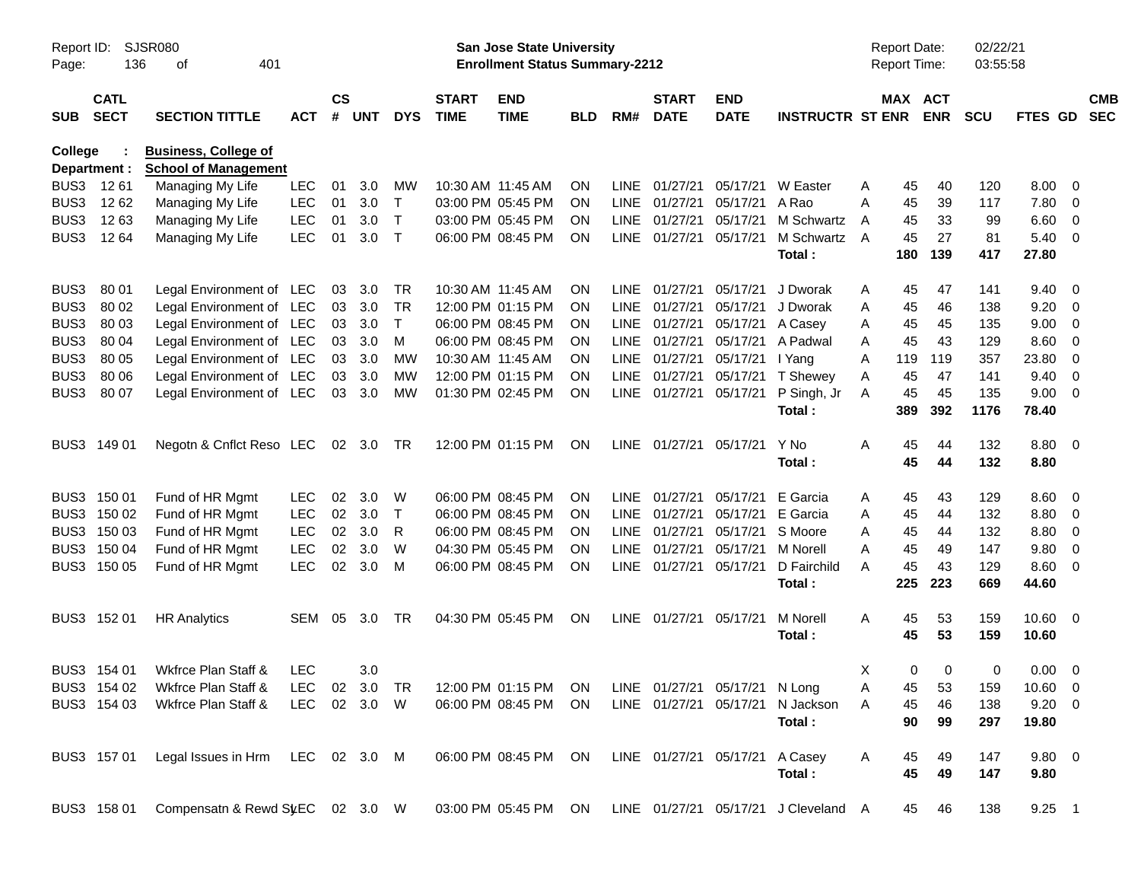| Report ID:<br>Page: | SJSR080<br>136             |                                                            |              |                    |            |              | San Jose State University<br><b>Enrollment Status Summary-2212</b> |                                                       |            |             |                             |                           |                                      |   | Report Date:<br><b>Report Time:</b> | 02/22/21<br>03:55:58  |            |                |                         |                          |
|---------------------|----------------------------|------------------------------------------------------------|--------------|--------------------|------------|--------------|--------------------------------------------------------------------|-------------------------------------------------------|------------|-------------|-----------------------------|---------------------------|--------------------------------------|---|-------------------------------------|-----------------------|------------|----------------|-------------------------|--------------------------|
| <b>SUB</b>          | <b>CATL</b><br><b>SECT</b> | <b>SECTION TITTLE</b>                                      | <b>ACT</b>   | $\mathsf{cs}$<br># | <b>UNT</b> | <b>DYS</b>   | <b>START</b><br><b>TIME</b>                                        | <b>END</b><br><b>TIME</b>                             | <b>BLD</b> | RM#         | <b>START</b><br><b>DATE</b> | <b>END</b><br><b>DATE</b> | <b>INSTRUCTR ST ENR</b>              |   |                                     | MAX ACT<br><b>ENR</b> | <b>SCU</b> | <b>FTES GD</b> |                         | <b>CMB</b><br><b>SEC</b> |
| College             | Department :               | <b>Business, College of</b><br><b>School of Management</b> |              |                    |            |              |                                                                    |                                                       |            |             |                             |                           |                                      |   |                                     |                       |            |                |                         |                          |
| BUS3                | 1261                       | Managing My Life                                           | <b>LEC</b>   | 01                 | 3.0        | MW           |                                                                    | 10:30 AM 11:45 AM                                     | <b>ON</b>  | <b>LINE</b> | 01/27/21                    | 05/17/21                  | W Easter                             | A | 45                                  | 40                    | 120        | 8.00           | $\overline{0}$          |                          |
| BUS3                | 12 62                      | Managing My Life                                           | <b>LEC</b>   | 01                 | 3.0        | $\top$       |                                                                    | 03:00 PM 05:45 PM                                     | <b>ON</b>  | <b>LINE</b> | 01/27/21                    | 05/17/21                  | A Rao                                | A | 45                                  | 39                    | 117        | 7.80           | 0                       |                          |
| BUS3                | 1263                       | Managing My Life                                           | <b>LEC</b>   | 01                 | 3.0        | $\top$       |                                                                    | 03:00 PM 05:45 PM                                     | <b>ON</b>  | <b>LINE</b> | 01/27/21                    | 05/17/21                  | M Schwartz                           | A | 45                                  | 33                    | 99         | 6.60           | 0                       |                          |
| BUS3                | 12 64                      | Managing My Life                                           | <b>LEC</b>   | 01                 | 3.0        | $\mathsf{T}$ |                                                                    | 06:00 PM 08:45 PM                                     | <b>ON</b>  |             | LINE 01/27/21               | 05/17/21                  | M Schwartz                           | A | 45                                  | 27                    | 81         | 5.40           | 0                       |                          |
|                     |                            |                                                            |              |                    |            |              |                                                                    |                                                       |            |             |                             |                           | Total:                               |   | 180                                 | 139                   | 417        | 27.80          |                         |                          |
| BUS3                | 80 01                      | Legal Environment of LEC                                   |              | 03                 | 3.0        | TR           |                                                                    | 10:30 AM 11:45 AM                                     | <b>ON</b>  | LINE        | 01/27/21                    | 05/17/21                  | J Dworak                             | A | 45                                  | 47                    | 141        | 9.40           | 0                       |                          |
| BUS3                | 80 02                      | Legal Environment of LEC                                   |              | 03                 | 3.0        | <b>TR</b>    |                                                                    | 12:00 PM 01:15 PM                                     | <b>ON</b>  | <b>LINE</b> | 01/27/21                    | 05/17/21                  | J Dworak                             | Α | 45                                  | 46                    | 138        | 9.20           | 0                       |                          |
| BUS3                | 80 03                      | Legal Environment of LEC                                   |              | 03                 | 3.0        | Τ            |                                                                    | 06:00 PM 08:45 PM                                     | <b>ON</b>  | <b>LINE</b> | 01/27/21                    | 05/17/21                  | A Casey                              | Α | 45                                  | 45                    | 135        | 9.00           | 0                       |                          |
| BUS3                | 80 04                      | Legal Environment of LEC                                   |              | 03                 | 3.0        | M            |                                                                    | 06:00 PM 08:45 PM                                     | <b>ON</b>  | <b>LINE</b> | 01/27/21                    | 05/17/21                  | A Padwal                             | A | 45                                  | 43                    | 129        | 8.60           | 0                       |                          |
| BUS3                | 80 05                      | Legal Environment of LEC                                   |              | 03                 | 3.0        | <b>MW</b>    |                                                                    | 10:30 AM 11:45 AM                                     | <b>ON</b>  | <b>LINE</b> | 01/27/21                    | 05/17/21                  | I Yang                               | A | 119                                 | 119                   | 357        | 23.80          | 0                       |                          |
| BUS3                | 80 06                      | Legal Environment of LEC                                   |              | 03                 | 3.0        | <b>MW</b>    |                                                                    | 12:00 PM 01:15 PM                                     | <b>ON</b>  | <b>LINE</b> | 01/27/21                    | 05/17/21                  | T Shewey                             | A | 45                                  | 47                    | 141        | 9.40           | 0                       |                          |
| BUS3                | 80 07                      | Legal Environment of LEC                                   |              | 03                 | 3.0        | <b>MW</b>    |                                                                    | 01:30 PM 02:45 PM                                     | ON         |             | LINE 01/27/21               | 05/17/21                  | P Singh, Jr                          | A | 45                                  | 45                    | 135        | 9.00           | $\overline{0}$          |                          |
|                     |                            |                                                            |              |                    |            |              |                                                                    |                                                       |            |             |                             |                           | Total:                               |   | 389                                 | 392                   | 1176       | 78.40          |                         |                          |
| BUS3                | 149 01                     | Negotn & Cnflct Reso LEC 02 3.0                            |              |                    |            | TR           |                                                                    | 12:00 PM 01:15 PM                                     | ON         |             | LINE 01/27/21               | 05/17/21                  | Y No                                 | A | 45                                  | 44                    | 132        | 8.80           | $\overline{\mathbf{0}}$ |                          |
|                     |                            |                                                            |              |                    |            |              |                                                                    |                                                       |            |             |                             |                           | Total:                               |   | 45                                  | 44                    | 132        | 8.80           |                         |                          |
| BUS3                | 150 01                     | Fund of HR Mgmt                                            | <b>LEC</b>   | 02                 | 3.0        | W            |                                                                    | 06:00 PM 08:45 PM                                     | <b>ON</b>  | LINE        | 01/27/21                    | 05/17/21                  | E Garcia                             | A | 45                                  | 43                    | 129        | 8.60           | $\overline{0}$          |                          |
|                     | BUS3 150 02                | Fund of HR Mgmt                                            | <b>LEC</b>   | 02                 | 3.0        | $\mathsf T$  |                                                                    | 06:00 PM 08:45 PM                                     | <b>ON</b>  | <b>LINE</b> | 01/27/21                    | 05/17/21                  | E Garcia                             | A | 45                                  | 44                    | 132        | 8.80           | 0                       |                          |
|                     | BUS3 150 03                | Fund of HR Mgmt                                            | <b>LEC</b>   | 02                 | 3.0        | R            |                                                                    | 06:00 PM 08:45 PM                                     | <b>ON</b>  | <b>LINE</b> | 01/27/21                    | 05/17/21                  | S Moore                              | A | 45                                  | 44                    | 132        | 8.80           | 0                       |                          |
| BUS3                | 150 04                     | Fund of HR Mgmt                                            | <b>LEC</b>   | 02                 | 3.0        | W            |                                                                    | 04:30 PM 05:45 PM                                     | <b>ON</b>  | <b>LINE</b> | 01/27/21                    | 05/17/21                  | M Norell                             | A | 45                                  | 49                    | 147        | 9.80           | 0                       |                          |
|                     | BUS3 150 05                | Fund of HR Mgmt                                            | <b>LEC</b>   | 02                 | 3.0        | M            |                                                                    | 06:00 PM 08:45 PM                                     | <b>ON</b>  |             | LINE 01/27/21               | 05/17/21                  | D Fairchild                          | A | 45                                  | 43                    | 129        | 8.60           | $\overline{0}$          |                          |
|                     |                            |                                                            |              |                    |            |              |                                                                    |                                                       |            |             |                             |                           | Total:                               |   | 225                                 | 223                   | 669        | 44.60          |                         |                          |
|                     | BUS3 152 01                | <b>HR Analytics</b>                                        | SEM          | 05                 | 3.0        | TR           |                                                                    | 04:30 PM 05:45 PM                                     | ON         |             | LINE 01/27/21               | 05/17/21                  | M Norell                             | A | 45                                  | 53                    | 159        | 10.60          | $\overline{\mathbf{0}}$ |                          |
|                     |                            |                                                            |              |                    |            |              |                                                                    |                                                       |            |             |                             |                           | Total:                               |   | 45                                  | 53                    | 159        | 10.60          |                         |                          |
|                     | BUS3 154 01                | Wkfrce Plan Staff &                                        | <b>LEC</b>   |                    | 3.0        |              |                                                                    |                                                       |            |             |                             |                           |                                      | Χ | 0                                   | 0                     | 0          | 0.00           | $\overline{0}$          |                          |
|                     | BUS3 154 02                | Wkfrce Plan Staff &                                        | LEC 02 3.0   |                    |            |              |                                                                    | TR 12:00 PM 01:15 PM ON LINE 01/27/21 05/17/21 N Long |            |             |                             |                           |                                      | А | 45                                  | 53                    | 159        | $10.60$ 0      |                         |                          |
|                     | BUS3 154 03                | Wkfrce Plan Staff &                                        | LEC 02 3.0 W |                    |            |              |                                                                    | 06:00 PM 08:45 PM                                     | ON         |             | LINE 01/27/21 05/17/21      |                           | N Jackson                            | A | 45                                  | 46                    | 138        | $9.20 \t 0$    |                         |                          |
|                     |                            |                                                            |              |                    |            |              |                                                                    |                                                       |            |             |                             |                           | Total:                               |   | 90                                  | 99                    | 297        | 19.80          |                         |                          |
|                     | BUS3 157 01                | Legal Issues in Hrm LEC 02 3.0 M                           |              |                    |            |              |                                                                    | 06:00 PM 08:45 PM ON                                  |            |             | LINE 01/27/21 05/17/21      |                           | A Casey                              | A | 45                                  | 49                    | 147        | 9.80 0         |                         |                          |
|                     |                            |                                                            |              |                    |            |              |                                                                    |                                                       |            |             |                             |                           | Total:                               |   | 45                                  | 49                    | 147        | 9.80           |                         |                          |
|                     | BUS3 158 01                | Compensatn & Rewd St EC 02 3.0 W                           |              |                    |            |              |                                                                    | 03:00 PM 05:45 PM                                     | ON         |             |                             |                           | LINE 01/27/21 05/17/21 J Cleveland A |   | 45                                  | 46                    | 138        | $9.25$ 1       |                         |                          |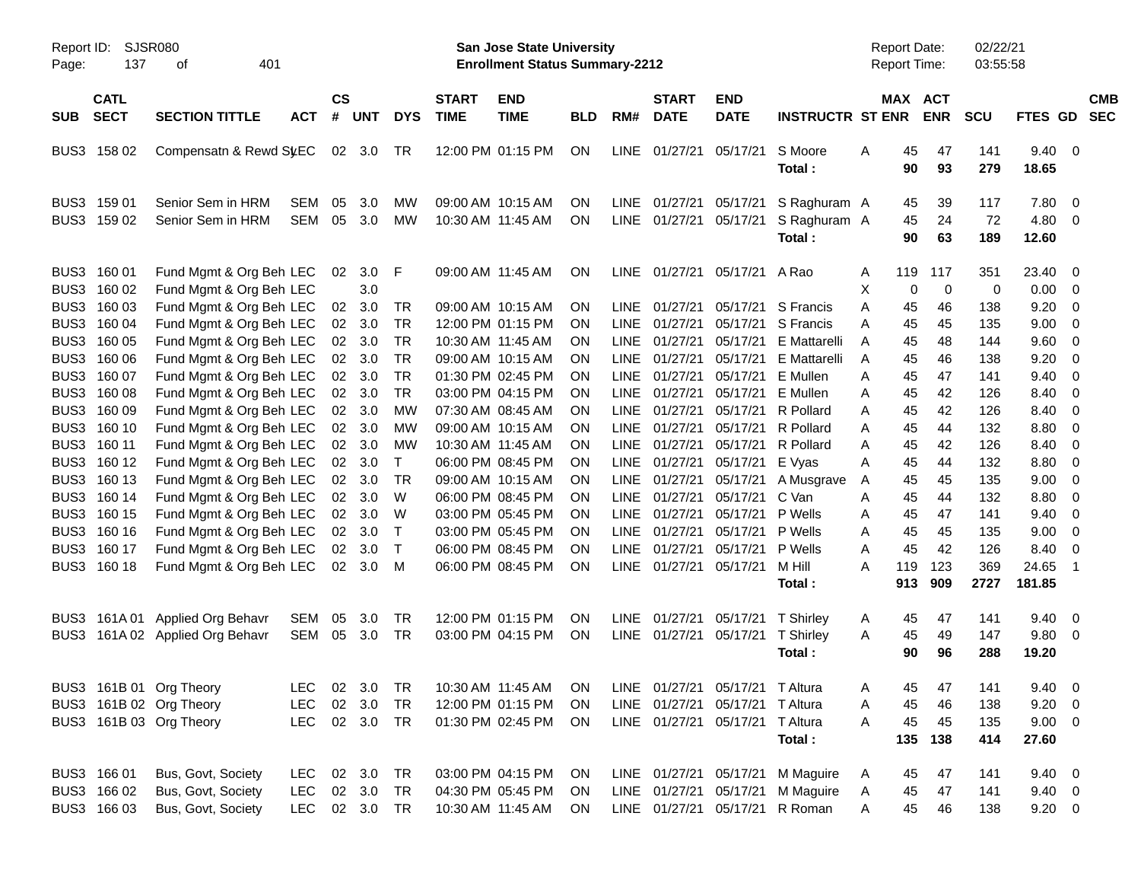| Report ID:<br>Page: | SJSR080<br>137                            |                                                                               |                                  |                                          |                            |                              | <b>San Jose State University</b><br><b>Enrollment Status Summary-2212</b> |                                                                                                                      |                                     |                                    |                                                                            |                                  | Report Date:<br><b>Report Time:</b>    |                        |                       | 02/22/21<br>03:55:58     |                          |                                                     |                                         |            |
|---------------------|-------------------------------------------|-------------------------------------------------------------------------------|----------------------------------|------------------------------------------|----------------------------|------------------------------|---------------------------------------------------------------------------|----------------------------------------------------------------------------------------------------------------------|-------------------------------------|------------------------------------|----------------------------------------------------------------------------|----------------------------------|----------------------------------------|------------------------|-----------------------|--------------------------|--------------------------|-----------------------------------------------------|-----------------------------------------|------------|
| <b>SUB</b>          | <b>CATL</b><br><b>SECT</b>                | <b>SECTION TITTLE</b>                                                         | <b>ACT</b>                       | $\mathsf{cs}$<br>#                       | <b>UNT</b>                 | <b>DYS</b>                   | <b>START</b><br><b>TIME</b>                                               | <b>END</b><br><b>TIME</b>                                                                                            | <b>BLD</b>                          | RM#                                | <b>START</b><br><b>DATE</b>                                                | <b>END</b><br><b>DATE</b>        | <b>INSTRUCTR ST ENR</b>                |                        |                       | MAX ACT<br><b>ENR</b>    | <b>SCU</b>               | FTES GD SEC                                         |                                         | <b>CMB</b> |
|                     | BUS3 158 02                               | Compensatn & Rewd St/EC                                                       |                                  |                                          | 02 3.0                     | TR                           |                                                                           | 12:00 PM 01:15 PM                                                                                                    | ON                                  |                                    | LINE 01/27/21                                                              | 05/17/21                         | S Moore<br>Total:                      | Α                      | 45<br>90              | 47<br>93                 | 141<br>279               | $9.40 \quad 0$<br>18.65                             |                                         |            |
| BUS3                | 159 01<br>BUS3 159 02                     | Senior Sem in HRM<br>Senior Sem in HRM                                        | <b>SEM</b><br><b>SEM</b>         | 05<br>05                                 | 3.0<br>3.0                 | MW<br>MW                     |                                                                           | 09:00 AM 10:15 AM<br>10:30 AM 11:45 AM                                                                               | <b>ON</b><br><b>ON</b>              |                                    | LINE 01/27/21<br>LINE 01/27/21                                             | 05/17/21<br>05/17/21             | S Raghuram A<br>S Raghuram A<br>Total: |                        | 45<br>45<br>90        | 39<br>24<br>63           | 117<br>72<br>189         | 7.80<br>4.80 0<br>12.60                             | $\overline{0}$                          |            |
| BUS3                | 160 01<br>BUS3 160 02<br>BUS3 160 03      | Fund Mgmt & Org Beh LEC<br>Fund Mgmt & Org Beh LEC<br>Fund Mgmt & Org Beh LEC |                                  | 02 <sub>o</sub><br>02 <sub>o</sub>       | 3.0<br>3.0<br>3.0          | F<br>TR                      |                                                                           | 09:00 AM 11:45 AM<br>09:00 AM 10:15 AM                                                                               | ON<br><b>ON</b>                     |                                    | LINE 01/27/21<br>LINE 01/27/21                                             | 05/17/21<br>05/17/21             | A Rao<br>S Francis                     | A<br>Х<br>A            | 119<br>0<br>45        | 117<br>$\mathbf 0$<br>46 | 351<br>0<br>138          | 23.40<br>0.00<br>9.20                               | - 0<br>$\overline{0}$<br>$\overline{0}$ |            |
| BUS3                | BUS3 160 04<br>160 05                     | Fund Mgmt & Org Beh LEC<br>Fund Mgmt & Org Beh LEC                            |                                  | 02 <sub>o</sub>                          | 3.0<br>02 3.0              | <b>TR</b><br><b>TR</b>       |                                                                           | 12:00 PM 01:15 PM<br>10:30 AM 11:45 AM                                                                               | <b>ON</b><br><b>ON</b>              | <b>LINE</b>                        | LINE 01/27/21<br>01/27/21                                                  | 05/17/21<br>05/17/21             | S Francis<br>E Mattarelli              | A<br>Α                 | 45<br>45              | 45<br>48                 | 135<br>144               | 9.00<br>9.60                                        | 0<br>0                                  |            |
| BUS3                | 160 06<br>BUS3 160 07<br>BUS3 160 08      | Fund Mgmt & Org Beh LEC<br>Fund Mgmt & Org Beh LEC<br>Fund Mgmt & Org Beh LEC |                                  |                                          | 02 3.0<br>02 3.0<br>02 3.0 | <b>TR</b><br><b>TR</b><br>TR |                                                                           | 09:00 AM 10:15 AM<br>01:30 PM 02:45 PM<br>03:00 PM 04:15 PM                                                          | <b>ON</b><br><b>ON</b><br><b>ON</b> | <b>LINE</b><br>LINE<br><b>LINE</b> | 01/27/21<br>01/27/21<br>01/27/21                                           | 05/17/21<br>05/17/21<br>05/17/21 | E Mattarelli<br>E Mullen<br>E Mullen   | Α<br>Α<br>Α            | 45<br>45<br>45        | 46<br>47<br>42           | 138<br>141<br>126        | 9.20<br>9.40<br>8.40                                | 0<br>0<br>0                             |            |
| BUS3                | 160 09<br>BUS3 160 10<br>BUS3 160 11      | Fund Mgmt & Org Beh LEC<br>Fund Mgmt & Org Beh LEC<br>Fund Mgmt & Org Beh LEC |                                  | 02 <sub>o</sub>                          | 3.0<br>02 3.0<br>02 3.0    | MW<br>MW<br>MW               |                                                                           | 07:30 AM 08:45 AM<br>09:00 AM 10:15 AM<br>10:30 AM 11:45 AM                                                          | <b>ON</b><br><b>ON</b><br><b>ON</b> | <b>LINE</b><br>LINE<br>LINE        | 01/27/21<br>01/27/21<br>01/27/21                                           | 05/17/21<br>05/17/21<br>05/17/21 | R Pollard<br>R Pollard<br>R Pollard    | Α<br>Α<br>Α            | 45<br>45<br>45        | 42<br>44<br>42           | 126<br>132<br>126        | 8.40<br>8.80<br>8.40                                | $\overline{0}$<br>0<br>0                |            |
| BUS3<br>BUS3        | 160 12<br>160 13                          | Fund Mgmt & Org Beh LEC<br>Fund Mgmt & Org Beh LEC                            |                                  | 02 <sub>o</sub><br>02 <sub>o</sub>       | 3.0<br>3.0                 | Т<br>TR                      |                                                                           | 06:00 PM 08:45 PM<br>09:00 AM 10:15 AM                                                                               | <b>ON</b><br><b>ON</b>              | <b>LINE</b>                        | 01/27/21<br>LINE 01/27/21                                                  | 05/17/21<br>05/17/21             | E Vyas<br>A Musgrave                   | Α<br>A                 | 45<br>45              | 44<br>45                 | 132<br>135               | 8.80<br>9.00                                        | 0<br>0                                  |            |
| BUS3                | BUS3 160 14<br>160 15<br>BUS3 160 16      | Fund Mgmt & Org Beh LEC<br>Fund Mgmt & Org Beh LEC<br>Fund Mgmt & Org Beh LEC |                                  | 02 <sub>o</sub><br>02 <sub>o</sub><br>02 | 3.0<br>3.0<br>3.0          | W<br>W<br>$\mathsf{T}$       |                                                                           | 06:00 PM 08:45 PM<br>03:00 PM 05:45 PM<br>03:00 PM 05:45 PM                                                          | <b>ON</b><br><b>ON</b><br><b>ON</b> |                                    | LINE 01/27/21<br>LINE 01/27/21<br>LINE 01/27/21                            | 05/17/21<br>05/17/21<br>05/17/21 | C Van<br>P Wells<br>P Wells            | Α<br>Α<br>Α            | 45<br>45<br>45        | 44<br>47<br>45           | 132<br>141<br>135        | 8.80<br>9.40<br>9.00                                | 0<br>0<br>0                             |            |
| BUS3                | 160 17<br>BUS3 160 18                     | Fund Mgmt & Org Beh LEC<br>Fund Mgmt & Org Beh LEC                            |                                  | 02                                       | 3.0<br>02 3.0              | $\mathsf{T}$<br>M            |                                                                           | 06:00 PM 08:45 PM<br>06:00 PM 08:45 PM                                                                               | <b>ON</b><br>ON                     |                                    | LINE 01/27/21<br>LINE 01/27/21                                             | 05/17/21<br>05/17/21             | P Wells<br>M Hill<br>Total:            | A<br>A                 | 45<br>119<br>913      | 42<br>123<br>909         | 126<br>369<br>2727       | 8.40<br>24.65<br>181.85                             | 0<br>$\overline{1}$                     |            |
| BUS3                |                                           | 161A 01 Applied Org Behavr<br>BUS3 161A 02 Applied Org Behavr                 | SEM<br>SEM                       | 05                                       | 3.0<br>05 3.0              | TR<br><b>TR</b>              |                                                                           | 12:00 PM 01:15 PM<br>03:00 PM 04:15 PM                                                                               | ON<br>ON                            |                                    | LINE 01/27/21<br>LINE 01/27/21                                             | 05/17/21<br>05/17/21             | T Shirley<br>T Shirley<br>Total:       | A<br>Α                 | 45<br>45<br>90        | 47<br>49<br>96           | 141<br>147<br>288        | $9.40 \quad 0$<br>$9.80\ 0$<br>19.20                |                                         |            |
|                     |                                           | BUS3 161B 01 Org Theory<br>BUS3 161B 02 Org Theory<br>BUS3 161B 03 Org Theory | <b>LEC</b><br><b>LEC</b>         |                                          | 02 3.0<br>02 3.0           | TR<br>TR                     |                                                                           | LEC 02 3.0 TR  10:30 AM  11:45 AM  ON  LINE  01/27/21  05/17/21  T  Altura<br>12:00 PM 01:15 PM<br>01:30 PM 02:45 PM | <b>ON</b><br>ON                     |                                    | LINE 01/27/21 05/17/21<br>LINE 01/27/21 05/17/21                           |                                  | T Altura<br>T Altura<br>Total:         | $\mathsf{A}$<br>Α<br>Α | 45<br>45<br>45<br>135 | 47<br>46<br>45<br>138    | 141<br>138<br>135<br>414 | $9.40\quad 0$<br>$9.20 \ 0$<br>$9.00 \t 0$<br>27.60 |                                         |            |
|                     | BUS3 166 01<br>BUS3 166 02<br>BUS3 166 03 | Bus, Govt, Society<br>Bus, Govt, Society<br>Bus, Govt, Society                | LEC.<br><b>LEC</b><br><b>LEC</b> |                                          | 02 3.0<br>02 3.0<br>02 3.0 | TR<br>TR<br>TR               |                                                                           | 03:00 PM 04:15 PM<br>04:30 PM 05:45 PM<br>10:30 AM 11:45 AM                                                          | ON<br><b>ON</b><br>ON               |                                    | LINE 01/27/21 05/17/21<br>LINE 01/27/21 05/17/21<br>LINE 01/27/21 05/17/21 |                                  | M Maguire<br>M Maguire<br>R Roman      | A<br>Α<br>Α            | 45<br>45<br>45        | 47<br>47<br>46           | 141<br>141<br>138        | $9.40 \quad 0$<br>$9.40 \quad 0$<br>$9.20 \t 0$     |                                         |            |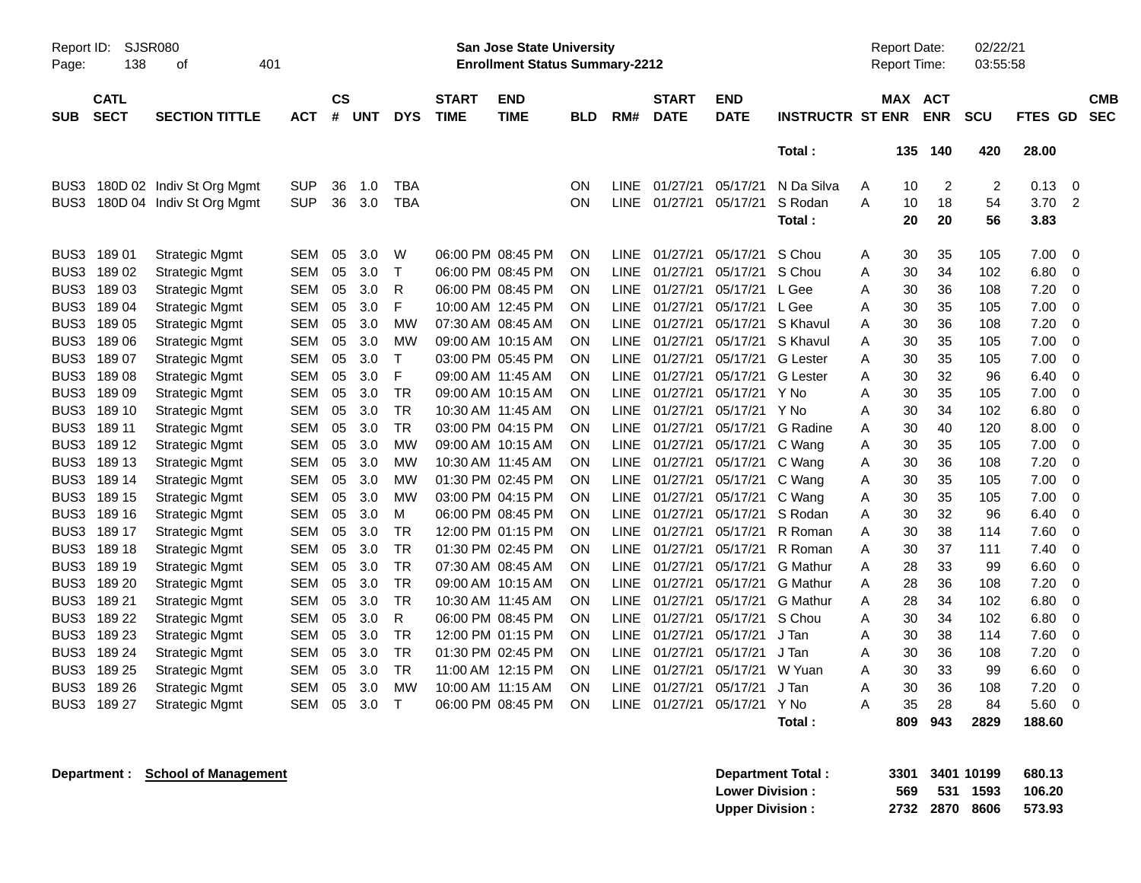| Report ID:<br>Page: | 138                        | SJSR080<br>401<br>οf      |            |                    |            |              |                             | <b>San Jose State University</b><br><b>Enrollment Status Summary-2212</b> |            |             |                             |                           |                         |   | <b>Report Date:</b><br>Report Time: |                          | 02/22/21<br>03:55:58 |         |                          |
|---------------------|----------------------------|---------------------------|------------|--------------------|------------|--------------|-----------------------------|---------------------------------------------------------------------------|------------|-------------|-----------------------------|---------------------------|-------------------------|---|-------------------------------------|--------------------------|----------------------|---------|--------------------------|
| <b>SUB</b>          | <b>CATL</b><br><b>SECT</b> | <b>SECTION TITTLE</b>     | <b>ACT</b> | $\mathsf{cs}$<br># | <b>UNT</b> | <b>DYS</b>   | <b>START</b><br><b>TIME</b> | <b>END</b><br><b>TIME</b>                                                 | <b>BLD</b> | RM#         | <b>START</b><br><b>DATE</b> | <b>END</b><br><b>DATE</b> | <b>INSTRUCTR ST ENR</b> |   | MAX                                 | <b>ACT</b><br><b>ENR</b> | SCU                  | FTES GD | <b>CMB</b><br><b>SEC</b> |
|                     |                            |                           |            |                    |            |              |                             |                                                                           |            |             |                             |                           | Total:                  |   | 135                                 | 140                      | 420                  | 28.00   |                          |
| BUS3                |                            | 180D 02 Indiv St Org Mgmt | <b>SUP</b> | 36                 | 1.0        | <b>TBA</b>   |                             |                                                                           | ON         | LINE        | 01/27/21                    | 05/17/21                  | N Da Silva              | A | 10                                  | $\overline{c}$           | $\overline{c}$       | 0.13    | 0                        |
| BUS3                |                            | 180D 04 Indiv St Org Mgmt | <b>SUP</b> | 36                 | 3.0        | <b>TBA</b>   |                             |                                                                           | ON         | <b>LINE</b> | 01/27/21                    | 05/17/21                  | S Rodan                 | A | 10                                  | 18                       | 54                   | 3.70    | 2                        |
|                     |                            |                           |            |                    |            |              |                             |                                                                           |            |             |                             |                           | Total :                 |   | 20                                  | 20                       | 56                   | 3.83    |                          |
| BUS3                | 18901                      | <b>Strategic Mgmt</b>     | <b>SEM</b> | 05                 | 3.0        | W            |                             | 06:00 PM 08:45 PM                                                         | ON         | LINE.       | 01/27/21                    | 05/17/21                  | S Chou                  | A | 30                                  | 35                       | 105                  | 7.00    | $\mathbf 0$              |
| BUS <sub>3</sub>    | 18902                      | <b>Strategic Mgmt</b>     | <b>SEM</b> | 05                 | 3.0        | $\mathsf{T}$ |                             | 06:00 PM 08:45 PM                                                         | ON         | <b>LINE</b> | 01/27/21                    | 05/17/21                  | S Chou                  | Α | 30                                  | 34                       | 102                  | 6.80    | $\mathbf 0$              |
| BUS3                | 18903                      | <b>Strategic Mgmt</b>     | <b>SEM</b> | 05                 | 3.0        | R            |                             | 06:00 PM 08:45 PM                                                         | <b>ON</b>  | LINE        | 01/27/21                    | 05/17/21                  | L Gee                   | A | 30                                  | 36                       | 108                  | 7.20    | $\mathbf 0$              |
| BUS3                | 18904                      | <b>Strategic Mgmt</b>     | <b>SEM</b> | 05                 | 3.0        | F            |                             | 10:00 AM 12:45 PM                                                         | ON         | <b>LINE</b> | 01/27/21                    | 05/17/21                  | L Gee                   | A | 30                                  | 35                       | 105                  | 7.00    | 0                        |
| BUS3                | 18905                      | <b>Strategic Mgmt</b>     | <b>SEM</b> | 05                 | 3.0        | MW           |                             | 07:30 AM 08:45 AM                                                         | ON         | LINE.       | 01/27/21                    | 05/17/21                  | S Khavul                | A | 30                                  | 36                       | 108                  | 7.20    | 0                        |
| BUS3                | 18906                      | <b>Strategic Mgmt</b>     | <b>SEM</b> | 05                 | 3.0        | MW           |                             | 09:00 AM 10:15 AM                                                         | ΟN         | LINE.       | 01/27/21                    | 05/17/21                  | S Khavul                | Α | 30                                  | 35                       | 105                  | 7.00    | $\mathbf 0$              |
| BUS3                | 18907                      | <b>Strategic Mgmt</b>     | <b>SEM</b> | 05                 | 3.0        | $\mathsf{T}$ |                             | 03:00 PM 05:45 PM                                                         | ΟN         | LINE.       | 01/27/21                    | 05/17/21                  | <b>G</b> Lester         | A | 30                                  | 35                       | 105                  | 7.00    | 0                        |
| BUS3                | 18908                      | <b>Strategic Mgmt</b>     | <b>SEM</b> | 05                 | 3.0        | F            |                             | 09:00 AM 11:45 AM                                                         | ON         | <b>LINE</b> | 01/27/21                    | 05/17/21                  | <b>G</b> Lester         | Α | 30                                  | 32                       | 96                   | 6.40    | $\mathbf 0$              |
| BUS3                | 18909                      | <b>Strategic Mgmt</b>     | <b>SEM</b> | 05                 | 3.0        | <b>TR</b>    |                             | 09:00 AM 10:15 AM                                                         | ΟN         | <b>LINE</b> | 01/27/21                    | 05/17/21                  | Y No                    | Α | 30                                  | 35                       | 105                  | 7.00    | $\mathbf 0$              |
| BUS3                | 189 10                     | <b>Strategic Mgmt</b>     | <b>SEM</b> | 05                 | 3.0        | <b>TR</b>    |                             | 10:30 AM 11:45 AM                                                         | ON         | <b>LINE</b> | 01/27/21                    | 05/17/21                  | Y No                    | A | 30                                  | 34                       | 102                  | 6.80    | 0                        |
| BUS3                | 189 11                     | <b>Strategic Mgmt</b>     | <b>SEM</b> | 05                 | 3.0        | <b>TR</b>    |                             | 03:00 PM 04:15 PM                                                         | ON         | <b>LINE</b> | 01/27/21                    | 05/17/21                  | G Radine                | Α | 30                                  | 40                       | 120                  | 8.00    | 0                        |
| BUS3                | 189 12                     | <b>Strategic Mgmt</b>     | <b>SEM</b> | 05                 | 3.0        | MW           |                             | 09:00 AM 10:15 AM                                                         | ΟN         | LINE.       | 01/27/21                    | 05/17/21                  | C Wang                  | A | 30                                  | 35                       | 105                  | 7.00    | 0                        |
| BUS3                | 189 13                     | <b>Strategic Mgmt</b>     | <b>SEM</b> | 05                 | 3.0        | <b>MW</b>    |                             | 10:30 AM 11:45 AM                                                         | ON         | LINE.       | 01/27/21                    | 05/17/21                  | C Wang                  | A | 30                                  | 36                       | 108                  | 7.20    | $\mathbf 0$              |
| BUS3                | 189 14                     | <b>Strategic Mgmt</b>     | <b>SEM</b> | 05                 | 3.0        | <b>MW</b>    |                             | 01:30 PM 02:45 PM                                                         | ON         | <b>LINE</b> | 01/27/21                    | 05/17/21                  | C Wang                  | A | 30                                  | 35                       | 105                  | 7.00    | $\mathbf 0$              |
| BUS3                | 189 15                     | <b>Strategic Mgmt</b>     | <b>SEM</b> | 05                 | 3.0        | <b>MW</b>    |                             | 03:00 PM 04:15 PM                                                         | ON         | <b>LINE</b> | 01/27/21                    | 05/17/21                  | C Wang                  | A | 30                                  | 35                       | 105                  | 7.00    | $\mathbf 0$              |
| BUS <sub>3</sub>    | 189 16                     | <b>Strategic Mgmt</b>     | <b>SEM</b> | 05                 | 3.0        | м            |                             | 06:00 PM 08:45 PM                                                         | ON         | <b>LINE</b> | 01/27/21                    | 05/17/21                  | S Rodan                 | A | 30                                  | 32                       | 96                   | 6.40    | 0                        |
| BUS3                | 189 17                     | <b>Strategic Mgmt</b>     | <b>SEM</b> | 05                 | 3.0        | <b>TR</b>    |                             | 12:00 PM 01:15 PM                                                         | ON         | <b>LINE</b> | 01/27/21                    | 05/17/21                  | R Roman                 | A | 30                                  | 38                       | 114                  | 7.60    | 0                        |
| BUS3                | 189 18                     | <b>Strategic Mgmt</b>     | <b>SEM</b> | 05                 | 3.0        | <b>TR</b>    |                             | 01:30 PM 02:45 PM                                                         | ON         | LINE        | 01/27/21                    | 05/17/21                  | R Roman                 | Α | 30                                  | 37                       | 111                  | 7.40    | 0                        |
| BUS3                | 189 19                     | <b>Strategic Mgmt</b>     | <b>SEM</b> | 05                 | 3.0        | <b>TR</b>    |                             | 07:30 AM 08:45 AM                                                         | ΟN         | LINE.       | 01/27/21                    | 05/17/21                  | <b>G</b> Mathur         | A | 28                                  | 33                       | 99                   | 6.60    | 0                        |
| BUS3                | 189 20                     | <b>Strategic Mgmt</b>     | <b>SEM</b> | 05                 | 3.0        | <b>TR</b>    |                             | 09:00 AM 10:15 AM                                                         | ΟN         | <b>LINE</b> | 01/27/21                    | 05/17/21                  | <b>G</b> Mathur         | A | 28                                  | 36                       | 108                  | 7.20    | $\mathbf 0$              |
| BUS <sub>3</sub>    | 189 21                     | <b>Strategic Mgmt</b>     | <b>SEM</b> | 05                 | 3.0        | TR           |                             | 10:30 AM 11:45 AM                                                         | ΟN         | <b>LINE</b> | 01/27/21                    | 05/17/21                  | <b>G</b> Mathur         | A | 28                                  | 34                       | 102                  | 6.80    | $\mathbf 0$              |
| BUS <sub>3</sub>    | 189 22                     | <b>Strategic Mgmt</b>     | <b>SEM</b> | 05                 | 3.0        | R            |                             | 06:00 PM 08:45 PM                                                         | ΟN         | <b>LINE</b> | 01/27/21                    | 05/17/21                  | S Chou                  | Α | 30                                  | 34                       | 102                  | 6.80    | $\mathbf 0$              |
| BUS3                | 189 23                     | <b>Strategic Mgmt</b>     | <b>SEM</b> | 05                 | 3.0        | <b>TR</b>    |                             | 12:00 PM 01:15 PM                                                         | ON         | <b>LINE</b> | 01/27/21                    | 05/17/21                  | J Tan                   | Α | 30                                  | 38                       | 114                  | 7.60    | 0                        |
| BUS3                | 189 24                     | <b>Strategic Mgmt</b>     | SEM        | 05                 | 3.0        | <b>TR</b>    |                             | 01:30 PM 02:45 PM                                                         | ΟN         | LINE.       | 01/27/21                    | 05/17/21                  | J Tan                   | A | 30                                  | 36                       | 108                  | 7.20    | 0                        |
| BUS3                | 189 25                     | <b>Strategic Mgmt</b>     | <b>SEM</b> | 05                 | 3.0        | <b>TR</b>    |                             | 11:00 AM 12:15 PM                                                         | ΟN         | LINE.       | 01/27/21                    | 05/17/21                  | W Yuan                  | A | 30                                  | 33                       | 99                   | 6.60    | $\mathbf 0$              |
| BUS3                | 189 26                     | <b>Strategic Mgmt</b>     | <b>SEM</b> | 05                 | 3.0        | MW           |                             | 10:00 AM 11:15 AM                                                         | ΟN         | <b>LINE</b> | 01/27/21                    | 05/17/21                  | J Tan                   | A | 30                                  | 36                       | 108                  | 7.20    | 0                        |
| BUS3                | 189 27                     | <b>Strategic Mgmt</b>     | <b>SEM</b> | 05                 | 3.0        | $\mathsf{T}$ |                             | 06:00 PM 08:45 PM                                                         | <b>ON</b>  | LINE.       | 01/27/21                    | 05/17/21                  | Y No                    | A | 35                                  | 28                       | 84                   | 5.60    | $\mathbf 0$              |
|                     |                            |                           |            |                    |            |              |                             |                                                                           |            |             |                             |                           | Total :                 |   | 809                                 | 943                      | 2829                 | 188.60  |                          |

**Department : School of Management <b>3401 3401 581 681 681 681 681 681 681 681 681 681 681 681 681 681 681 681 681 681 681 681 681 681 681 681 681 681 691 691 691** 

| <b>Department Total:</b> |  | 3301 3401 10199 | 680.13 |
|--------------------------|--|-----------------|--------|
| <b>Lower Division :</b>  |  | 569 531 1593    | 106.20 |
| <b>Upper Division:</b>   |  | 2732 2870 8606  | 573.93 |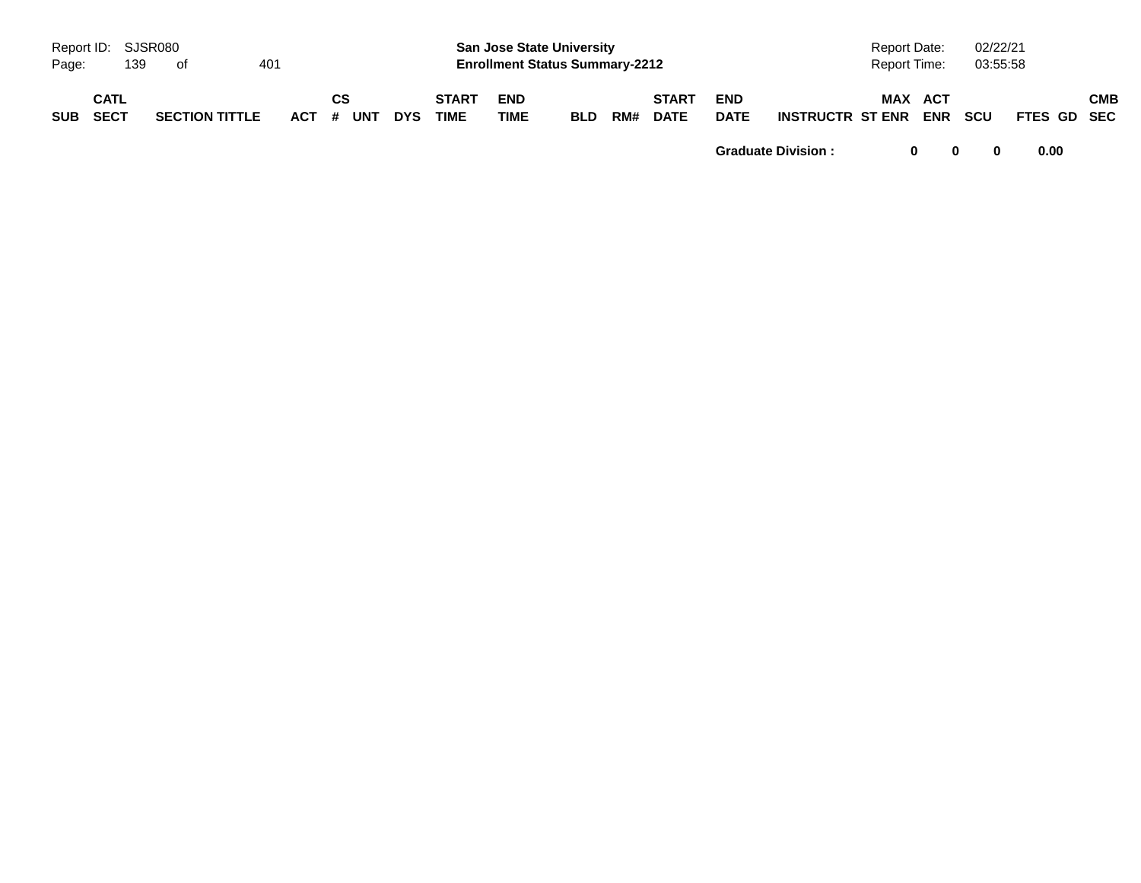| Page:      | Report ID: SJSR080<br>139 | of.                   | 401 |                        |            |                             | <b>San Jose State University</b><br><b>Enrollment Status Summary-2212</b> |            |     |                             |                           |                             | Report Date:<br>Report Time: | 02/22/21<br>03:55:58 |             |            |
|------------|---------------------------|-----------------------|-----|------------------------|------------|-----------------------------|---------------------------------------------------------------------------|------------|-----|-----------------------------|---------------------------|-----------------------------|------------------------------|----------------------|-------------|------------|
| <b>SUB</b> | CATL<br>SECT              | <b>SECTION TITTLE</b> |     | <b>CS</b><br>ACT # UNT | <b>DYS</b> | <b>START</b><br><b>TIME</b> | <b>END</b><br>TIME                                                        | <b>BLD</b> | RM# | <b>START</b><br><b>DATE</b> | <b>END</b><br><b>DATE</b> | <b>INSTRUCTR ST ENR ENR</b> | MAX ACT                      | scu                  | FTES GD SEC | <b>CMB</b> |

**Graduate Division : 0 0 0 0.00**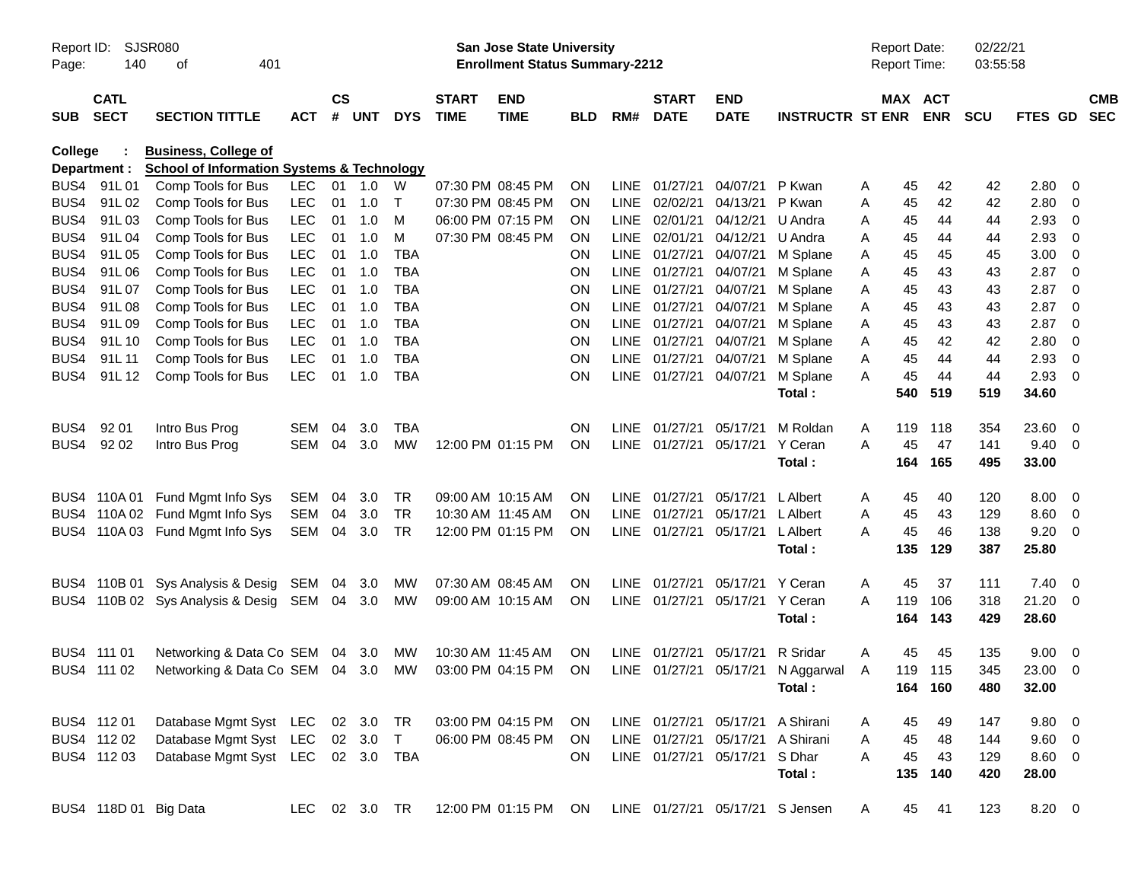| Report ID:<br>Page: | 140                        | <b>SJSR080</b><br>401<br>of                           |               |                |            |              |                             | San Jose State University<br><b>Enrollment Status Summary-2212</b> |            |      |                             |                                 |                         | <b>Report Date:</b> | <b>Report Time:</b>   | 02/22/21<br>03:55:58 |                |     |                          |
|---------------------|----------------------------|-------------------------------------------------------|---------------|----------------|------------|--------------|-----------------------------|--------------------------------------------------------------------|------------|------|-----------------------------|---------------------------------|-------------------------|---------------------|-----------------------|----------------------|----------------|-----|--------------------------|
| <b>SUB</b>          | <b>CATL</b><br><b>SECT</b> | <b>SECTION TITTLE</b>                                 | <b>ACT</b>    | <b>CS</b><br># | <b>UNT</b> | <b>DYS</b>   | <b>START</b><br><b>TIME</b> | <b>END</b><br><b>TIME</b>                                          | <b>BLD</b> | RM#  | <b>START</b><br><b>DATE</b> | <b>END</b><br><b>DATE</b>       | <b>INSTRUCTR ST ENR</b> |                     | MAX ACT<br><b>ENR</b> | <b>SCU</b>           | <b>FTES GD</b> |     | <b>CMB</b><br><b>SEC</b> |
| <b>College</b>      |                            | <b>Business, College of</b>                           |               |                |            |              |                             |                                                                    |            |      |                             |                                 |                         |                     |                       |                      |                |     |                          |
|                     | Department :               | <b>School of Information Systems &amp; Technology</b> |               |                |            |              |                             |                                                                    |            |      |                             |                                 |                         |                     |                       |                      |                |     |                          |
| BUS4                | 91L01                      | Comp Tools for Bus                                    | <b>LEC</b>    |                | 01 1.0     | W            | 07:30 PM 08:45 PM           |                                                                    | 0N         | LINE | 01/27/21                    | 04/07/21                        | P Kwan                  | A                   | 42<br>45              | 42                   | 2.80           | - 0 |                          |
| BUS4                | 91L02                      | Comp Tools for Bus                                    | LEC           | 01             | 1.0        | $\mathsf{T}$ | 07:30 PM 08:45 PM           |                                                                    | ON.        |      | LINE 02/02/21               | 04/13/21                        | P Kwan                  | Α                   | 45<br>42              | 42                   | 2.80           | 0   |                          |
| BUS4                | 91L03                      | Comp Tools for Bus                                    | LEC           | 01             | 1.0        | M            | 06:00 PM 07:15 PM           |                                                                    | <b>ON</b>  | LINE | 02/01/21                    | 04/12/21                        | U Andra                 | Α                   | 44<br>45              | 44                   | 2.93           | 0   |                          |
| BUS4                | 91L04                      | Comp Tools for Bus                                    | LEC           | 01             | 1.0        | м            | 07:30 PM 08:45 PM           |                                                                    | <b>ON</b>  | LINE | 02/01/21                    | 04/12/21                        | U Andra                 | Α                   | 45<br>44              | 44                   | 2.93           | 0   |                          |
| BUS4                | 91L05                      | Comp Tools for Bus                                    | LEC           | 01             | 1.0        | <b>TBA</b>   |                             |                                                                    | ΟN         | LINE | 01/27/21                    | 04/07/21                        | M Splane                | Α                   | 45<br>45              | 45                   | 3.00           | 0   |                          |
| BUS4                | 91L06                      | Comp Tools for Bus                                    | LEC           | 01             | 1.0        | <b>TBA</b>   |                             |                                                                    | ΟN         | LINE | 01/27/21                    | 04/07/21                        | M Splane                | A                   | 43<br>45              | 43                   | 2.87           | 0   |                          |
| BUS4                | 91L07                      | Comp Tools for Bus                                    | LEC           | 01             | 1.0        | <b>TBA</b>   |                             |                                                                    | ON         | LINE | 01/27/21                    | 04/07/21                        | M Splane                | Α                   | 43<br>45              | 43                   | 2.87           | 0   |                          |
| BUS4                | 91L08                      | Comp Tools for Bus                                    | LEC           | 01             | 1.0        | <b>TBA</b>   |                             |                                                                    | ON         | LINE | 01/27/21                    | 04/07/21                        | M Splane                | Α                   | 43<br>45              | 43                   | 2.87           | 0   |                          |
| BUS4                | 91L09                      | Comp Tools for Bus                                    | LEC           | 01             | 1.0        | <b>TBA</b>   |                             |                                                                    | ON         | LINE | 01/27/21                    | 04/07/21                        | M Splane                | Α                   | 43<br>45              | 43                   | 2.87           | 0   |                          |
| BUS4                | 91L 10                     | Comp Tools for Bus                                    | LEC           | 01             | 1.0        | <b>TBA</b>   |                             |                                                                    | ON         | LINE | 01/27/21                    | 04/07/21                        | M Splane                | Α                   | 45<br>42              | 42                   | 2.80           | 0   |                          |
| BUS4                | 91L 11                     | Comp Tools for Bus                                    | LEC           | 01             | 1.0        | <b>TBA</b>   |                             |                                                                    | ON         | LINE | 01/27/21                    | 04/07/21                        | M Splane                | Α                   | 45<br>44              | 44                   | 2.93           | 0   |                          |
| BUS4                | 91L 12                     | Comp Tools for Bus                                    | <b>LEC</b>    | 01             | 1.0        | <b>TBA</b>   |                             |                                                                    | ON         |      | LINE 01/27/21               | 04/07/21                        | M Splane                | A                   | 45<br>44              | 44                   | 2.93           | 0   |                          |
|                     |                            |                                                       |               |                |            |              |                             |                                                                    |            |      |                             |                                 | Total:                  | 540                 | 519                   | 519                  | 34.60          |     |                          |
| BUS4                | 92 01                      | Intro Bus Prog                                        | SEM           | 04             | 3.0        | TBA          |                             |                                                                    | ON.        | LINE | 01/27/21                    | 05/17/21                        | M Roldan                | Α<br>119            | 118                   | 354                  | 23.60          | - 0 |                          |
| BUS4                | 92 02                      | Intro Bus Prog                                        | SEM           | 04             | 3.0        | MW           |                             | 12:00 PM 01:15 PM                                                  | ON         |      | LINE 01/27/21               | 05/17/21                        | Y Ceran                 | A                   | 47<br>45              | 141                  | 9.40           | - 0 |                          |
|                     |                            |                                                       |               |                |            |              |                             |                                                                    |            |      |                             |                                 | Total:                  | 164                 | 165                   | 495                  | 33.00          |     |                          |
| BUS4                | 110A 01                    | Fund Mgmt Info Sys                                    | SEM           | 04             | 3.0        | TR           | 09:00 AM 10:15 AM           |                                                                    | <b>ON</b>  |      | LINE 01/27/21               | 05/17/21                        | L Albert                | A                   | 40<br>45              | 120                  | 8.00           | - 0 |                          |
| BUS4                |                            | 110A 02 Fund Mgmt Info Sys                            | <b>SEM</b>    | 04             | 3.0        | TR           | 10:30 AM 11:45 AM           |                                                                    | ON.        | LINE | 01/27/21                    | 05/17/21                        | L Albert                | Α                   | 45<br>43              | 129                  | 8.60           | - 0 |                          |
|                     |                            | BUS4 110A 03 Fund Mgmt Info Sys                       | SEM           |                | 04 3.0     | TR           |                             | 12:00 PM 01:15 PM                                                  | <b>ON</b>  |      | LINE 01/27/21               | 05/17/21                        | L Albert                | A                   | 45<br>46              | 138                  | 9.20           | - 0 |                          |
|                     |                            |                                                       |               |                |            |              |                             |                                                                    |            |      |                             |                                 | Total:                  | 135                 | 129                   | 387                  | 25.80          |     |                          |
| BUS4                |                            | 110B 01 Sys Analysis & Desig                          | SEM           |                | 04 3.0     | <b>MW</b>    | 07:30 AM 08:45 AM           |                                                                    | 0N         |      | LINE 01/27/21               | 05/17/21                        | Y Ceran                 | Α                   | 45<br>37              | 111                  | 7.40           | - 0 |                          |
|                     |                            | BUS4 110B 02 Sys Analysis & Desig                     | SEM 04 3.0    |                |            | MW           |                             | 09:00 AM 10:15 AM                                                  | ON         |      | LINE 01/27/21               | 05/17/21                        | Y Ceran                 | A<br>119            | 106                   | 318                  | 21.20          | - 0 |                          |
|                     |                            |                                                       |               |                |            |              |                             |                                                                    |            |      |                             |                                 | Total:                  | 164                 | 143                   | 429                  | 28.60          |     |                          |
|                     | BUS4 111 01                | Networking & Data Co SEM                              |               |                | 04 3.0     | <b>MW</b>    | 10:30 AM 11:45 AM           |                                                                    | ON.        |      | LINE 01/27/21               | 05/17/21                        | R Sridar                | Α                   | 45<br>45              | 135                  | 9.00           | - 0 |                          |
|                     | BUS4 111 02                | Networking & Data Co SEM 04 3.0                       |               |                |            | MW           | 03:00 PM 04:15 PM           |                                                                    | <b>ON</b>  |      | LINE 01/27/21               | 05/17/21                        | N Aggarwal              | A                   | 119 115               | 345                  | 23.00          | - 0 |                          |
|                     |                            |                                                       |               |                |            |              |                             |                                                                    |            |      |                             |                                 | Total:                  |                     | 164 160               | 480                  | 32.00          |     |                          |
|                     | BUS4 112 01                | Database Mgmt Syst LEC 02 3.0                         |               |                |            | TR           |                             | 03:00 PM 04:15 PM ON                                               |            |      |                             | LINE 01/27/21 05/17/21          | A Shirani               | A                   | 49<br>45              | 147                  | $9.80\ 0$      |     |                          |
|                     | BUS4 112 02                | Database Mgmt Syst LEC 02 3.0                         |               |                |            | $\top$       |                             | 06:00 PM 08:45 PM                                                  | ON.        |      | LINE 01/27/21               | 05/17/21                        | A Shirani               | A                   | 45<br>48              | 144                  | $9.60$ 0       |     |                          |
|                     | BUS4 112 03                | Database Mgmt Syst LEC 02 3.0 TBA                     |               |                |            |              |                             |                                                                    | ON         |      |                             | LINE 01/27/21 05/17/21          | S Dhar                  | A                   | 45<br>43              | 129                  | 8.60 0         |     |                          |
|                     |                            |                                                       |               |                |            |              |                             |                                                                    |            |      |                             |                                 | Total:                  |                     | 135<br>140            | 420                  | 28.00          |     |                          |
|                     |                            | BUS4 118D 01 Big Data                                 | LEC 02 3.0 TR |                |            |              |                             | 12:00 PM 01:15 PM ON                                               |            |      |                             | LINE 01/27/21 05/17/21 S Jensen |                         | A                   | 45<br>41              | 123                  | 8.20 0         |     |                          |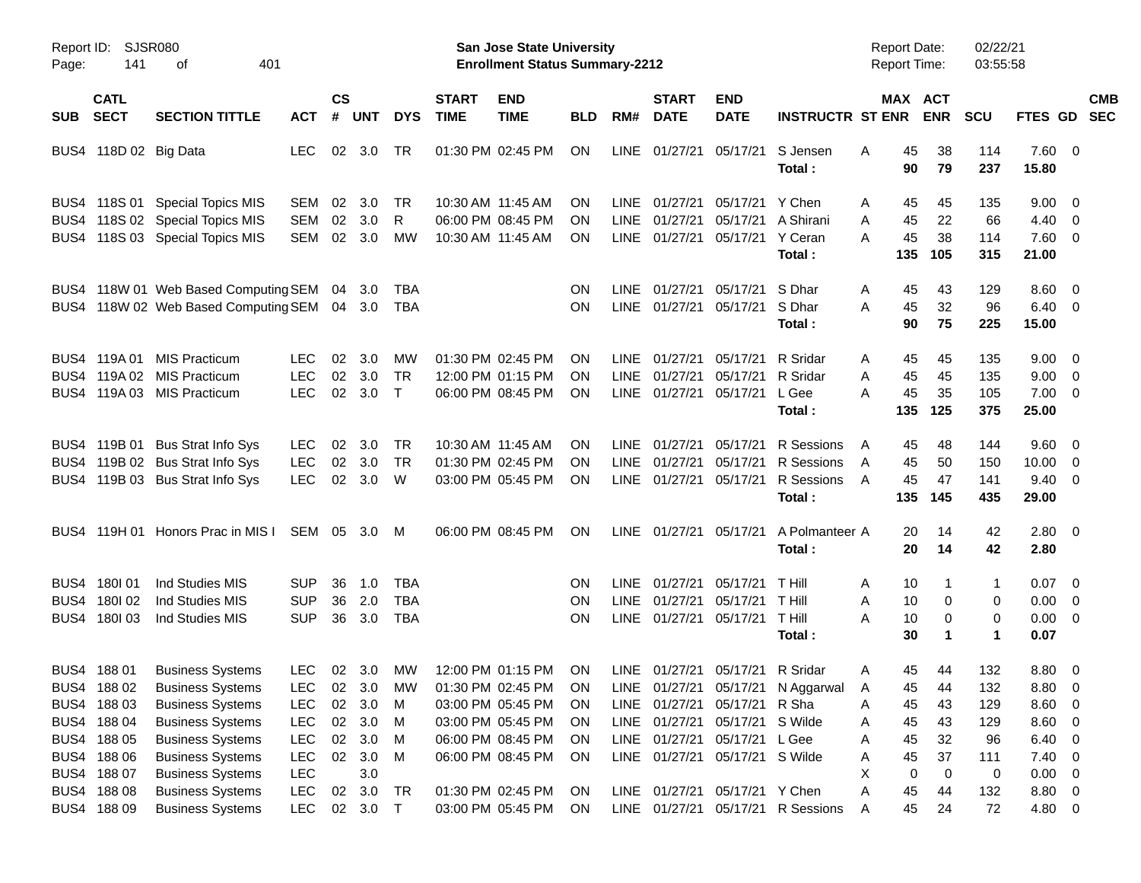| Report ID:<br>Page: | SJSR080<br>141                                           | 401<br>οf                                                                                                |                                                      |                    |                          |                                        |                             | San Jose State University<br><b>Enrollment Status Summary-2212</b>               |                              |                                    |                                  |                                                                                           |                                                          | <b>Report Date:</b><br><b>Report Time:</b> |                        | 02/22/21<br>03:55:58     |                                                       |                          |                          |
|---------------------|----------------------------------------------------------|----------------------------------------------------------------------------------------------------------|------------------------------------------------------|--------------------|--------------------------|----------------------------------------|-----------------------------|----------------------------------------------------------------------------------|------------------------------|------------------------------------|----------------------------------|-------------------------------------------------------------------------------------------|----------------------------------------------------------|--------------------------------------------|------------------------|--------------------------|-------------------------------------------------------|--------------------------|--------------------------|
| <b>SUB</b>          | <b>CATL</b><br><b>SECT</b>                               | <b>SECTION TITTLE</b>                                                                                    | <b>ACT</b>                                           | $\mathsf{cs}$<br># | <b>UNT</b>               | <b>DYS</b>                             | <b>START</b><br><b>TIME</b> | <b>END</b><br><b>TIME</b>                                                        | <b>BLD</b>                   | RM#                                | <b>START</b><br><b>DATE</b>      | <b>END</b><br><b>DATE</b>                                                                 | <b>INSTRUCTR ST ENR</b>                                  | MAX ACT                                    | <b>ENR</b>             | <b>SCU</b>               | FTES GD                                               |                          | <b>CMB</b><br><b>SEC</b> |
|                     | BUS4 118D 02 Big Data                                    |                                                                                                          | <b>LEC</b>                                           | 02                 | 3.0                      | TR                                     |                             | 01:30 PM 02:45 PM                                                                | ON                           | LINE                               | 01/27/21                         | 05/17/21                                                                                  | S Jensen<br>Total:                                       | 45<br>Α<br>90                              | 38<br>79               | 114<br>237               | $7.60 \t 0$<br>15.80                                  |                          |                          |
|                     |                                                          | BUS4 118S 01 Special Topics MIS<br>BUS4 118S 02 Special Topics MIS<br>BUS4 118S 03 Special Topics MIS    | <b>SEM</b><br><b>SEM</b><br>SEM                      | 02<br>02<br>02     | 3.0<br>3.0<br>3.0        | TR<br>R<br>MW                          |                             | 10:30 AM 11:45 AM<br>06:00 PM 08:45 PM<br>10:30 AM 11:45 AM                      | ΟN<br><b>ON</b><br><b>ON</b> | LINE<br>LINE<br>LINE               | 01/27/21<br>01/27/21<br>01/27/21 | 05/17/21<br>05/17/21<br>05/17/21                                                          | Y Chen<br>A Shirani<br>Y Ceran<br>Total:                 | A<br>45<br>45<br>A<br>45<br>A<br>135       | 45<br>22<br>38<br>105  | 135<br>66<br>114<br>315  | $9.00 \quad 0$<br>4.40<br>$7.60 \t 0$<br>21.00        | $\overline{\phantom{0}}$ |                          |
|                     |                                                          | BUS4 118W 01 Web Based Computing SEM<br>BUS4 118W 02 Web Based Computing SEM                             |                                                      | 04                 | 3.0<br>04 3.0            | TBA<br>TBA                             |                             |                                                                                  | <b>ON</b><br><b>ON</b>       | <b>LINE</b><br>LINE                | 01/27/21<br>01/27/21             | 05/17/21<br>05/17/21                                                                      | S Dhar<br>S Dhar<br>Total:                               | A<br>45<br>45<br>A<br>90                   | 43<br>32<br>75         | 129<br>96<br>225         | $8.60 \quad 0$<br>$6.40 \quad 0$<br>15.00             |                          |                          |
|                     | BUS4 119A01<br>BUS4 119A02<br>BUS4 119A03                | <b>MIS Practicum</b><br><b>MIS Practicum</b><br><b>MIS Practicum</b>                                     | LEC.<br><b>LEC</b><br><b>LEC</b>                     | 02<br>02<br>02     | 3.0<br>3.0<br>3.0        | MW<br><b>TR</b><br>$\top$              |                             | 01:30 PM 02:45 PM<br>12:00 PM 01:15 PM<br>06:00 PM 08:45 PM                      | ΟN<br><b>ON</b><br><b>ON</b> | <b>LINE</b><br><b>LINE</b><br>LINE | 01/27/21<br>01/27/21<br>01/27/21 | 05/17/21<br>05/17/21<br>05/17/21                                                          | R Sridar<br>R Sridar<br>L Gee<br>Total:                  | 45<br>A<br>45<br>A<br>45<br>А<br>135       | 45<br>45<br>35<br>125  | 135<br>135<br>105<br>375 | $9.00 \quad 0$<br>9.00<br>$7.00 \t 0$<br>25.00        | $\overline{\phantom{0}}$ |                          |
|                     | BUS4 119B 01                                             | <b>Bus Strat Info Sys</b><br>BUS4 119B 02 Bus Strat Info Sys<br>BUS4 119B 03 Bus Strat Info Sys          | LEC.<br><b>LEC</b><br><b>LEC</b>                     | 02<br>02<br>02     | 3.0<br>3.0<br>3.0        | TR<br>TR<br>W                          |                             | 10:30 AM 11:45 AM<br>01:30 PM 02:45 PM<br>03:00 PM 05:45 PM                      | ΟN<br><b>ON</b><br><b>ON</b> | <b>LINE</b><br><b>LINE</b><br>LINE | 01/27/21<br>01/27/21<br>01/27/21 | 05/17/21<br>05/17/21<br>05/17/21                                                          | R Sessions<br>R Sessions<br>R Sessions<br>Total:         | A<br>45<br>45<br>A<br>A<br>45<br>135       | 48<br>50<br>47<br>145  | 144<br>150<br>141<br>435 | $9.60 \quad 0$<br>10.00<br>$9.40 \quad 0$<br>29.00    | $\overline{\phantom{0}}$ |                          |
|                     |                                                          | BUS4 119H 01 Honors Prac in MIS I                                                                        | SEM 05 3.0                                           |                    |                          | M                                      |                             | 06:00 PM 08:45 PM                                                                | <b>ON</b>                    | LINE                               | 01/27/21 05/17/21                |                                                                                           | A Polmanteer A<br>Total:                                 | 20<br>20                                   | 14<br>14               | 42<br>42                 | $2.80 \t 0$<br>2.80                                   |                          |                          |
| BUS4<br>BUS4        | 180I01<br>180I 02<br>BUS4 180103                         | Ind Studies MIS<br>Ind Studies MIS<br>Ind Studies MIS                                                    | <b>SUP</b><br><b>SUP</b><br><b>SUP</b>               | 36<br>36<br>36     | 1.0<br>2.0<br>3.0        | <b>TBA</b><br><b>TBA</b><br><b>TBA</b> |                             |                                                                                  | <b>ON</b><br>ON<br><b>ON</b> | <b>LINE</b><br><b>LINE</b><br>LINE | 01/27/21<br>01/27/21<br>01/27/21 | 05/17/21<br>05/17/21<br>05/17/21                                                          | <b>T</b> Hill<br>T Hill<br>T Hill<br>Total:              | A<br>10<br>10<br>A<br>Α<br>10<br>30        | 1<br>0<br>0<br>1       | 1<br>0<br>0<br>1         | $0.07 \quad 0$<br>0.00<br>$0.00 \t 0$<br>0.07         | $\overline{\mathbf{0}}$  |                          |
|                     | BUS4 188 01<br>BUS4 188 02<br>BUS4 188 03<br>BUS4 188 04 | <b>Business Systems</b><br><b>Business Systems</b><br><b>Business Systems</b><br><b>Business Systems</b> | <b>LEC</b><br><b>LEC</b><br><b>LEC</b>               | 02<br>02           | 02 3.0<br>3.0<br>3.0     | МW<br>LEC 02 3.0 MW<br>M<br>M          |                             | 12:00 PM 01:15 PM<br>01:30 PM 02:45 PM<br>03:00 PM 05:45 PM<br>03:00 PM 05:45 PM | ON<br>ON<br>0N<br><b>ON</b>  | LINE<br>LINE                       | 01/27/21                         | 05/17/21<br>LINE 01/27/21 05/17/21 R Sha<br>01/27/21 05/17/21                             | R Sridar<br>LINE 01/27/21 05/17/21 N Aggarwal<br>S Wilde | 45<br>Α<br>45<br>A<br>Α<br>45<br>45<br>Α   | 44<br>- 44<br>43<br>43 | 132<br>132<br>129<br>129 | 8.80 0<br>8.80 0<br>8.60 0<br>8.60 0                  |                          |                          |
|                     | BUS4 188 05<br>BUS4 188 06<br>BUS4 188 07<br>BUS4 188 08 | <b>Business Systems</b><br><b>Business Systems</b><br><b>Business Systems</b><br><b>Business Systems</b> | <b>LEC</b><br><b>LEC</b><br><b>LEC</b><br><b>LEC</b> | 02<br>02<br>02     | 3.0<br>3.0<br>3.0<br>3.0 | M<br>M<br>TR                           |                             | 06:00 PM 08:45 PM<br>06:00 PM 08:45 PM<br>01:30 PM 02:45 PM                      | <b>ON</b><br>ON<br>ON        |                                    |                                  | LINE 01/27/21 05/17/21<br>LINE 01/27/21 05/17/21 S Wilde<br>LINE 01/27/21 05/17/21 Y Chen | L Gee                                                    | 45<br>Α<br>45<br>Α<br>Χ<br>0<br>45<br>Α    | 32<br>37<br>0<br>44    | 96<br>111<br>0<br>132    | $6.40 \quad 0$<br>$7.40 \ 0$<br>$0.00 \t 0$<br>8.80 0 |                          |                          |
|                     | BUS4 188 09                                              | <b>Business Systems</b>                                                                                  | <b>LEC</b>                                           |                    | 02 3.0 T                 |                                        |                             | 03:00 PM 05:45 PM                                                                | ON                           |                                    |                                  |                                                                                           | LINE 01/27/21 05/17/21 R Sessions                        | 45<br>Α                                    | 24                     | 72                       | 4.80 0                                                |                          |                          |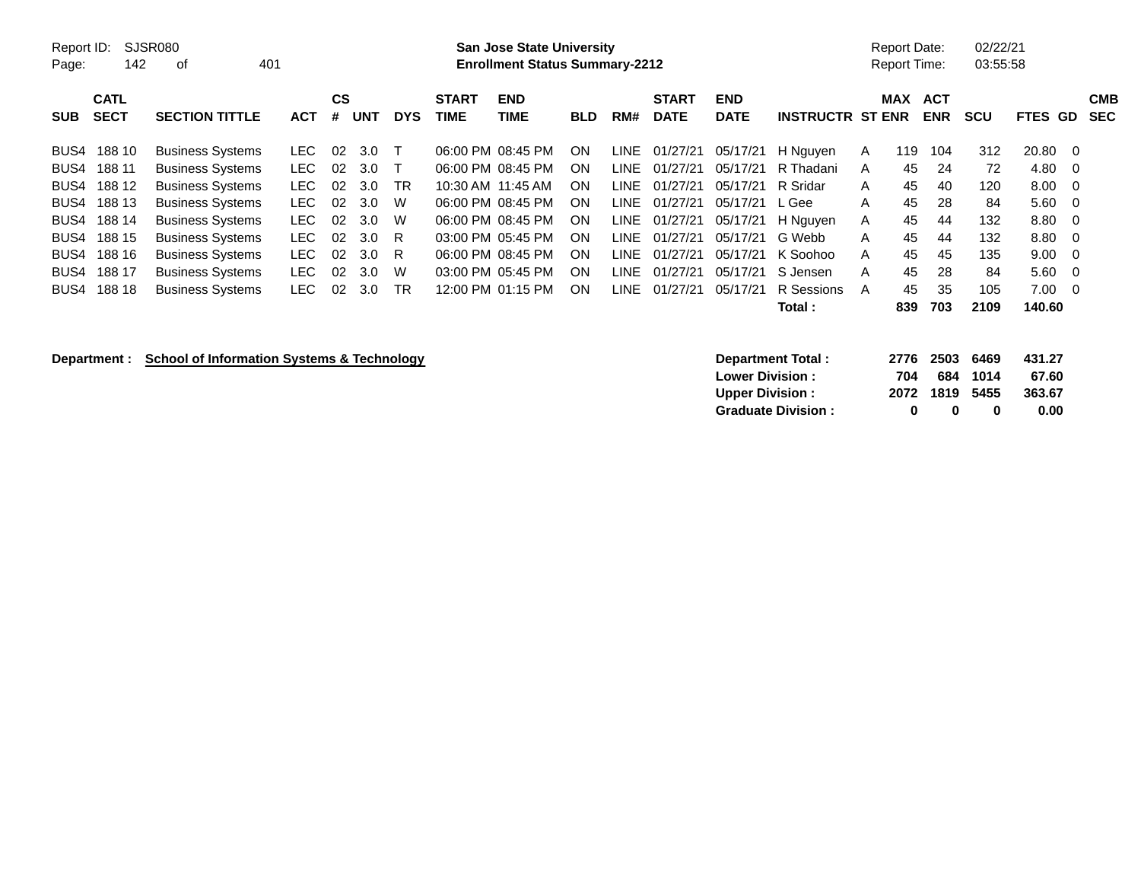| Report ID:<br>Page: | 142                        | SJSR080<br>οf           | 401 |            |         |            |            |                             | <b>San Jose State University</b><br><b>Enrollment Status Summary-2212</b> |            |       |                             |                           |                         |              | <b>Report Date:</b><br><b>Report Time:</b> |                          | 02/22/21<br>03:55:58 |                |                   |
|---------------------|----------------------------|-------------------------|-----|------------|---------|------------|------------|-----------------------------|---------------------------------------------------------------------------|------------|-------|-----------------------------|---------------------------|-------------------------|--------------|--------------------------------------------|--------------------------|----------------------|----------------|-------------------|
| <b>SUB</b>          | <b>CATL</b><br><b>SECT</b> | <b>SECTION TITTLE</b>   |     | <b>ACT</b> | CS<br># | <b>UNT</b> | <b>DYS</b> | <b>START</b><br><b>TIME</b> | <b>END</b><br>TIME                                                        | <b>BLD</b> | RM#   | <b>START</b><br><b>DATE</b> | <b>END</b><br><b>DATE</b> | <b>INSTRUCTR ST ENR</b> |              | <b>MAX</b>                                 | <b>ACT</b><br><b>ENR</b> | scu                  | <b>FTES GD</b> | <b>CMB</b><br>SEC |
| BUS4                | 188 10                     | <b>Business Systems</b> |     | LEC.       | 02      | 3.0        |            |                             | 06:00 PM 08:45 PM                                                         | <b>ON</b>  | LINE  | 01/27/21                    | 05/17/21                  | H Nguyen                | A            | 119                                        | 104                      | 312                  | 20.80          | $\overline{0}$    |
| BUS4                | 188 11                     | <b>Business Systems</b> |     | LEC.       | 02      | 3.0        |            |                             | 06:00 PM 08:45 PM                                                         | ON         | LINE  | 01/27/21                    | 05/17/21                  | R Thadani               | A            | 45                                         | 24                       | 72                   | 4.80           | $\overline{0}$    |
| BUS4                | 188 12                     | <b>Business Systems</b> |     | LEC.       | 02      | 3.0        | <b>TR</b>  |                             | 10:30 AM 11:45 AM                                                         | <b>ON</b>  | LINE- | 01/27/21                    | 05/17/21                  | R Sridar                | $\mathsf{A}$ | 45                                         | 40                       | 120                  | 8.00           | $\overline{0}$    |
| BUS4                | 188 13                     | <b>Business Systems</b> |     | LEC.       | 02      | 3.0        | W          |                             | 06:00 PM 08:45 PM                                                         | ON         | LINE  | 01/27/21                    | 05/17/21                  | L Gee                   | A            | 45                                         | 28                       | 84                   | 5.60           | $\overline{0}$    |
| BUS4                | 188 14                     | <b>Business Systems</b> |     | LEC-       | 02      | 3.0        | W          |                             | 06:00 PM 08:45 PM                                                         | ON         |       | LINE 01/27/21               | 05/17/21                  | H Nguyen                | A            | 45                                         | 44                       | 132                  | 8.80           | $\overline{0}$    |
| BUS4                | 188 15                     | <b>Business Systems</b> |     | LEC.       | 02      | 3.0        | -R         |                             | 03:00 PM 05:45 PM                                                         | <b>ON</b>  | LINE  | 01/27/21                    | 05/17/21                  | G Webb                  | A            | 45                                         | 44                       | 132                  | 8.80           | - 0               |
| BUS4                | 188 16                     | <b>Business Systems</b> |     | LEC.       | 02      | 3.0        | R.         |                             | 06:00 PM 08:45 PM                                                         | ON         | LINE  | 01/27/21                    | 05/17/21                  | K Soohoo                | A            | 45                                         | 45                       | 135                  | 9.00           | $\overline{0}$    |
| BUS4                | 188 17                     | <b>Business Systems</b> |     | LEC.       | 02      | 3.0        | W          |                             | 03:00 PM 05:45 PM                                                         | <b>ON</b>  | LINE  | 01/27/21                    | 05/17/21                  | S Jensen                | A            | 45                                         | 28                       | 84                   | 5.60           | $\overline{0}$    |
| BUS4                | 188 18                     | <b>Business Systems</b> |     | LEC.       | 02      | 3.0        | TR         |                             | 12:00 PM 01:15 PM                                                         | <b>ON</b>  | LINE- | 01/27/21                    | 05/17/21                  | R Sessions              | A            | 45                                         | 35                       | 105                  | 7.00           | $\overline{0}$    |
|                     |                            |                         |     |            |         |            |            |                             |                                                                           |            |       |                             |                           | Total:                  |              | 839                                        | 703                      | 2109                 | 140.60         |                   |

## **Department : School of Information Systems & Technology**

| Department Total:         |     | 2776 2503 6469 |          | 431.27 |
|---------------------------|-----|----------------|----------|--------|
| <b>Lower Division:</b>    | 704 |                | 684 1014 | 67.60  |
| <b>Upper Division:</b>    |     | 2072 1819 5455 |          | 363.67 |
| <b>Graduate Division:</b> | n   | $\mathbf{u}$   | o        | 0.00   |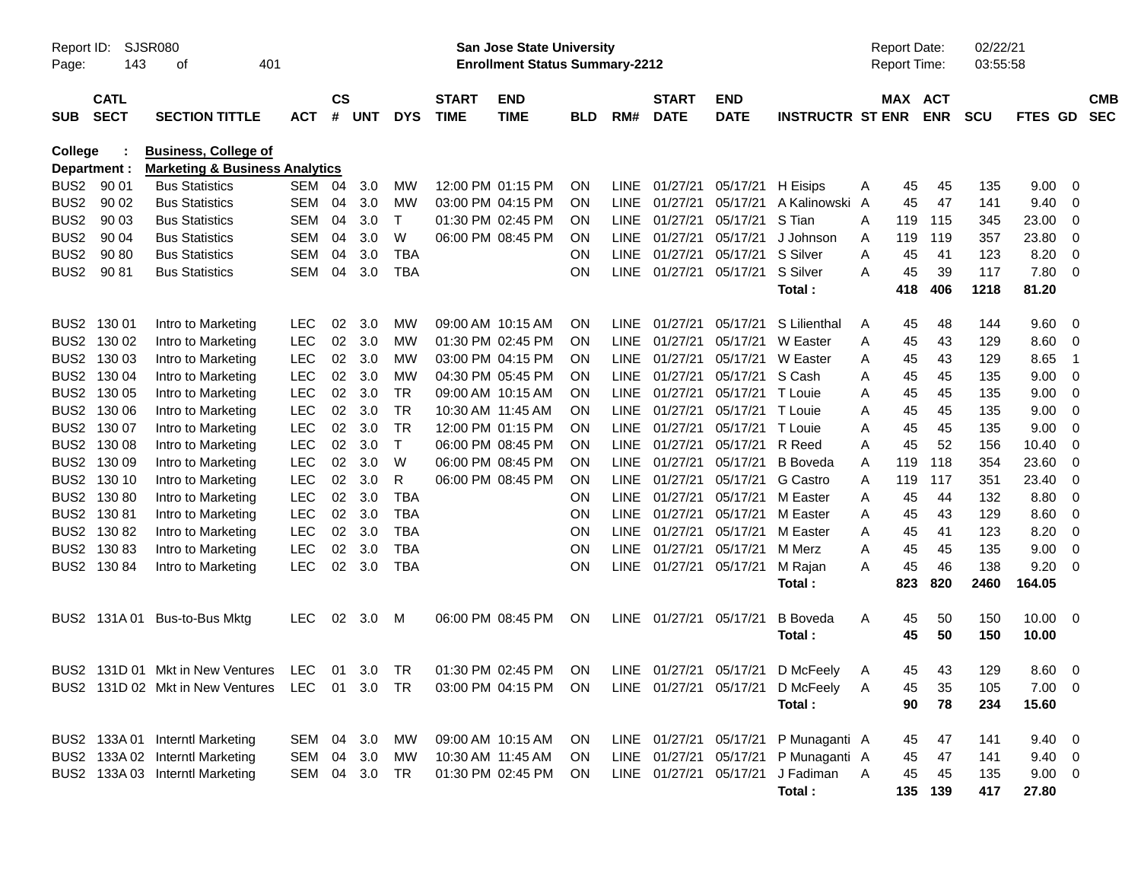| Report ID:<br>Page: | 143                        | <b>SJSR080</b><br>401<br>οf                                                                |               |               |        |              |                             | <b>San Jose State University</b><br><b>Enrollment Status Summary-2212</b> |            |             |                             |                           |                         |   | <b>Report Date:</b><br>Report Time: |            | 02/22/21<br>03:55:58 |                |                |                          |
|---------------------|----------------------------|--------------------------------------------------------------------------------------------|---------------|---------------|--------|--------------|-----------------------------|---------------------------------------------------------------------------|------------|-------------|-----------------------------|---------------------------|-------------------------|---|-------------------------------------|------------|----------------------|----------------|----------------|--------------------------|
| <b>SUB</b>          | <b>CATL</b><br><b>SECT</b> | <b>SECTION TITTLE</b>                                                                      | <b>ACT</b>    | $\mathsf{cs}$ | # UNT  | <b>DYS</b>   | <b>START</b><br><b>TIME</b> | <b>END</b><br><b>TIME</b>                                                 | <b>BLD</b> | RM#         | <b>START</b><br><b>DATE</b> | <b>END</b><br><b>DATE</b> | <b>INSTRUCTR ST ENR</b> |   | MAX ACT                             | <b>ENR</b> | <b>SCU</b>           | FTES GD        |                | <b>CMB</b><br><b>SEC</b> |
| College             | Department :               | <b>Business, College of</b><br><b>Marketing &amp; Business Analytics</b>                   |               |               |        |              |                             |                                                                           |            |             |                             |                           |                         |   |                                     |            |                      |                |                |                          |
| BUS <sub>2</sub>    | 90 01                      | <b>Bus Statistics</b>                                                                      | SEM           | 04            | 3.0    | МW           |                             | 12:00 PM 01:15 PM                                                         | ON         | <b>LINE</b> | 01/27/21                    | 05/17/21                  | H Eisips                | A | 45                                  | 45         | 135                  | 9.00           | 0              |                          |
| BUS <sub>2</sub>    | 90 02                      | <b>Bus Statistics</b>                                                                      | SEM           | 04            | 3.0    | <b>MW</b>    |                             | 03:00 PM 04:15 PM                                                         | <b>ON</b>  | <b>LINE</b> | 01/27/21                    | 05/17/21                  | A Kalinowski A          |   | 45                                  | 47         | 141                  | 9.40           | 0              |                          |
| BUS <sub>2</sub>    | 90 03                      | <b>Bus Statistics</b>                                                                      | <b>SEM</b>    | 04            | 3.0    | T            |                             | 01:30 PM 02:45 PM                                                         | <b>ON</b>  | <b>LINE</b> | 01/27/21                    | 05/17/21                  | S Tian                  | A | 119                                 | 115        | 345                  | 23.00          | 0              |                          |
| BUS <sub>2</sub>    | 90 04                      | <b>Bus Statistics</b>                                                                      | <b>SEM</b>    | 04            | 3.0    | W            |                             | 06:00 PM 08:45 PM                                                         | <b>ON</b>  | <b>LINE</b> | 01/27/21                    | 05/17/21                  | J Johnson               | A | 119                                 | 119        | 357                  | 23.80          | 0              |                          |
| BUS <sub>2</sub>    | 90 80                      | <b>Bus Statistics</b>                                                                      | <b>SEM</b>    | 04            | 3.0    | <b>TBA</b>   |                             |                                                                           | ON         | <b>LINE</b> | 01/27/21                    | 05/17/21                  | S Silver                | A | 45                                  | 41         | 123                  | 8.20           | 0              |                          |
| BUS <sub>2</sub>    | 90 81                      | <b>Bus Statistics</b>                                                                      | <b>SEM</b>    | 04            | 3.0    | <b>TBA</b>   |                             |                                                                           | ON         |             | LINE 01/27/21               | 05/17/21                  | S Silver                | A | 45                                  | 39         | 117                  | 7.80           | 0              |                          |
|                     |                            |                                                                                            |               |               |        |              |                             |                                                                           |            |             |                             |                           | Total:                  |   | 418                                 | 406        | 1218                 | 81.20          |                |                          |
|                     | BUS2 130 01                | Intro to Marketing                                                                         | <b>LEC</b>    | 02            | 3.0    | MW           |                             | 09:00 AM 10:15 AM                                                         | ON         | LINE        | 01/27/21                    | 05/17/21                  | S Lilienthal            | A | 45                                  | 48         | 144                  | 9.60           | - 0            |                          |
|                     | BUS2 130 02                | Intro to Marketing                                                                         | <b>LEC</b>    | 02            | 3.0    | <b>MW</b>    |                             | 01:30 PM 02:45 PM                                                         | ΟN         | <b>LINE</b> | 01/27/21                    | 05/17/21                  | W Easter                | Α | 45                                  | 43         | 129                  | 8.60           | 0              |                          |
|                     | BUS2 130 03                | Intro to Marketing                                                                         | <b>LEC</b>    | 02            | 3.0    | <b>MW</b>    |                             | 03:00 PM 04:15 PM                                                         | <b>ON</b>  | <b>LINE</b> | 01/27/21                    | 05/17/21                  | W Easter                | Α | 45                                  | 43         | 129                  | 8.65           | $\overline{1}$ |                          |
|                     | BUS2 130 04                | Intro to Marketing                                                                         | <b>LEC</b>    | 02            | 3.0    | <b>MW</b>    |                             | 04:30 PM 05:45 PM                                                         | 0N         | <b>LINE</b> | 01/27/21                    | 05/17/21                  | S Cash                  | A | 45                                  | 45         | 135                  | 9.00           | 0              |                          |
|                     | BUS2 130 05                | Intro to Marketing                                                                         | <b>LEC</b>    | 02            | 3.0    | <b>TR</b>    | 09:00 AM 10:15 AM           |                                                                           | 0N         | <b>LINE</b> | 01/27/21                    | 05/17/21                  | T Louie                 | A | 45                                  | 45         | 135                  | 9.00           | 0              |                          |
|                     | BUS2 130 06                | Intro to Marketing                                                                         | <b>LEC</b>    | 02            | 3.0    | <b>TR</b>    |                             | 10:30 AM 11:45 AM                                                         | 0N         | <b>LINE</b> | 01/27/21                    | 05/17/21                  | T Louie                 | A | 45                                  | 45         | 135                  | 9.00           | 0              |                          |
|                     | BUS2 130 07                | Intro to Marketing                                                                         | <b>LEC</b>    | 02            | 3.0    | <b>TR</b>    |                             | 12:00 PM 01:15 PM                                                         | ON         | <b>LINE</b> | 01/27/21                    | 05/17/21                  | T Louie                 | A | 45                                  | 45         | 135                  | 9.00           | 0              |                          |
|                     | BUS2 130 08                | Intro to Marketing                                                                         | <b>LEC</b>    | 02            | 3.0    | $\mathsf{T}$ |                             | 06:00 PM 08:45 PM                                                         | ON         | <b>LINE</b> | 01/27/21                    | 05/17/21                  | R Reed                  | A | 45                                  | 52         | 156                  | 10.40          | 0              |                          |
|                     | BUS2 130 09                | Intro to Marketing                                                                         | <b>LEC</b>    | 02            | 3.0    | W            |                             | 06:00 PM 08:45 PM                                                         | 0N         | <b>LINE</b> | 01/27/21                    | 05/17/21                  | <b>B</b> Boveda         | A | 119                                 | 118        | 354                  | 23.60          | 0              |                          |
|                     | BUS2 130 10                | Intro to Marketing                                                                         | <b>LEC</b>    | 02            | 3.0    | R            |                             | 06:00 PM 08:45 PM                                                         | ON         | <b>LINE</b> | 01/27/21                    | 05/17/21                  | G Castro                | A | 119                                 | 117        | 351                  | 23.40          | 0              |                          |
|                     | BUS2 130 80                | Intro to Marketing                                                                         | <b>LEC</b>    | 02            | 3.0    | <b>TBA</b>   |                             |                                                                           | ΟN         | <b>LINE</b> | 01/27/21                    | 05/17/21                  | M Easter                | A | 45                                  | 44         | 132                  | 8.80           | 0              |                          |
|                     | BUS2 130 81                | Intro to Marketing                                                                         | <b>LEC</b>    | 02            | 3.0    | <b>TBA</b>   |                             |                                                                           | ON         | <b>LINE</b> | 01/27/21                    | 05/17/21                  | M Easter                | Α | 45                                  | 43         | 129                  | 8.60           | 0              |                          |
|                     | BUS2 130 82                | Intro to Marketing                                                                         | <b>LEC</b>    | 02            | 3.0    | <b>TBA</b>   |                             |                                                                           | ON         | <b>LINE</b> | 01/27/21                    | 05/17/21                  | M Easter                | A | 45                                  | 41         | 123                  | 8.20           | 0              |                          |
|                     | BUS2 130 83                | Intro to Marketing                                                                         | <b>LEC</b>    | 02            | 3.0    | <b>TBA</b>   |                             |                                                                           | ON         | <b>LINE</b> | 01/27/21                    | 05/17/21                  | M Merz                  | A | 45                                  | 45         | 135                  | 9.00           | 0              |                          |
|                     | BUS2 130 84                | Intro to Marketing                                                                         | <b>LEC</b>    | 02            | 3.0    | <b>TBA</b>   |                             |                                                                           | ON         |             | LINE 01/27/21               | 05/17/21                  | M Rajan                 | A | 45                                  | 46         | 138                  | 9.20           | $\Omega$       |                          |
|                     |                            |                                                                                            |               |               |        |              |                             |                                                                           |            |             |                             |                           | Total:                  |   | 823                                 | 820        | 2460                 | 164.05         |                |                          |
|                     |                            | BUS2 131A 01 Bus-to-Bus Mktg                                                               | <b>LEC</b>    | 02            | 3.0    | M            |                             | 06:00 PM 08:45 PM                                                         | ON         |             | LINE 01/27/21               | 05/17/21                  | <b>B</b> Boveda         | Α | 45                                  | 50         | 150                  | 10.00          | - 0            |                          |
|                     |                            |                                                                                            |               |               |        |              |                             |                                                                           |            |             |                             |                           | Total:                  |   | 45                                  | 50         | 150                  | 10.00          |                |                          |
|                     |                            | BUS2 131D 01 Mkt in New Ventures                                                           | LEC.          |               | 01 3.0 | TR           |                             | 01:30 PM 02:45 PM                                                         | ON         |             | LINE 01/27/21               | 05/17/21                  | D McFeely               | A | 45                                  | 43         | 129                  | 8.60           | - 0            |                          |
|                     |                            | BUS2 131D 02 Mkt in New Ventures LEC 01 3.0 TR 03:00 PM 04:15 PM ON LINE 01/27/21 05/17/21 |               |               |        |              |                             |                                                                           |            |             |                             |                           | D McFeely A             |   | 45                                  | 35         | 105                  | $7.00 \t 0$    |                |                          |
|                     |                            |                                                                                            |               |               |        |              |                             |                                                                           |            |             |                             |                           | Total:                  |   | 90                                  | 78         | 234                  | 15.60          |                |                          |
|                     |                            | BUS2 133A 01 Interntl Marketing                                                            | SEM 04 3.0    |               |        | MW           |                             | 09:00 AM 10:15 AM                                                         | ON O       |             | LINE 01/27/21 05/17/21      |                           | P Munaganti A           |   | 45                                  | 47         | 141                  | $9.40 \quad 0$ |                |                          |
|                     |                            | BUS2 133A 02 Interntl Marketing                                                            | SEM 04 3.0    |               |        | MW           |                             | 10:30 AM 11:45 AM                                                         | ON.        |             |                             | LINE 01/27/21 05/17/21    | P Munaganti A           |   | 45                                  | 47         | 141                  | $9.40 \quad 0$ |                |                          |
|                     |                            | BUS2 133A 03 Interntl Marketing                                                            | SEM 04 3.0 TR |               |        |              |                             | 01:30 PM 02:45 PM                                                         | ON.        |             | LINE 01/27/21 05/17/21      |                           | J Fadiman A             |   | 45                                  | 45         | 135                  | 9.00 0         |                |                          |
|                     |                            |                                                                                            |               |               |        |              |                             |                                                                           |            |             |                             |                           | Total:                  |   |                                     | 135 139    | 417                  | 27.80          |                |                          |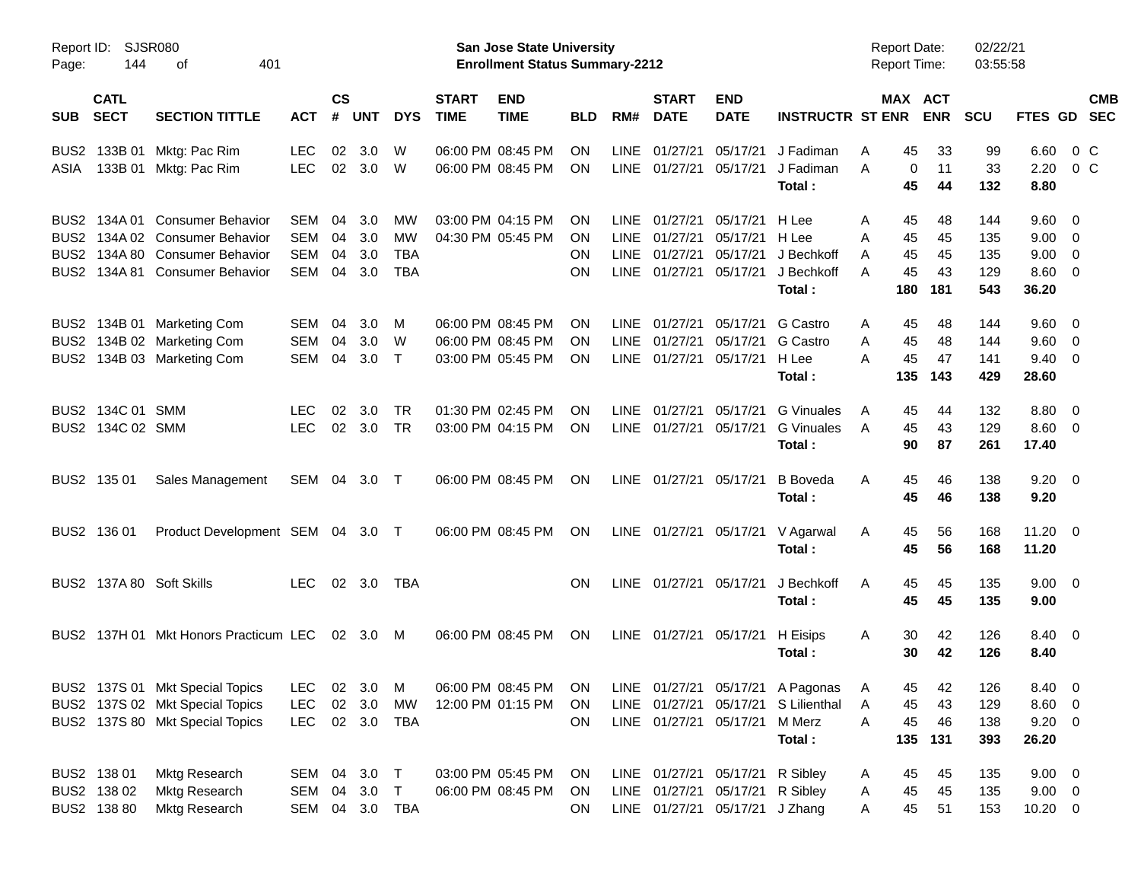| Report ID:<br>Page: | 144                        | SJSR080<br>401<br>οf                  |                |                    |                  |            |                             | <b>San Jose State University</b><br><b>Enrollment Status Summary-2212</b> |            |             |                             |                                 |                                     | <b>Report Date:</b><br><b>Report Time:</b> |                       | 02/22/21<br>03:55:58 |                |                          |                          |
|---------------------|----------------------------|---------------------------------------|----------------|--------------------|------------------|------------|-----------------------------|---------------------------------------------------------------------------|------------|-------------|-----------------------------|---------------------------------|-------------------------------------|--------------------------------------------|-----------------------|----------------------|----------------|--------------------------|--------------------------|
| <b>SUB</b>          | <b>CATL</b><br><b>SECT</b> | <b>SECTION TITTLE</b>                 | <b>ACT</b>     | $\mathsf{cs}$<br># | <b>UNT</b>       | <b>DYS</b> | <b>START</b><br><b>TIME</b> | <b>END</b><br><b>TIME</b>                                                 | <b>BLD</b> | RM#         | <b>START</b><br><b>DATE</b> | <b>END</b><br><b>DATE</b>       | <b>INSTRUCTR ST ENR</b>             |                                            | MAX ACT<br><b>ENR</b> | <b>SCU</b>           | <b>FTES GD</b> |                          | <b>CMB</b><br><b>SEC</b> |
| BUS2                |                            | 133B 01 Mktg: Pac Rim                 | <b>LEC</b>     | 02                 | 3.0              | W          |                             | 06:00 PM 08:45 PM                                                         | ΟN         | LINE        | 01/27/21                    | 05/17/21                        | J Fadiman                           | A<br>45                                    | 33                    | 99                   | 6.60           | $0\,$ C                  |                          |
| ASIA                |                            | 133B 01 Mktg: Pac Rim                 | <b>LEC</b>     | 02                 | 3.0              | W          |                             | 06:00 PM 08:45 PM                                                         | ON         |             | LINE 01/27/21               | 05/17/21                        | J Fadiman                           | A                                          | 11<br>0               | 33                   | 2.20           |                          | $0\,$ C                  |
|                     |                            |                                       |                |                    |                  |            |                             |                                                                           |            |             |                             |                                 | Total:                              | 45                                         | 44                    | 132                  | 8.80           |                          |                          |
|                     |                            | BUS2 134A 01 Consumer Behavior        | SEM            | 04                 | 3.0              | МW         |                             | 03:00 PM 04:15 PM                                                         | ON         | LINE        | 01/27/21                    | 05/17/21                        | H Lee                               | A<br>45                                    | 48                    | 144                  | 9.60           | $\overline{\mathbf{0}}$  |                          |
|                     |                            | BUS2 134A 02 Consumer Behavior        | <b>SEM</b>     | 04                 | 3.0              | МW         |                             | 04:30 PM 05:45 PM                                                         | ON         | <b>LINE</b> | 01/27/21                    | 05/17/21                        | H Lee                               | 45<br>Α                                    | 45                    | 135                  | 9.00           | $\overline{\phantom{0}}$ |                          |
|                     |                            | BUS2 134A 80 Consumer Behavior        | SEM            | 04                 | 3.0              | <b>TBA</b> |                             |                                                                           | ON         | <b>LINE</b> | 01/27/21                    | 05/17/21                        | J Bechkoff                          | 45<br>A                                    | 45                    | 135                  | 9.00           | $\overline{\mathbf{0}}$  |                          |
|                     |                            | BUS2 134A 81 Consumer Behavior        | SEM            | 04                 | 3.0              | <b>TBA</b> |                             |                                                                           | <b>ON</b>  | <b>LINE</b> | 01/27/21                    | 05/17/21                        | J Bechkoff                          | 45<br>A                                    | 43                    | 129                  | 8.60           | $\overline{\mathbf{0}}$  |                          |
|                     |                            |                                       |                |                    |                  |            |                             |                                                                           |            |             |                             |                                 | Total:                              | 180                                        | 181                   | 543                  | 36.20          |                          |                          |
|                     |                            | BUS2 134B 01 Marketing Com            | SEM            | 04                 | 3.0 <sub>2</sub> | M          |                             | 06:00 PM 08:45 PM                                                         | ΟN         | LINE        | 01/27/21                    | 05/17/21                        | G Castro                            | 45<br>Α                                    | 48                    | 144                  | 9.60           | $\overline{\mathbf{0}}$  |                          |
|                     |                            | BUS2 134B 02 Marketing Com            | SEM            | 04                 | 3.0 <sub>2</sub> | W          |                             | 06:00 PM 08:45 PM                                                         | ON         | <b>LINE</b> | 01/27/21                    | 05/17/21                        | G Castro                            | 45<br>A                                    | 48                    | 144                  | 9.60           | $\overline{\phantom{0}}$ |                          |
|                     |                            | BUS2 134B 03 Marketing Com            | SEM            | 04                 | 3.0              | $\top$     |                             | 03:00 PM 05:45 PM                                                         | ON         |             | LINE 01/27/21               | 05/17/21                        | H Lee                               | 45<br>А                                    | 47                    | 141                  | 9.40           | $\overline{\mathbf{0}}$  |                          |
|                     |                            |                                       |                |                    |                  |            |                             |                                                                           |            |             |                             |                                 | Total:                              | 135                                        | 143                   | 429                  | 28.60          |                          |                          |
|                     | BUS2 134C 01 SMM           |                                       | <b>LEC</b>     | 02                 | 3.0              | TR         |                             | 01:30 PM 02:45 PM                                                         | ON         | LINE        | 01/27/21                    | 05/17/21                        | <b>G</b> Vinuales                   | A<br>45                                    | 44                    | 132                  | 8.80           | $\overline{\mathbf{0}}$  |                          |
|                     | BUS2 134C 02 SMM           |                                       | <b>LEC</b>     |                    | 02 3.0           | <b>TR</b>  |                             | 03:00 PM 04:15 PM                                                         | <b>ON</b>  |             | LINE 01/27/21 05/17/21      |                                 | <b>G</b> Vinuales                   | 45<br>A                                    | 43                    | 129                  | $8.60 \quad 0$ |                          |                          |
|                     |                            |                                       |                |                    |                  |            |                             |                                                                           |            |             |                             |                                 | Total:                              | 90                                         | 87                    | 261                  | 17.40          |                          |                          |
|                     | BUS2 135 01                | Sales Management                      | SEM 04 3.0 T   |                    |                  |            |                             | 06:00 PM 08:45 PM                                                         | ON         |             | LINE 01/27/21 05/17/21      |                                 | <b>B</b> Boveda                     | A<br>45                                    | 46                    | 138                  | 9.20           | $\overline{\mathbf{0}}$  |                          |
|                     |                            |                                       |                |                    |                  |            |                             |                                                                           |            |             |                             |                                 | Total:                              | 45                                         | 46                    | 138                  | 9.20           |                          |                          |
|                     | BUS2 136 01                | Product Development SEM 04 3.0 T      |                |                    |                  |            |                             | 06:00 PM 08:45 PM                                                         | <b>ON</b>  |             |                             |                                 | LINE 01/27/21 05/17/21 V Agarwal    | 45<br>A                                    | 56                    | 168                  | 11.20          | $\overline{\phantom{0}}$ |                          |
|                     |                            |                                       |                |                    |                  |            |                             |                                                                           |            |             |                             |                                 | Total:                              | 45                                         | 56                    | 168                  | 11.20          |                          |                          |
|                     |                            | BUS2 137A 80 Soft Skills              | <b>LEC</b>     |                    | 02 3.0           | TBA        |                             |                                                                           | <b>ON</b>  |             | LINE 01/27/21 05/17/21      |                                 | J Bechkoff                          | 45<br>A                                    | 45                    | 135                  | $9.00 \quad 0$ |                          |                          |
|                     |                            |                                       |                |                    |                  |            |                             |                                                                           |            |             |                             |                                 | Total:                              | 45                                         | 45                    | 135                  | 9.00           |                          |                          |
|                     |                            | BUS2 137H 01 Mkt Honors Practicum LEC |                |                    | 02 3.0 M         |            |                             | 06:00 PM 08:45 PM                                                         | <b>ON</b>  |             | LINE 01/27/21 05/17/21      |                                 | H Eisips                            | 30<br>A                                    | 42                    | 126                  | 8.40 0         |                          |                          |
|                     |                            |                                       |                |                    |                  |            |                             |                                                                           |            |             |                             |                                 | Total:                              |                                            | 42<br>30              | 126                  | 8.40           |                          |                          |
|                     |                            | BUS2 137S 01 Mkt Special Topics       | LEC 02 3.0 M   |                    |                  |            |                             | 06:00 PM 08:45 PM ON                                                      |            |             |                             |                                 | LINE 01/27/21 05/17/21 A Pagonas A  |                                            | 45<br>42              | 126                  | 8.40 0         |                          |                          |
|                     |                            | BUS2 137S 02 Mkt Special Topics       | LEC.           |                    | 02 3.0           | MW         |                             | 12:00 PM 01:15 PM ON                                                      |            |             |                             |                                 | LINE 01/27/21 05/17/21 S Lilienthal | 45<br>A                                    | 43                    | 129                  | $8.60 \quad 0$ |                          |                          |
|                     |                            | BUS2 137S 80 Mkt Special Topics       | <b>LEC</b>     |                    | 02 3.0 TBA       |            |                             |                                                                           | ON         |             |                             | LINE 01/27/21 05/17/21          | M Merz                              | 45<br>Α                                    | 46                    | 138                  | $9.20 \ 0$     |                          |                          |
|                     |                            |                                       |                |                    |                  |            |                             |                                                                           |            |             |                             |                                 | Total:                              | 135                                        | 131                   | 393                  | 26.20          |                          |                          |
|                     | BUS2 138 01                | <b>Mktg Research</b>                  | SEM 04 3.0 T   |                    |                  |            |                             | 03:00 PM 05:45 PM                                                         | ON.        |             |                             | LINE 01/27/21 05/17/21 R Sibley |                                     | 45<br>A                                    | 45                    | 135                  | $9.00 \quad 0$ |                          |                          |
|                     | BUS2 138 02                | <b>Mktg Research</b>                  | SEM 04 3.0 T   |                    |                  |            |                             | 06:00 PM 08:45 PM                                                         | ON         |             |                             | LINE 01/27/21 05/17/21 R Sibley |                                     | 45<br>A                                    | 45                    | 135                  | $9.00 \t 0$    |                          |                          |
|                     | BUS2 138 80                | <b>Mktg Research</b>                  | SEM 04 3.0 TBA |                    |                  |            |                             |                                                                           | ON.        |             |                             | LINE 01/27/21 05/17/21 J Zhang  |                                     | A                                          | 45<br>51              | 153                  | $10.20 \t 0$   |                          |                          |
|                     |                            |                                       |                |                    |                  |            |                             |                                                                           |            |             |                             |                                 |                                     |                                            |                       |                      |                |                          |                          |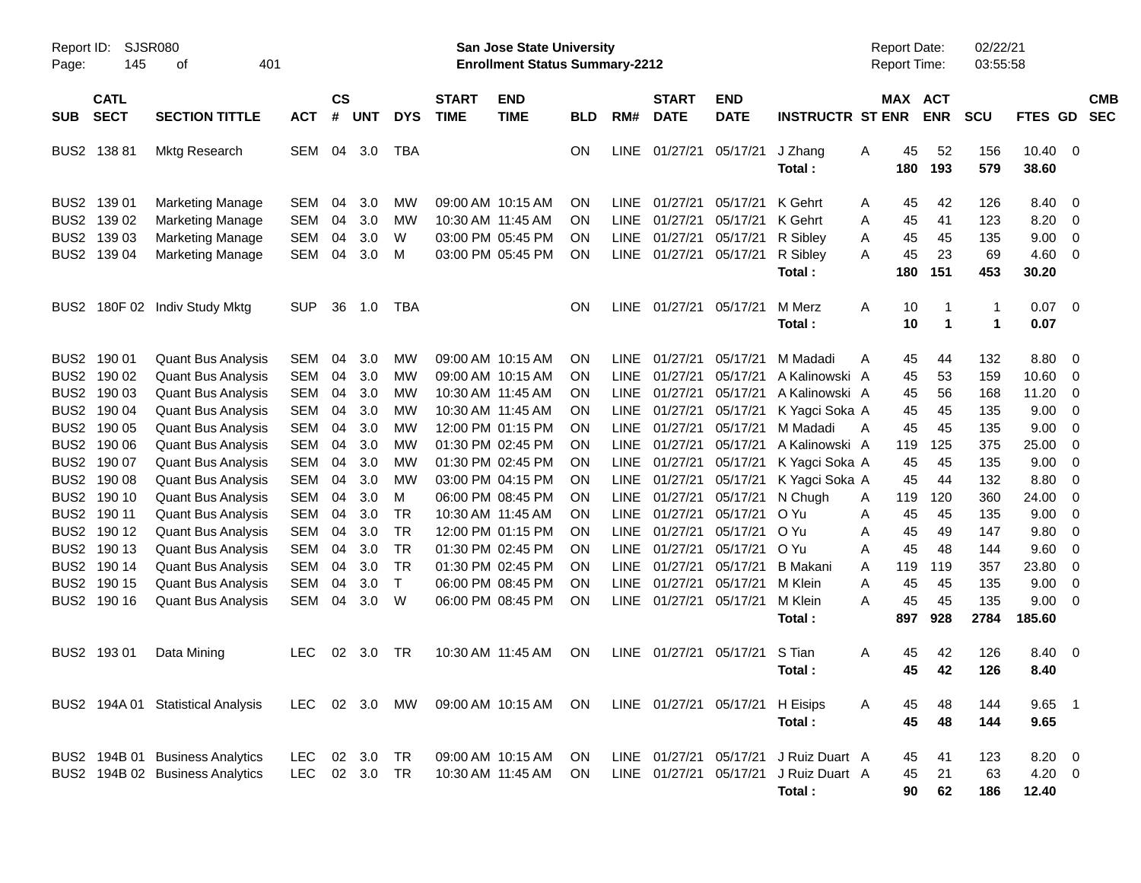| Report ID:<br>Page: | <b>SJSR080</b><br>145      | 401<br>оf                         |            |                    |            |            |                             | San Jose State University<br><b>Enrollment Status Summary-2212</b> |            |             |                             |                                 |                         | <b>Report Date:</b><br>Report Time: |           |                          | 02/22/21<br>03:55:58 |                |                         |                          |
|---------------------|----------------------------|-----------------------------------|------------|--------------------|------------|------------|-----------------------------|--------------------------------------------------------------------|------------|-------------|-----------------------------|---------------------------------|-------------------------|-------------------------------------|-----------|--------------------------|----------------------|----------------|-------------------------|--------------------------|
| <b>SUB</b>          | <b>CATL</b><br><b>SECT</b> | <b>SECTION TITTLE</b>             | <b>ACT</b> | $\mathsf{cs}$<br># | <b>UNT</b> | <b>DYS</b> | <b>START</b><br><b>TIME</b> | <b>END</b><br><b>TIME</b>                                          | <b>BLD</b> | RM#         | <b>START</b><br><b>DATE</b> | <b>END</b><br><b>DATE</b>       | <b>INSTRUCTR ST ENR</b> | MAX                                 |           | <b>ACT</b><br><b>ENR</b> | <b>SCU</b>           | <b>FTES GD</b> |                         | <b>CMB</b><br><b>SEC</b> |
| BUS2                | 138 81                     | Mktg Research                     | <b>SEM</b> | 04                 | 3.0        | <b>TBA</b> |                             |                                                                    | ON         | <b>LINE</b> | 01/27/21                    | 05/17/21                        | J Zhang<br>Total:       | Α                                   | 45<br>180 | 52<br>193                | 156<br>579           | 10.40<br>38.60 | $\overline{\mathbf{0}}$ |                          |
|                     | BUS2 139 01                | <b>Marketing Manage</b>           | <b>SEM</b> | 04                 | 3.0        | МW         |                             | 09:00 AM 10:15 AM                                                  | <b>ON</b>  | LINE        | 01/27/21                    | 05/17/21                        | K Gehrt                 | A                                   | 45        | 42                       | 126                  | 8.40           | - 0                     |                          |
|                     | BUS2 139 02                | <b>Marketing Manage</b>           | <b>SEM</b> | 04                 | 3.0        | МW         |                             | 10:30 AM 11:45 AM                                                  | <b>ON</b>  | <b>LINE</b> | 01/27/21                    | 05/17/21                        | K Gehrt                 | Α                                   | 45        | 41                       | 123                  | 8.20           | - 0                     |                          |
| BUS <sub>2</sub>    | 139 03                     | <b>Marketing Manage</b>           | <b>SEM</b> | 04                 | 3.0        | W          |                             | 03:00 PM 05:45 PM                                                  | <b>ON</b>  | <b>LINE</b> | 01/27/21                    | 05/17/21                        | R Sibley                | A                                   | 45        | 45                       | 135                  | 9.00           | $\overline{0}$          |                          |
|                     | BUS2 139 04                | <b>Marketing Manage</b>           | <b>SEM</b> | 04                 | 3.0        | м          |                             | 03:00 PM 05:45 PM                                                  | <b>ON</b>  | <b>LINE</b> | 01/27/21                    | 05/17/21                        | R Sibley                | A                                   | 45        | 23                       | 69                   | 4.60           | - 0                     |                          |
|                     |                            |                                   |            |                    |            |            |                             |                                                                    |            |             |                             |                                 | Total:                  |                                     | 180       | 151                      | 453                  | 30.20          |                         |                          |
| BUS <sub>2</sub>    |                            | 180F 02 Indiv Study Mktg          | <b>SUP</b> | 36                 | 1.0        | <b>TBA</b> |                             |                                                                    | <b>ON</b>  | LINE        | 01/27/21                    | 05/17/21                        | M Merz                  | A                                   | 10        | $\mathbf 1$              | $\mathbf{1}$         | 0.07           | $\overline{\mathbf{0}}$ |                          |
|                     |                            |                                   |            |                    |            |            |                             |                                                                    |            |             |                             |                                 | Total:                  |                                     | 10        | $\mathbf{1}$             | 1                    | 0.07           |                         |                          |
| BUS2                | 190 01                     | <b>Quant Bus Analysis</b>         | <b>SEM</b> | 04                 | 3.0        | MW         |                             | 09:00 AM 10:15 AM                                                  | <b>ON</b>  | LINE        | 01/27/21                    | 05/17/21                        | M Madadi                | A                                   | 45        | 44                       | 132                  | 8.80           | - 0                     |                          |
|                     | BUS2 190 02                | <b>Quant Bus Analysis</b>         | <b>SEM</b> | 04                 | 3.0        | МW         |                             | 09:00 AM 10:15 AM                                                  | <b>ON</b>  | <b>LINE</b> | 01/27/21                    | 05/17/21                        | A Kalinowski A          |                                     | 45        | 53                       | 159                  | 10.60          | 0                       |                          |
| BUS <sub>2</sub>    | 190 03                     | <b>Quant Bus Analysis</b>         | <b>SEM</b> | 04                 | 3.0        | МW         |                             | 10:30 AM 11:45 AM                                                  | <b>ON</b>  | <b>LINE</b> | 01/27/21                    | 05/17/21                        | A Kalinowski A          |                                     | 45        | 56                       | 168                  | 11.20          | 0                       |                          |
| BUS <sub>2</sub>    | 190 04                     | <b>Quant Bus Analysis</b>         | <b>SEM</b> | 04                 | 3.0        | МW         |                             | 10:30 AM 11:45 AM                                                  | ON         | <b>LINE</b> | 01/27/21                    | 05/17/21                        | K Yagci Soka A          |                                     | 45        | 45                       | 135                  | 9.00           | 0                       |                          |
| BUS <sub>2</sub>    | 190 05                     | <b>Quant Bus Analysis</b>         | <b>SEM</b> | 04                 | 3.0        | МW         |                             | 12:00 PM 01:15 PM                                                  | ON         | <b>LINE</b> | 01/27/21                    | 05/17/21                        | M Madadi                | A                                   | 45        | 45                       | 135                  | 9.00           | 0                       |                          |
| BUS <sub>2</sub>    | 190 06                     | <b>Quant Bus Analysis</b>         | <b>SEM</b> | 04                 | 3.0        | МW         |                             | 01:30 PM 02:45 PM                                                  | ON         | <b>LINE</b> | 01/27/21                    | 05/17/21                        | A Kalinowski A          |                                     | 119       | 125                      | 375                  | 25.00          | $\overline{0}$          |                          |
| BUS <sub>2</sub>    | 190 07                     | <b>Quant Bus Analysis</b>         | <b>SEM</b> | 04                 | 3.0        | МW         |                             | 01:30 PM 02:45 PM                                                  | ON         | <b>LINE</b> | 01/27/21                    | 05/17/21                        | K Yagci Soka A          |                                     | 45        | 45                       | 135                  | 9.00           | 0                       |                          |
| BUS <sub>2</sub>    | 190 08                     | <b>Quant Bus Analysis</b>         | <b>SEM</b> | 04                 | 3.0        | МW         |                             | 03:00 PM 04:15 PM                                                  | ON         | <b>LINE</b> | 01/27/21                    | 05/17/21                        | K Yagci Soka A          |                                     | 45        | 44                       | 132                  | 8.80           | 0                       |                          |
| BUS <sub>2</sub>    | 190 10                     | <b>Quant Bus Analysis</b>         | <b>SEM</b> | 04                 | 3.0        | M          |                             | 06:00 PM 08:45 PM                                                  | ON         | <b>LINE</b> | 01/27/21                    | 05/17/21                        | N Chugh                 | A                                   | 119       | 120                      | 360                  | 24.00          | 0                       |                          |
| BUS <sub>2</sub>    | 190 11                     | <b>Quant Bus Analysis</b>         | <b>SEM</b> | 04                 | 3.0        | <b>TR</b>  |                             | 10:30 AM 11:45 AM                                                  | ON         | <b>LINE</b> | 01/27/21                    | 05/17/21                        | O Yu                    | Α                                   | 45        | 45                       | 135                  | 9.00           | 0                       |                          |
| BUS <sub>2</sub>    | 190 12                     | <b>Quant Bus Analysis</b>         | <b>SEM</b> | 04                 | 3.0        | <b>TR</b>  |                             | 12:00 PM 01:15 PM                                                  | ON         | <b>LINE</b> | 01/27/21                    | 05/17/21                        | O Yu                    | Α                                   | 45        | 49                       | 147                  | 9.80           | 0                       |                          |
| BUS <sub>2</sub>    | 190 13                     | <b>Quant Bus Analysis</b>         | <b>SEM</b> | 04                 | 3.0        | <b>TR</b>  |                             | 01:30 PM 02:45 PM                                                  | ON         | <b>LINE</b> | 01/27/21                    | 05/17/21                        | O Yu                    | А                                   | 45        | 48                       | 144                  | 9.60           | 0                       |                          |
| BUS <sub>2</sub>    | 190 14                     | <b>Quant Bus Analysis</b>         | <b>SEM</b> | 04                 | 3.0        | <b>TR</b>  |                             | 01:30 PM 02:45 PM                                                  | ON         | <b>LINE</b> | 01/27/21                    | 05/17/21                        | <b>B</b> Makani         | Α                                   | 119       | 119                      | 357                  | 23.80          | $\overline{0}$          |                          |
| BUS <sub>2</sub>    | 190 15                     | <b>Quant Bus Analysis</b>         | <b>SEM</b> | 04                 | 3.0        | T          |                             | 06:00 PM 08:45 PM                                                  | ON         | <b>LINE</b> | 01/27/21                    | 05/17/21                        | M Klein                 | А                                   | 45        | 45                       | 135                  | 9.00           | 0                       |                          |
|                     | BUS2 190 16                | <b>Quant Bus Analysis</b>         | <b>SEM</b> | 04                 | 3.0        | W          |                             | 06:00 PM 08:45 PM                                                  | <b>ON</b>  | <b>LINE</b> | 01/27/21                    | 05/17/21                        | M Klein                 | А                                   | 45        | 45                       | 135                  | 9.00           | $\overline{\mathbf{0}}$ |                          |
|                     |                            |                                   |            |                    |            |            |                             |                                                                    |            |             |                             |                                 | Total:                  |                                     | 897       | 928                      | 2784                 | 185.60         |                         |                          |
|                     | BUS2 193 01                | Data Mining                       | LEC.       | 02                 | 3.0        | TR         |                             | 10:30 AM 11:45 AM                                                  | <b>ON</b>  |             | LINE 01/27/21               | 05/17/21                        | S Tian                  | A                                   | 45        | 42                       | 126                  | 8.40           | - 0                     |                          |
|                     |                            |                                   |            |                    |            |            |                             |                                                                    |            |             |                             |                                 | Total:                  |                                     | 45        | 42                       | 126                  | 8.40           |                         |                          |
|                     |                            | BUS2 194A 01 Statistical Analysis |            |                    |            |            |                             | LEC 02 3.0 MW 09:00 AM 10:15 AM ON                                 |            |             |                             | LINE 01/27/21 05/17/21 H Eisips |                         | A                                   | 45        | 48                       | 144                  | 9.65 1         |                         |                          |
|                     |                            |                                   |            |                    |            |            |                             |                                                                    |            |             |                             |                                 | Total:                  |                                     | 45        | 48                       | 144                  | 9.65           |                         |                          |
|                     |                            | BUS2 194B 01 Business Analytics   | LEC        |                    | 02 3.0     | TR         |                             | 09:00 AM 10:15 AM ON                                               |            |             | LINE 01/27/21 05/17/21      |                                 | J Ruiz Duart A          |                                     | 45        | 41                       | 123                  | 8.20 0         |                         |                          |
|                     |                            | BUS2 194B 02 Business Analytics   | <b>LEC</b> |                    | 02 3.0     | TR         |                             | 10:30 AM 11:45 AM                                                  | ON.        |             | LINE 01/27/21 05/17/21      |                                 | J Ruiz Duart A          |                                     | 45        | 21                       | 63                   | $4.20 \ 0$     |                         |                          |
|                     |                            |                                   |            |                    |            |            |                             |                                                                    |            |             |                             |                                 | Total:                  |                                     | 90        | 62                       | 186                  | 12.40          |                         |                          |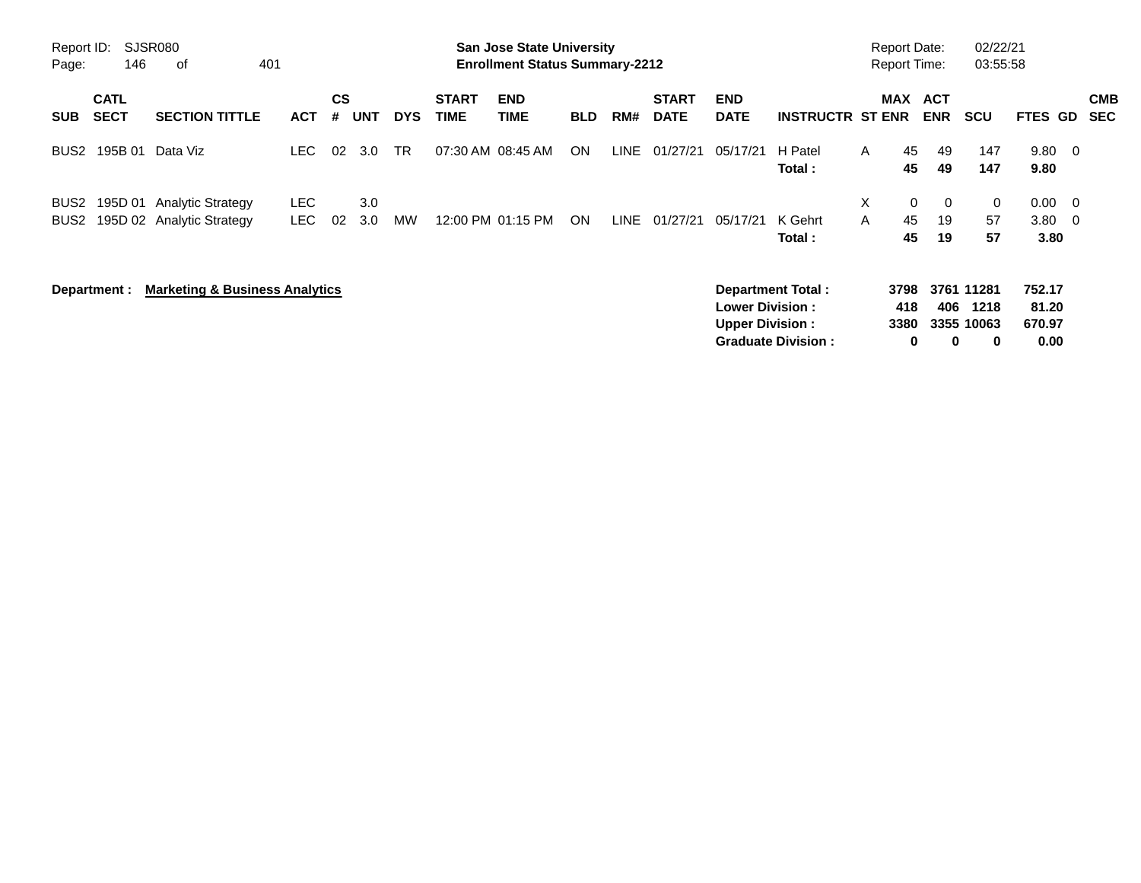| Report ID:<br>Page:                  | 146                        | <b>SJSR080</b><br>401<br>0f                           |                    |                |            |            |                             | <b>San Jose State University</b><br><b>Enrollment Status Summary-2212</b> |            |      |                             |                                                  |                                                       | <b>Report Date:</b><br><b>Report Time:</b> |                          |                          | 02/22/21<br>03:55:58                  |                                   |                                |                          |
|--------------------------------------|----------------------------|-------------------------------------------------------|--------------------|----------------|------------|------------|-----------------------------|---------------------------------------------------------------------------|------------|------|-----------------------------|--------------------------------------------------|-------------------------------------------------------|--------------------------------------------|--------------------------|--------------------------|---------------------------------------|-----------------------------------|--------------------------------|--------------------------|
| <b>SUB</b>                           | <b>CATL</b><br><b>SECT</b> | <b>SECTION TITTLE</b>                                 | <b>ACT</b>         | <b>CS</b><br># | <b>UNT</b> | <b>DYS</b> | <b>START</b><br><b>TIME</b> | <b>END</b><br><b>TIME</b>                                                 | <b>BLD</b> | RM#  | <b>START</b><br><b>DATE</b> | <b>END</b><br><b>DATE</b>                        | <b>INSTRUCTR ST ENR</b>                               |                                            | <b>MAX</b>               | <b>ACT</b><br><b>ENR</b> | <b>SCU</b>                            | FTES GD                           |                                | <b>CMB</b><br><b>SEC</b> |
| BUS <sub>2</sub>                     | 195B 01                    | Data Viz                                              | LEC.               | 02             | 3.0        | <b>TR</b>  | 07:30 AM 08:45 AM           |                                                                           | <b>ON</b>  | LINE | 01/27/21                    | 05/17/21                                         | H Patel<br>Total:                                     | $\mathsf{A}$                               | 45<br>45                 | 49<br>49                 | 147<br>147                            | 9.80<br>9.80                      | $\overline{0}$                 |                          |
| BUS <sub>2</sub><br>BUS <sub>2</sub> | 195D 01                    | <b>Analytic Strategy</b><br>195D 02 Analytic Strategy | <b>LEC</b><br>LEC. | 02             | 3.0<br>3.0 | MW         |                             | 12:00 PM 01:15 PM                                                         | <b>ON</b>  | LINE | 01/27/21                    | 05/17/21                                         | K Gehrt<br>Total:                                     | X.<br>A                                    | $\mathbf{0}$<br>45<br>45 | $\mathbf 0$<br>19<br>19  | 0<br>57<br>57                         | 0.00<br>3.80<br>3.80              | - 0<br>$\overline{\mathbf{0}}$ |                          |
|                                      | Department :               | <b>Marketing &amp; Business Analytics</b>             |                    |                |            |            |                             |                                                                           |            |      |                             | <b>Lower Division:</b><br><b>Upper Division:</b> | <b>Department Total:</b><br><b>Graduate Division:</b> |                                            | 3798<br>418<br>3380<br>0 | 406<br>0                 | 3761 11281<br>1218<br>3355 10063<br>0 | 752.17<br>81.20<br>670.97<br>0.00 |                                |                          |